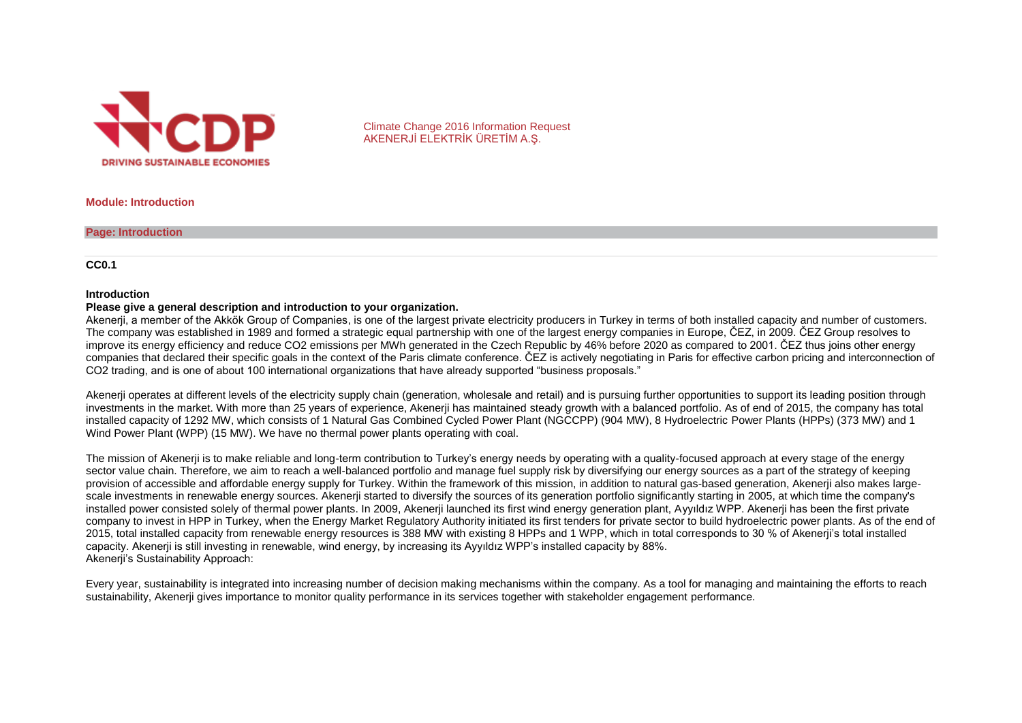

Climate Change 2016 Information Request AKENERJİ ELEKTRİK ÜRETİM A.Ş.

**Module: Introduction**

**Page: Introduction**

**CC0.1**

#### **Introduction**

#### **Please give a general description and introduction to your organization.**

Akenerji, a member of the Akkök Group of Companies, is one of the largest private electricity producers in Turkey in terms of both installed capacity and number of customers. The company was established in 1989 and formed a strategic equal partnership with one of the largest energy companies in Europe, ČEZ, in 2009. ČEZ Group resolves to improve its energy efficiency and reduce CO2 emissions per MWh generated in the Czech Republic by 46% before 2020 as compared to 2001. ČEZ thus joins other energy companies that declared their specific goals in the context of the Paris climate conference. ČEZ is actively negotiating in Paris for effective carbon pricing and interconnection of CO2 trading, and is one of about 100 international organizations that have already supported "business proposals."

Akenerji operates at different levels of the electricity supply chain (generation, wholesale and retail) and is pursuing further opportunities to support its leading position through investments in the market. With more than 25 years of experience, Akenerji has maintained steady growth with a balanced portfolio. As of end of 2015, the company has total installed capacity of 1292 MW, which consists of 1 Natural Gas Combined Cycled Power Plant (NGCCPP) (904 MW), 8 Hydroelectric Power Plants (HPPs) (373 MW) and 1 Wind Power Plant (WPP) (15 MW). We have no thermal power plants operating with coal.

The mission of Akenerji is to make reliable and long-term contribution to Turkey's energy needs by operating with a quality-focused approach at every stage of the energy sector value chain. Therefore, we aim to reach a well-balanced portfolio and manage fuel supply risk by diversifying our energy sources as a part of the strategy of keeping provision of accessible and affordable energy supply for Turkey. Within the framework of this mission, in addition to natural gas-based generation, Akenerji also makes largescale investments in renewable energy sources. Akenerji started to diversify the sources of its generation portfolio significantly starting in 2005, at which time the company's installed power consisted solely of thermal power plants. In 2009, Akenerji launched its first wind energy generation plant, Ayyıldız WPP. Akenerji has been the first private company to invest in HPP in Turkey, when the Energy Market Regulatory Authority initiated its first tenders for private sector to build hydroelectric power plants. As of the end of 2015, total installed capacity from renewable energy resources is 388 MW with existing 8 HPPs and 1 WPP, which in total corresponds to 30 % of Akenerji's total installed capacity. Akenerji is still investing in renewable, wind energy, by increasing its Ayyıldız WPP's installed capacity by 88%. Akenerji's Sustainability Approach:

Every year, sustainability is integrated into increasing number of decision making mechanisms within the company. As a tool for managing and maintaining the efforts to reach sustainability, Akenerji gives importance to monitor quality performance in its services together with stakeholder engagement performance.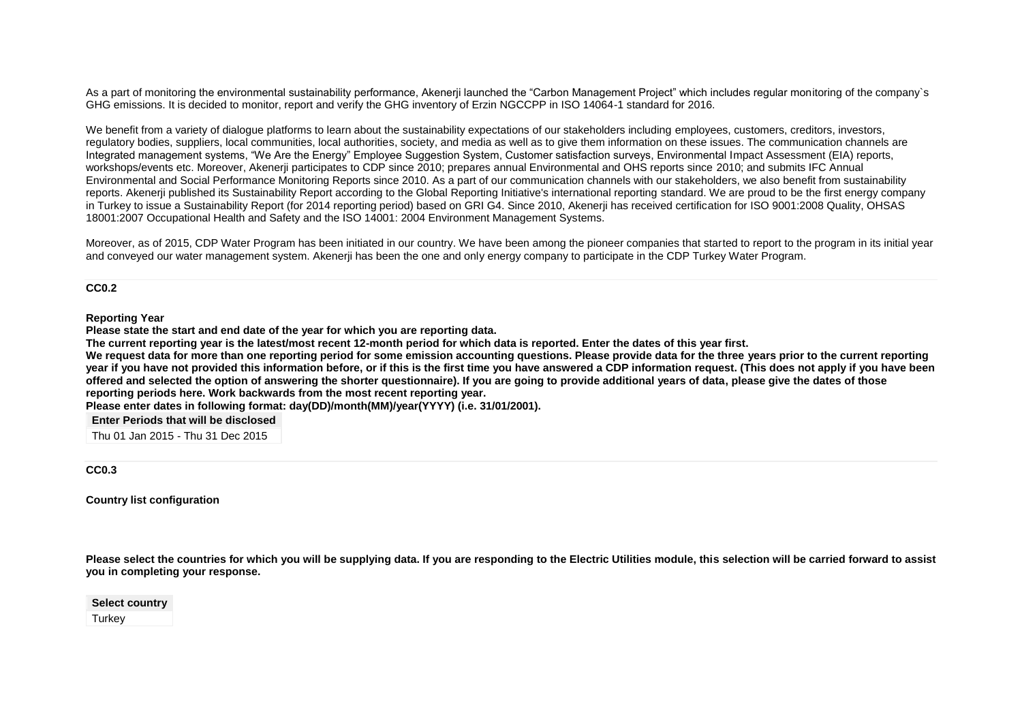As a part of monitoring the environmental sustainability performance, Akenerji launched the "Carbon Management Project" which includes regular monitoring of the company`s GHG emissions. It is decided to monitor, report and verify the GHG inventory of Erzin NGCCPP in ISO 14064-1 standard for 2016.

We benefit from a variety of dialogue platforms to learn about the sustainability expectations of our stakeholders including employees, customers, creditors, investors, regulatory bodies, suppliers, local communities, local authorities, society, and media as well as to give them information on these issues. The communication channels are Integrated management systems, "We Are the Energy" Employee Suggestion System, Customer satisfaction surveys, Environmental Impact Assessment (EIA) reports, workshops/events etc. Moreover, Akenerji participates to CDP since 2010; prepares annual Environmental and OHS reports since 2010; and submits IFC Annual Environmental and Social Performance Monitoring Reports since 2010. As a part of our communication channels with our stakeholders, we also benefit from sustainability reports. Akenerji published its Sustainability Report according to the Global Reporting Initiative's international reporting standard. We are proud to be the first energy company in Turkey to issue a Sustainability Report (for 2014 reporting period) based on GRI G4. Since 2010, Akenerji has received certification for ISO 9001:2008 Quality, OHSAS 18001:2007 Occupational Health and Safety and the ISO 14001: 2004 Environment Management Systems.

Moreover, as of 2015, CDP Water Program has been initiated in our country. We have been among the pioneer companies that started to report to the program in its initial year and conveyed our water management system. Akenerji has been the one and only energy company to participate in the CDP Turkey Water Program.

**CC0.2**

**Reporting Year**

**Please state the start and end date of the year for which you are reporting data.**

**The current reporting year is the latest/most recent 12-month period for which data is reported. Enter the dates of this year first.**

We request data for more than one reporting period for some emission accounting questions. Please provide data for the three years prior to the current reporting **year if you have not provided this information before, or if this is the first time you have answered a CDP information request. (This does not apply if you have been offered and selected the option of answering the shorter questionnaire). If you are going to provide additional years of data, please give the dates of those reporting periods here. Work backwards from the most recent reporting year.**

**Please enter dates in following format: day(DD)/month(MM)/year(YYYY) (i.e. 31/01/2001).**

**Enter Periods that will be disclosed**

Thu 01 Jan 2015 - Thu 31 Dec 2015

**CC0.3**

**Country list configuration**

**Please select the countries for which you will be supplying data. If you are responding to the Electric Utilities module, this selection will be carried forward to assist you in completing your response.**

**Select country Turkey**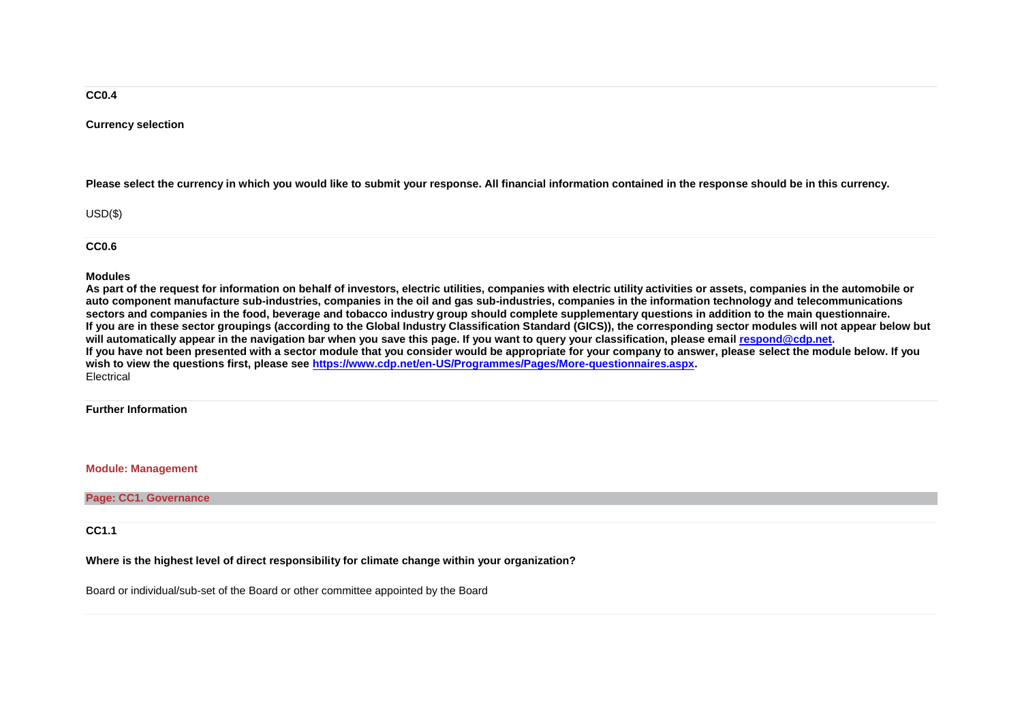#### **CC0.4**

#### **Currency selection**

**Please select the currency in which you would like to submit your response. All financial information contained in the response should be in this currency.**

USD(\$)

**CC0.6**

#### **Modules**

**As part of the request for information on behalf of investors, electric utilities, companies with electric utility activities or assets, companies in the automobile or auto component manufacture sub-industries, companies in the oil and gas sub-industries, companies in the information technology and telecommunications sectors and companies in the food, beverage and tobacco industry group should complete supplementary questions in addition to the main questionnaire. If you are in these sector groupings (according to the Global Industry Classification Standard (GICS)), the corresponding sector modules will not appear below but will automatically appear in the navigation bar when you save this page. If you want to query your classification, please email [respond@cdp.net.](mailto:respond@cdp.net) If you have not been presented with a sector module that you consider would be appropriate for your company to answer, please select the module below. If you wish to view the questions first, please see [https://www.cdp.net/en-US/Programmes/Pages/More-questionnaires.aspx.](https://www.cdp.net/en-US/Programmes/Pages/More-questionnaires.aspx)** Electrical

#### **Further Information**

#### **Module: Management**

**Page: CC1. Governance**

**CC1.1**

#### **Where is the highest level of direct responsibility for climate change within your organization?**

Board or individual/sub-set of the Board or other committee appointed by the Board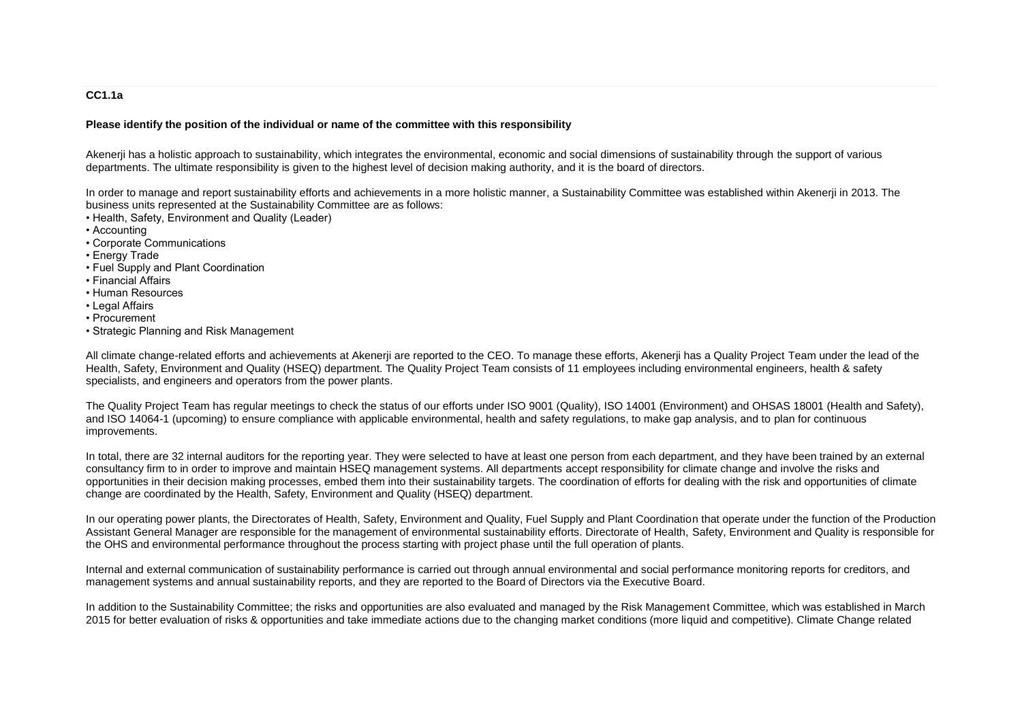### **CC1.1a**

#### **Please identify the position of the individual or name of the committee with this responsibility**

Akenerji has a holistic approach to sustainability, which integrates the environmental, economic and social dimensions of sustainability through the support of various departments. The ultimate responsibility is given to the highest level of decision making authority, and it is the board of directors.

In order to manage and report sustainability efforts and achievements in a more holistic manner, a Sustainability Committee was established within Akenerji in 2013. The business units represented at the Sustainability Committee are as follows:

• Health, Safety, Environment and Quality (Leader)

• Accounting

- Corporate Communications
- Energy Trade
- Fuel Supply and Plant Coordination
- Financial Affairs
- Human Resources
- Legal Affairs
- Procurement
- Strategic Planning and Risk Management

All climate change-related efforts and achievements at Akenerji are reported to the CEO. To manage these efforts, Akenerji has a Quality Project Team under the lead of the Health, Safety, Environment and Quality (HSEQ) department. The Quality Project Team consists of 11 employees including environmental engineers, health & safety specialists, and engineers and operators from the power plants.

The Quality Project Team has regular meetings to check the status of our efforts under ISO 9001 (Quality), ISO 14001 (Environment) and OHSAS 18001 (Health and Safety), and ISO 14064-1 (upcoming) to ensure compliance with applicable environmental, health and safety regulations, to make gap analysis, and to plan for continuous improvements.

In total, there are 32 internal auditors for the reporting year. They were selected to have at least one person from each department, and they have been trained by an external consultancy firm to in order to improve and maintain HSEQ management systems. All departments accept responsibility for climate change and involve the risks and opportunities in their decision making processes, embed them into their sustainability targets. The coordination of efforts for dealing with the risk and opportunities of climate change are coordinated by the Health, Safety, Environment and Quality (HSEQ) department.

In our operating power plants, the Directorates of Health, Safety, Environment and Quality, Fuel Supply and Plant Coordination that operate under the function of the Production Assistant General Manager are responsible for the management of environmental sustainability efforts. Directorate of Health, Safety, Environment and Quality is responsible for the OHS and environmental performance throughout the process starting with project phase until the full operation of plants.

Internal and external communication of sustainability performance is carried out through annual environmental and social performance monitoring reports for creditors, and management systems and annual sustainability reports, and they are reported to the Board of Directors via the Executive Board.

In addition to the Sustainability Committee; the risks and opportunities are also evaluated and managed by the Risk Management Committee, which was established in March 2015 for better evaluation of risks & opportunities and take immediate actions due to the changing market conditions (more liquid and competitive). Climate Change related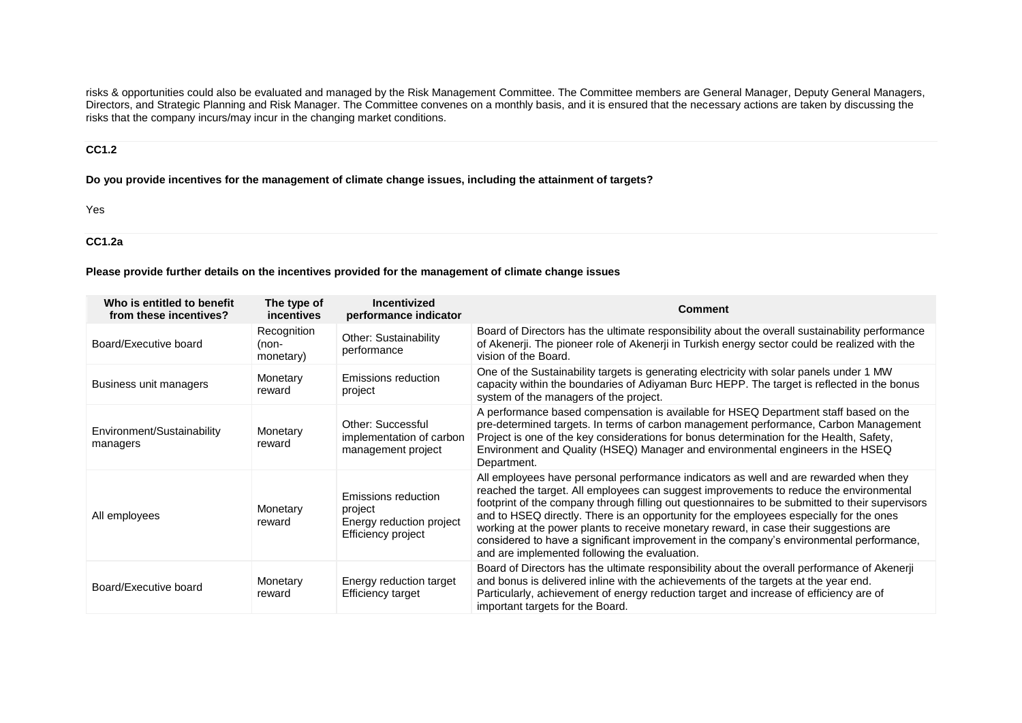risks & opportunities could also be evaluated and managed by the Risk Management Committee. The Committee members are General Manager, Deputy General Managers, Directors, and Strategic Planning and Risk Manager. The Committee convenes on a monthly basis, and it is ensured that the necessary actions are taken by discussing the risks that the company incurs/may incur in the changing market conditions.

### **CC1.2**

**Do you provide incentives for the management of climate change issues, including the attainment of targets?**

Yes

## **CC1.2a**

#### **Please provide further details on the incentives provided for the management of climate change issues**

| Who is entitled to benefit<br>from these incentives? | The type of<br>incentives         | Incentivized<br>performance indicator                                            | <b>Comment</b>                                                                                                                                                                                                                                                                                                                                                                                                                                                                                                                                                                                                       |
|------------------------------------------------------|-----------------------------------|----------------------------------------------------------------------------------|----------------------------------------------------------------------------------------------------------------------------------------------------------------------------------------------------------------------------------------------------------------------------------------------------------------------------------------------------------------------------------------------------------------------------------------------------------------------------------------------------------------------------------------------------------------------------------------------------------------------|
| Board/Executive board                                | Recognition<br>(non-<br>monetary) | Other: Sustainability<br>performance                                             | Board of Directors has the ultimate responsibility about the overall sustainability performance<br>of Akenerji. The pioneer role of Akenerji in Turkish energy sector could be realized with the<br>vision of the Board.                                                                                                                                                                                                                                                                                                                                                                                             |
| Business unit managers                               | Monetary<br>reward                | Emissions reduction<br>project                                                   | One of the Sustainability targets is generating electricity with solar panels under 1 MW<br>capacity within the boundaries of Adiyaman Burc HEPP. The target is reflected in the bonus<br>system of the managers of the project.                                                                                                                                                                                                                                                                                                                                                                                     |
| Environment/Sustainability<br>managers               | Monetary<br>reward                | Other: Successful<br>implementation of carbon<br>management project              | A performance based compensation is available for HSEQ Department staff based on the<br>pre-determined targets. In terms of carbon management performance, Carbon Management<br>Project is one of the key considerations for bonus determination for the Health, Safety,<br>Environment and Quality (HSEQ) Manager and environmental engineers in the HSEQ<br>Department.                                                                                                                                                                                                                                            |
| All employees                                        | Monetary<br>reward                | Emissions reduction<br>project<br>Energy reduction project<br>Efficiency project | All employees have personal performance indicators as well and are rewarded when they<br>reached the target. All employees can suggest improvements to reduce the environmental<br>footprint of the company through filling out questionnaires to be submitted to their supervisors<br>and to HSEQ directly. There is an opportunity for the employees especially for the ones<br>working at the power plants to receive monetary reward, in case their suggestions are<br>considered to have a significant improvement in the company's environmental performance,<br>and are implemented following the evaluation. |
| Board/Executive board                                | Monetary<br>reward                | Energy reduction target<br>Efficiency target                                     | Board of Directors has the ultimate responsibility about the overall performance of Akenerji<br>and bonus is delivered inline with the achievements of the targets at the year end.<br>Particularly, achievement of energy reduction target and increase of efficiency are of<br>important targets for the Board.                                                                                                                                                                                                                                                                                                    |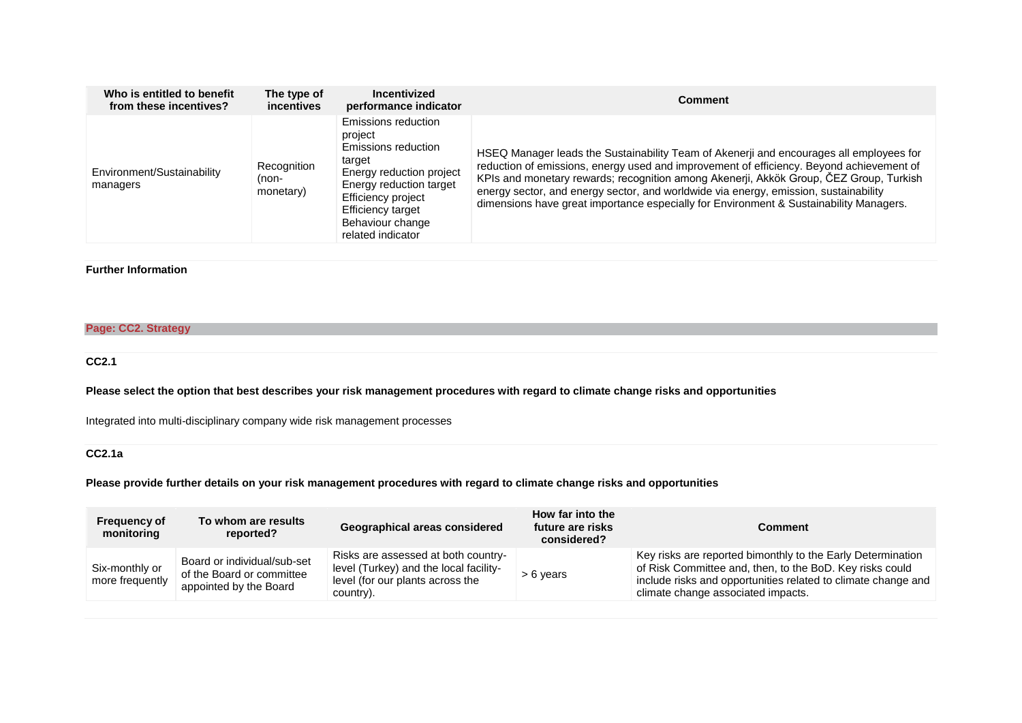| Who is entitled to benefit             | The type of                       | Incentivized                                                                                                                                                                                               | <b>Comment</b>                                                                                                                                                                                                                                                                                                                                                                                                                                                  |
|----------------------------------------|-----------------------------------|------------------------------------------------------------------------------------------------------------------------------------------------------------------------------------------------------------|-----------------------------------------------------------------------------------------------------------------------------------------------------------------------------------------------------------------------------------------------------------------------------------------------------------------------------------------------------------------------------------------------------------------------------------------------------------------|
| from these incentives?                 | incentives                        | performance indicator                                                                                                                                                                                      |                                                                                                                                                                                                                                                                                                                                                                                                                                                                 |
| Environment/Sustainability<br>managers | Recognition<br>(non-<br>monetary) | Emissions reduction<br>project<br>Emissions reduction<br>target<br>Energy reduction project<br>Energy reduction target<br>Efficiency project<br>Efficiency target<br>Behaviour change<br>related indicator | HSEQ Manager leads the Sustainability Team of Akenerji and encourages all employees for<br>reduction of emissions, energy used and improvement of efficiency. Beyond achievement of<br>KPIs and monetary rewards; recognition among Akenerji, Akkök Group, ČEZ Group, Turkish<br>energy sector, and energy sector, and worldwide via energy, emission, sustainability<br>dimensions have great importance especially for Environment & Sustainability Managers. |

### **Further Information**

### **Page: CC2. Strategy**

**CC2.1**

**Please select the option that best describes your risk management procedures with regard to climate change risks and opportunities**

Integrated into multi-disciplinary company wide risk management processes

## **CC2.1a**

### **Please provide further details on your risk management procedures with regard to climate change risks and opportunities**

| <b>Frequency of</b><br>monitoring | To whom are results<br>reported?                                                   | Geographical areas considered                                                                                                  |  | Comment                                                                                                                                                                                                                        |  |
|-----------------------------------|------------------------------------------------------------------------------------|--------------------------------------------------------------------------------------------------------------------------------|--|--------------------------------------------------------------------------------------------------------------------------------------------------------------------------------------------------------------------------------|--|
| Six-monthly or<br>more frequently | Board or individual/sub-set<br>of the Board or committee<br>appointed by the Board | Risks are assessed at both country-<br>level (Turkey) and the local facility-<br>level (for our plants across the<br>country). |  | Key risks are reported bimonthly to the Early Determination<br>of Risk Committee and, then, to the BoD. Key risks could<br>include risks and opportunities related to climate change and<br>climate change associated impacts. |  |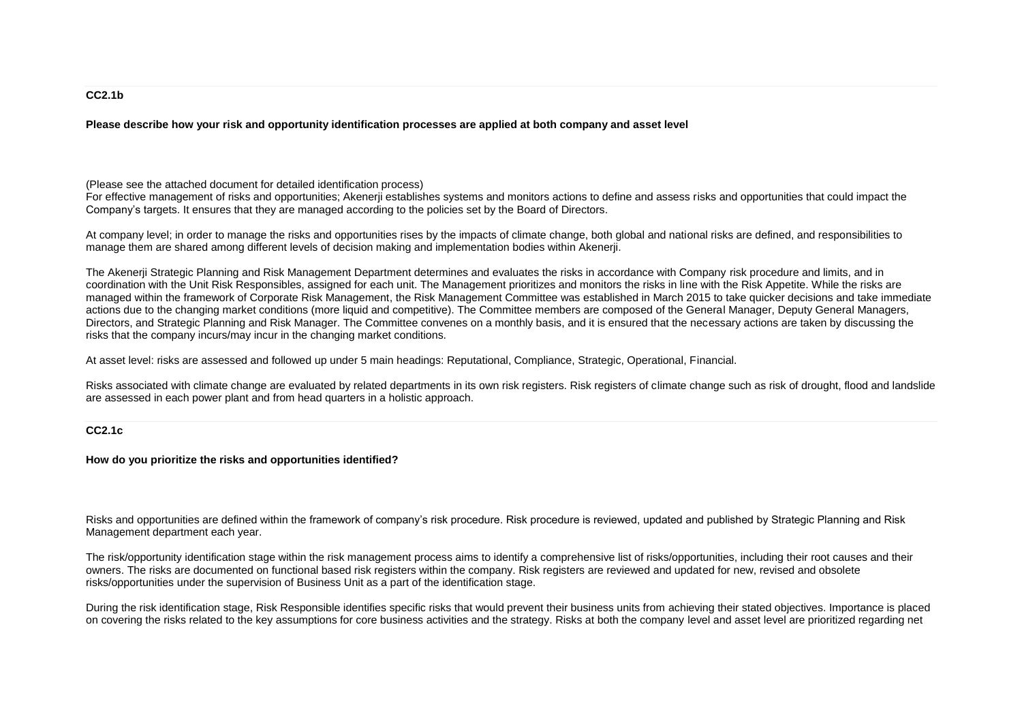#### **CC2.1b**

**Please describe how your risk and opportunity identification processes are applied at both company and asset level**

(Please see the attached document for detailed identification process)

For effective management of risks and opportunities; Akenerji establishes systems and monitors actions to define and assess risks and opportunities that could impact the Company's targets. It ensures that they are managed according to the policies set by the Board of Directors.

At company level; in order to manage the risks and opportunities rises by the impacts of climate change, both global and national risks are defined, and responsibilities to manage them are shared among different levels of decision making and implementation bodies within Akenerji.

The Akenerji Strategic Planning and Risk Management Department determines and evaluates the risks in accordance with Company risk procedure and limits, and in coordination with the Unit Risk Responsibles, assigned for each unit. The Management prioritizes and monitors the risks in line with the Risk Appetite. While the risks are managed within the framework of Corporate Risk Management, the Risk Management Committee was established in March 2015 to take quicker decisions and take immediate actions due to the changing market conditions (more liquid and competitive). The Committee members are composed of the General Manager, Deputy General Managers, Directors, and Strategic Planning and Risk Manager. The Committee convenes on a monthly basis, and it is ensured that the necessary actions are taken by discussing the risks that the company incurs/may incur in the changing market conditions.

At asset level: risks are assessed and followed up under 5 main headings: Reputational, Compliance, Strategic, Operational, Financial.

Risks associated with climate change are evaluated by related departments in its own risk registers. Risk registers of climate change such as risk of drought, flood and landslide are assessed in each power plant and from head quarters in a holistic approach.

#### **CC2.1c**

**How do you prioritize the risks and opportunities identified?**

Risks and opportunities are defined within the framework of company's risk procedure. Risk procedure is reviewed, updated and published by Strategic Planning and Risk Management department each year.

The risk/opportunity identification stage within the risk management process aims to identify a comprehensive list of risks/opportunities, including their root causes and their owners. The risks are documented on functional based risk registers within the company. Risk registers are reviewed and updated for new, revised and obsolete risks/opportunities under the supervision of Business Unit as a part of the identification stage.

During the risk identification stage, Risk Responsible identifies specific risks that would prevent their business units from achieving their stated objectives. Importance is placed on covering the risks related to the key assumptions for core business activities and the strategy. Risks at both the company level and asset level are prioritized regarding net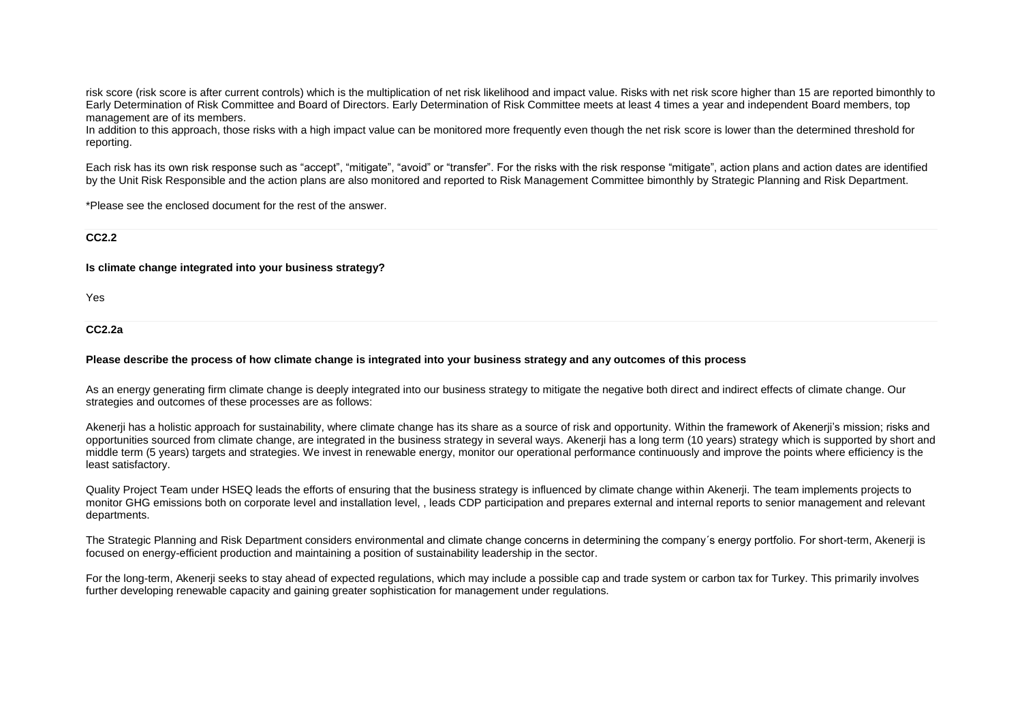risk score (risk score is after current controls) which is the multiplication of net risk likelihood and impact value. Risks with net risk score higher than 15 are reported bimonthly to Early Determination of Risk Committee and Board of Directors. Early Determination of Risk Committee meets at least 4 times a year and independent Board members, top management are of its members.

In addition to this approach, those risks with a high impact value can be monitored more frequently even though the net risk score is lower than the determined threshold for reporting.

Each risk has its own risk response such as "accept", "mitigate", "avoid" or "transfer". For the risks with the risk response "mitigate", action plans and action dates are identified by the Unit Risk Responsible and the action plans are also monitored and reported to Risk Management Committee bimonthly by Strategic Planning and Risk Department.

\*Please see the enclosed document for the rest of the answer.

**CC2.2**

**Is climate change integrated into your business strategy?**

Yes

**CC2.2a**

#### **Please describe the process of how climate change is integrated into your business strategy and any outcomes of this process**

As an energy generating firm climate change is deeply integrated into our business strategy to mitigate the negative both direct and indirect effects of climate change. Our strategies and outcomes of these processes are as follows:

Akenerji has a holistic approach for sustainability, where climate change has its share as a source of risk and opportunity. Within the framework of Akenerji's mission; risks and opportunities sourced from climate change, are integrated in the business strategy in several ways. Akenerji has a long term (10 years) strategy which is supported by short and middle term (5 years) targets and strategies. We invest in renewable energy, monitor our operational performance continuously and improve the points where efficiency is the least satisfactory.

Quality Project Team under HSEQ leads the efforts of ensuring that the business strategy is influenced by climate change within Akenerji. The team implements projects to monitor GHG emissions both on corporate level and installation level, , leads CDP participation and prepares external and internal reports to senior management and relevant departments.

The Strategic Planning and Risk Department considers environmental and climate change concerns in determining the company´s energy portfolio. For short-term, Akenerji is focused on energy-efficient production and maintaining a position of sustainability leadership in the sector.

For the long-term, Akenerji seeks to stay ahead of expected regulations, which may include a possible cap and trade system or carbon tax for Turkey. This primarily involves further developing renewable capacity and gaining greater sophistication for management under regulations.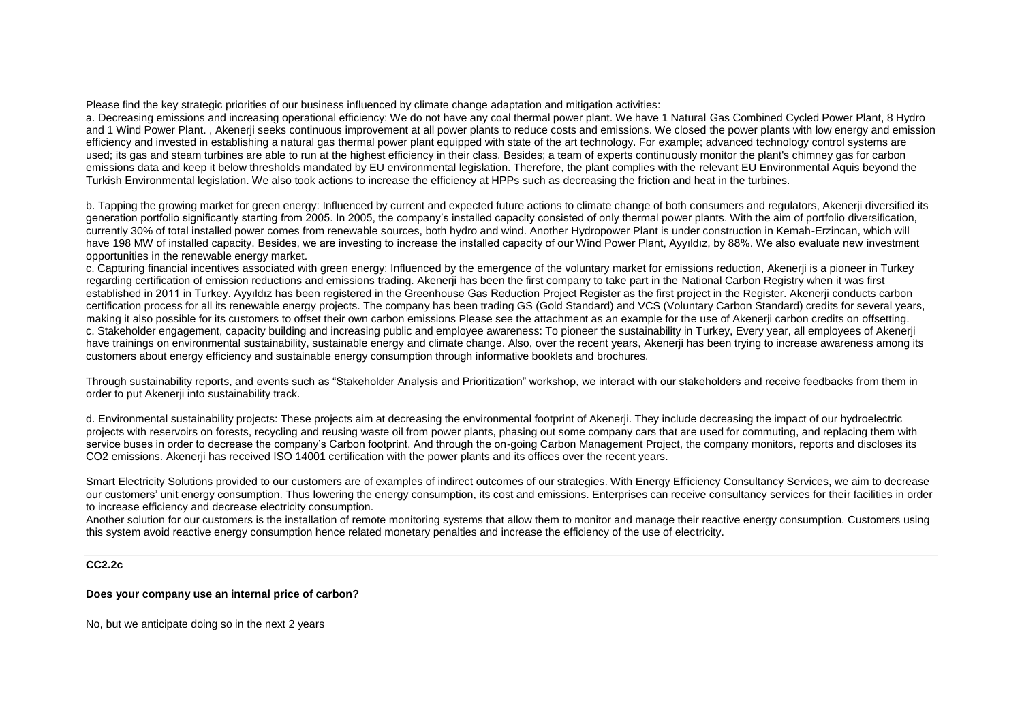#### Please find the key strategic priorities of our business influenced by climate change adaptation and mitigation activities:

a. Decreasing emissions and increasing operational efficiency: We do not have any coal thermal power plant. We have 1 Natural Gas Combined Cycled Power Plant, 8 Hydro and 1 Wind Power Plant. , Akenerji seeks continuous improvement at all power plants to reduce costs and emissions. We closed the power plants with low energy and emission efficiency and invested in establishing a natural gas thermal power plant equipped with state of the art technology. For example; advanced technology control systems are used; its gas and steam turbines are able to run at the highest efficiency in their class. Besides; a team of experts continuously monitor the plant's chimney gas for carbon emissions data and keep it below thresholds mandated by EU environmental legislation. Therefore, the plant complies with the relevant EU Environmental Aquis beyond the Turkish Environmental legislation. We also took actions to increase the efficiency at HPPs such as decreasing the friction and heat in the turbines.

b. Tapping the growing market for green energy: Influenced by current and expected future actions to climate change of both consumers and regulators, Akenerji diversified its generation portfolio significantly starting from 2005. In 2005, the company's installed capacity consisted of only thermal power plants. With the aim of portfolio diversification, currently 30% of total installed power comes from renewable sources, both hydro and wind. Another Hydropower Plant is under construction in Kemah-Erzincan, which will have 198 MW of installed capacity. Besides, we are investing to increase the installed capacity of our Wind Power Plant, Ayyıldız, by 88%. We also evaluate new investment opportunities in the renewable energy market.

c. Capturing financial incentives associated with green energy: Influenced by the emergence of the voluntary market for emissions reduction, Akenerji is a pioneer in Turkey regarding certification of emission reductions and emissions trading. Akenerji has been the first company to take part in the National Carbon Registry when it was first established in 2011 in Turkey. Ayyıldız has been registered in the Greenhouse Gas Reduction Project Register as the first project in the Register. Akenerji conducts carbon certification process for all its renewable energy projects. The company has been trading GS (Gold Standard) and VCS (Voluntary Carbon Standard) credits for several years, making it also possible for its customers to offset their own carbon emissions Please see the attachment as an example for the use of Akenerji carbon credits on offsetting. c. Stakeholder engagement, capacity building and increasing public and employee awareness: To pioneer the sustainability in Turkey, Every year, all employees of Akenerji have trainings on environmental sustainability, sustainable energy and climate change. Also, over the recent years, Akenerji has been trying to increase awareness among its customers about energy efficiency and sustainable energy consumption through informative booklets and brochures.

Through sustainability reports, and events such as "Stakeholder Analysis and Prioritization" workshop, we interact with our stakeholders and receive feedbacks from them in order to put Akenerji into sustainability track.

d. Environmental sustainability projects: These projects aim at decreasing the environmental footprint of Akenerji. They include decreasing the impact of our hydroelectric projects with reservoirs on forests, recycling and reusing waste oil from power plants, phasing out some company cars that are used for commuting, and replacing them with service buses in order to decrease the company's Carbon footprint. And through the on-going Carbon Management Project, the company monitors, reports and discloses its CO2 emissions. Akenerji has received ISO 14001 certification with the power plants and its offices over the recent years.

Smart Electricity Solutions provided to our customers are of examples of indirect outcomes of our strategies. With Energy Efficiency Consultancy Services, we aim to decrease our customers' unit energy consumption. Thus lowering the energy consumption, its cost and emissions. Enterprises can receive consultancy services for their facilities in order to increase efficiency and decrease electricity consumption.

Another solution for our customers is the installation of remote monitoring systems that allow them to monitor and manage their reactive energy consumption. Customers using this system avoid reactive energy consumption hence related monetary penalties and increase the efficiency of the use of electricity.

#### **CC2.2c**

#### **Does your company use an internal price of carbon?**

No, but we anticipate doing so in the next 2 years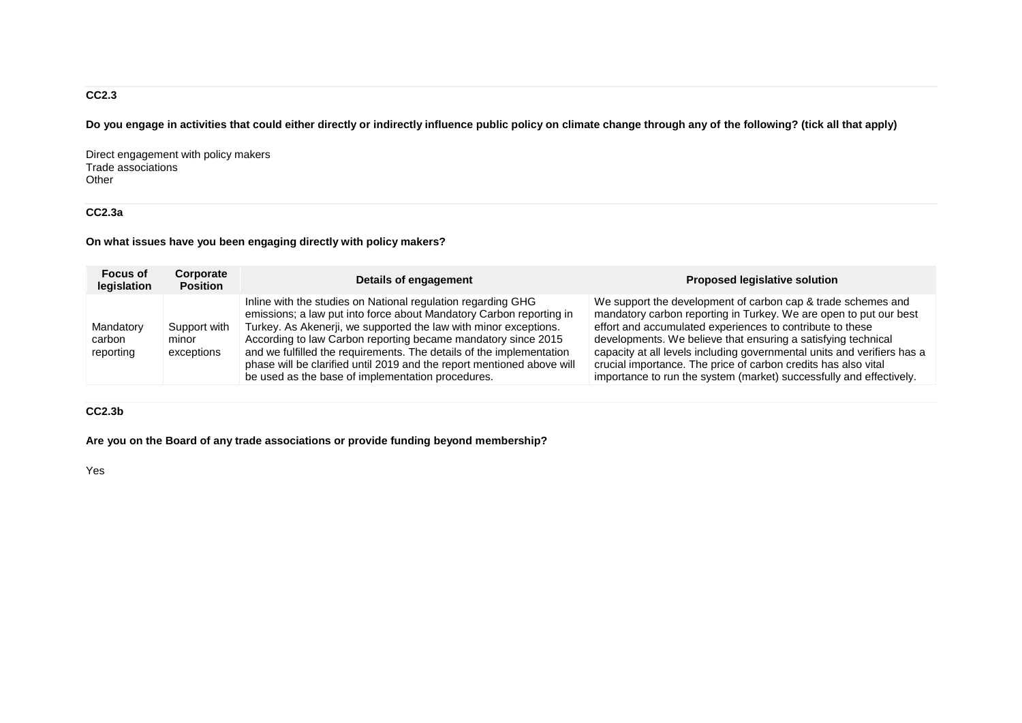## **CC2.3**

**Do you engage in activities that could either directly or indirectly influence public policy on climate change through any of the following? (tick all that apply)**

Direct engagement with policy makers Trade associations Other

## **CC2.3a**

**On what issues have you been engaging directly with policy makers?**

| <b>Focus of</b><br>legislation   | Corporate<br><b>Position</b>        | Details of engagement                                                                                                                                                                                                                                                                                                                                                                                                                                                           | <b>Proposed legislative solution</b>                                                                                                                                                                                                                                                                                                                                                                                                                                                |
|----------------------------------|-------------------------------------|---------------------------------------------------------------------------------------------------------------------------------------------------------------------------------------------------------------------------------------------------------------------------------------------------------------------------------------------------------------------------------------------------------------------------------------------------------------------------------|-------------------------------------------------------------------------------------------------------------------------------------------------------------------------------------------------------------------------------------------------------------------------------------------------------------------------------------------------------------------------------------------------------------------------------------------------------------------------------------|
| Mandatory<br>carbon<br>reporting | Support with<br>minor<br>exceptions | Inline with the studies on National regulation regarding GHG<br>emissions; a law put into force about Mandatory Carbon reporting in<br>Turkey. As Akenerji, we supported the law with minor exceptions.<br>According to law Carbon reporting became mandatory since 2015<br>and we fulfilled the requirements. The details of the implementation<br>phase will be clarified until 2019 and the report mentioned above will<br>be used as the base of implementation procedures. | We support the development of carbon cap & trade schemes and<br>mandatory carbon reporting in Turkey. We are open to put our best<br>effort and accumulated experiences to contribute to these<br>developments. We believe that ensuring a satisfying technical<br>capacity at all levels including governmental units and verifiers has a<br>crucial importance. The price of carbon credits has also vital<br>importance to run the system (market) successfully and effectively. |

## **CC2.3b**

**Are you on the Board of any trade associations or provide funding beyond membership?**

Yes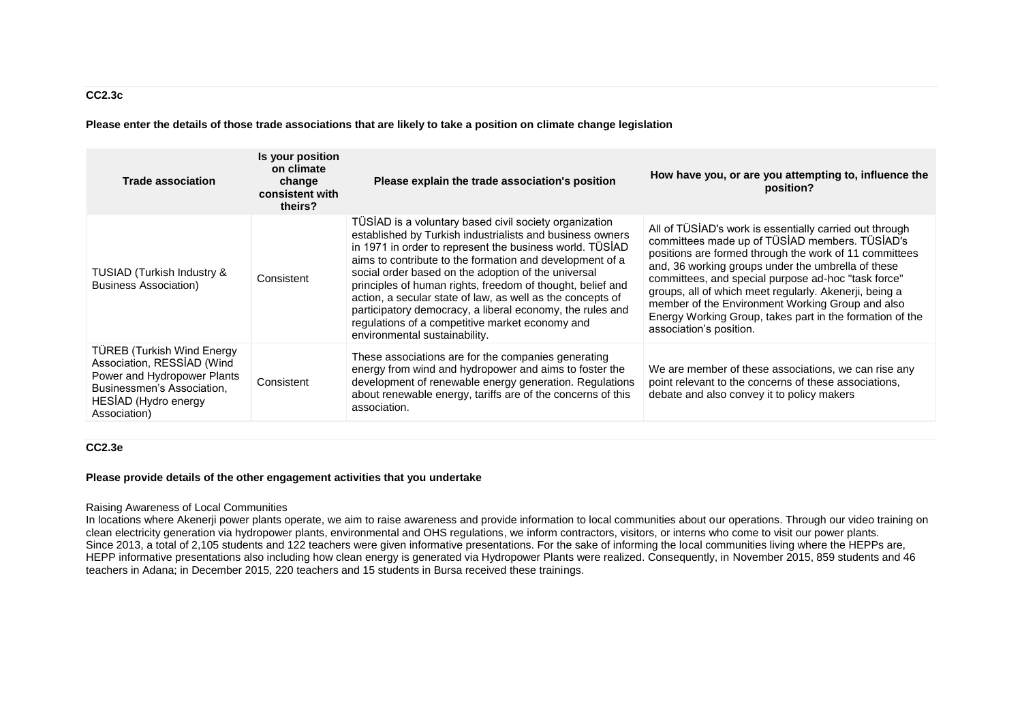**Please enter the details of those trade associations that are likely to take a position on climate change legislation**

| <b>Trade association</b>                                                                                                                                              | Is your position<br>on climate<br>change<br>consistent with<br>theirs? | Please explain the trade association's position                                                                                                                                                                                                                                                                                                                                                                                                                                                                                                                                 | How have you, or are you attempting to, influence the<br>position?                                                                                                                                                                                                                                                                                                                                                                                                                    |
|-----------------------------------------------------------------------------------------------------------------------------------------------------------------------|------------------------------------------------------------------------|---------------------------------------------------------------------------------------------------------------------------------------------------------------------------------------------------------------------------------------------------------------------------------------------------------------------------------------------------------------------------------------------------------------------------------------------------------------------------------------------------------------------------------------------------------------------------------|---------------------------------------------------------------------------------------------------------------------------------------------------------------------------------------------------------------------------------------------------------------------------------------------------------------------------------------------------------------------------------------------------------------------------------------------------------------------------------------|
| TUSIAD (Turkish Industry &<br><b>Business Association)</b>                                                                                                            | Consistent                                                             | TÜSİAD is a voluntary based civil society organization<br>established by Turkish industrialists and business owners<br>in 1971 in order to represent the business world. TUSIAD<br>aims to contribute to the formation and development of a<br>social order based on the adoption of the universal<br>principles of human rights, freedom of thought, belief and<br>action, a secular state of law, as well as the concepts of<br>participatory democracy, a liberal economy, the rules and<br>regulations of a competitive market economy and<br>environmental sustainability. | All of TÜSİAD's work is essentially carried out through<br>committees made up of TÜSİAD members. TÜSİAD's<br>positions are formed through the work of 11 committees<br>and, 36 working groups under the umbrella of these<br>committees, and special purpose ad-hoc "task force"<br>groups, all of which meet regularly. Akenerii, being a<br>member of the Environment Working Group and also<br>Energy Working Group, takes part in the formation of the<br>association's position. |
| <b>TÜREB (Turkish Wind Energy)</b><br>Association, RESSIAD (Wind<br>Power and Hydropower Plants<br>Businessmen's Association.<br>HESİAD (Hydro energy<br>Association) | Consistent                                                             | These associations are for the companies generating<br>energy from wind and hydropower and aims to foster the<br>development of renewable energy generation. Regulations<br>about renewable energy, tariffs are of the concerns of this<br>association.                                                                                                                                                                                                                                                                                                                         | We are member of these associations, we can rise any<br>point relevant to the concerns of these associations,<br>debate and also convey it to policy makers                                                                                                                                                                                                                                                                                                                           |

**CC2.3e**

### **Please provide details of the other engagement activities that you undertake**

#### Raising Awareness of Local Communities

In locations where Akenerii power plants operate, we aim to raise awareness and provide information to local communities about our operations. Through our video training on clean electricity generation via hydropower plants, environmental and OHS regulations, we inform contractors, visitors, or interns who come to visit our power plants. Since 2013, a total of 2,105 students and 122 teachers were given informative presentations. For the sake of informing the local communities living where the HEPPs are, HEPP informative presentations also including how clean energy is generated via Hydropower Plants were realized. Consequently, in November 2015, 859 students and 46 teachers in Adana; in December 2015, 220 teachers and 15 students in Bursa received these trainings.

#### **CC2.3c**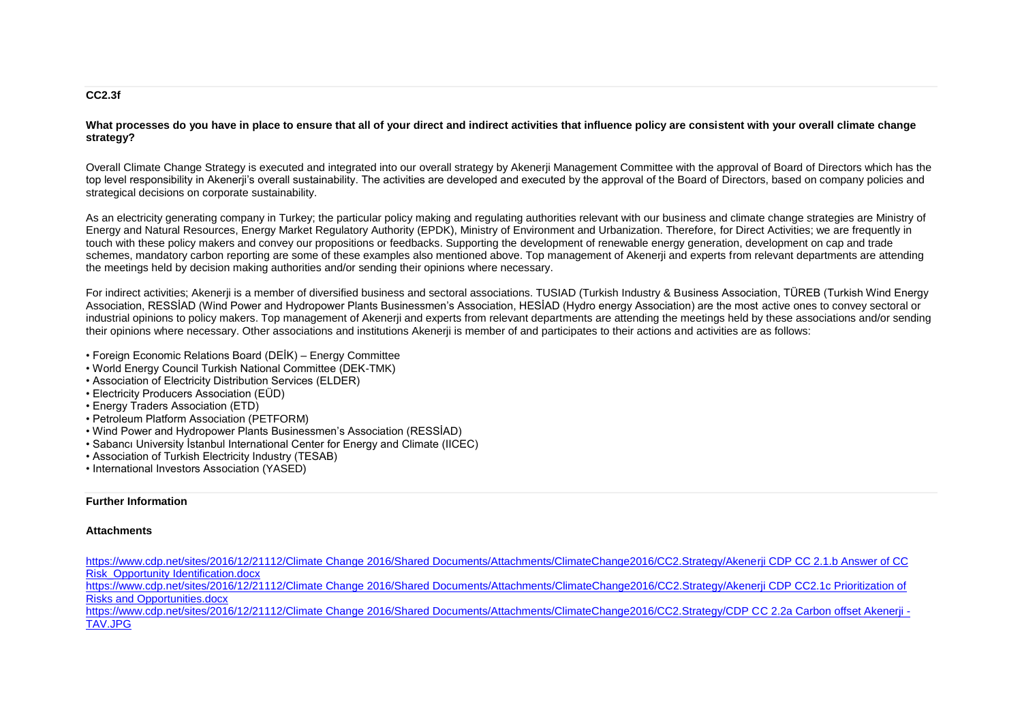#### **CC2.3f**

What processes do you have in place to ensure that all of your direct and indirect activities that influence policy are consistent with your overall climate change **strategy?**

Overall Climate Change Strategy is executed and integrated into our overall strategy by Akenerji Management Committee with the approval of Board of Directors which has the top level responsibility in Akenerji's overall sustainability. The activities are developed and executed by the approval of the Board of Directors, based on company policies and strategical decisions on corporate sustainability.

As an electricity generating company in Turkey; the particular policy making and regulating authorities relevant with our business and climate change strategies are Ministry of Energy and Natural Resources, Energy Market Regulatory Authority (EPDK), Ministry of Environment and Urbanization. Therefore, for Direct Activities; we are frequently in touch with these policy makers and convey our propositions or feedbacks. Supporting the development of renewable energy generation, development on cap and trade schemes, mandatory carbon reporting are some of these examples also mentioned above. Top management of Akenerji and experts from relevant departments are attending the meetings held by decision making authorities and/or sending their opinions where necessary.

For indirect activities; Akenerji is a member of diversified business and sectoral associations. TUSIAD (Turkish Industry & Business Association, TÜREB (Turkish Wind Energy Association, RESSİAD (Wind Power and Hydropower Plants Businessmen's Association, HESİAD (Hydro energy Association) are the most active ones to convey sectoral or industrial opinions to policy makers. Top management of Akenerji and experts from relevant departments are attending the meetings held by these associations and/or sending their opinions where necessary. Other associations and institutions Akenerji is member of and participates to their actions and activities are as follows:

- Foreign Economic Relations Board (DEİK) Energy Committee
- World Energy Council Turkish National Committee (DEK-TMK)
- Association of Electricity Distribution Services (ELDER)
- Electricity Producers Association (EÜD)
- Energy Traders Association (ETD)
- Petroleum Platform Association (PETFORM)
- Wind Power and Hydropower Plants Businessmen's Association (RESSİAD)
- Sabancı University İstanbul International Center for Energy and Climate (IICEC)
- Association of Turkish Electricity Industry (TESAB)
- International Investors Association (YASED)

#### **Further Information**

#### **Attachments**

[https://www.cdp.net/sites/2016/12/21112/Climate Change 2016/Shared Documents/Attachments/ClimateChange2016/CC2.Strategy/Akenerji CDP CC 2.1.b Answer of CC](https://www.cdp.net/sites/2016/12/21112/Climate%20Change%202016/Shared%20Documents/Attachments/ClimateChange2016/CC2.Strategy/Akenerji%20CDP%20CC%202.1.b%20Answer%20of%20CC%20Risk_Opportunity%20Identification.docx)  **Risk Opportunity Identification.docx** 

https://www.cdp.net/sites/2016/12/21112/Climate Change 2016/Shared Documents/Attachments/ClimateChange2016/CC2.Strategy/Akenerii CDP CC2.1c Prioritization of [Risks and Opportunities.docx](https://www.cdp.net/sites/2016/12/21112/Climate%20Change%202016/Shared%20Documents/Attachments/ClimateChange2016/CC2.Strategy/Akenerji%20CDP%20CC2.1c%20%20Prioritization%20of%20Risks%20and%20Opportunities.docx)

https://www.cdp.net/sites/2016/12/21112/Climate Change 2016/Shared Documents/Attachments/ClimateChange2016/CC2.Strategy/CDP CC 2.2a Carbon offset Akenerii -[TAV.JPG](https://www.cdp.net/sites/2016/12/21112/Climate%20Change%202016/Shared%20Documents/Attachments/ClimateChange2016/CC2.Strategy/CDP%20CC%202.2a%20Carbon%20offset%20Akenerji%20-%20TAV.JPG)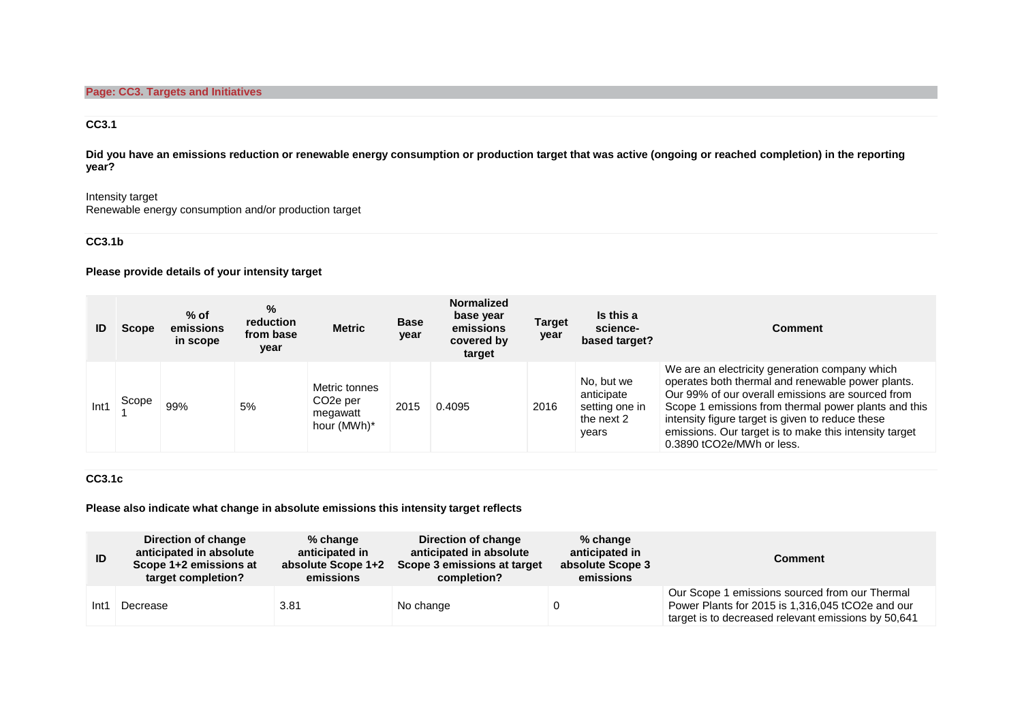### **CC3.1**

**Did you have an emissions reduction or renewable energy consumption or production target that was active (ongoing or reached completion) in the reporting year?**

## Intensity target

Renewable energy consumption and/or production target

### **CC3.1b**

**Please provide details of your intensity target**

|      | <b>Scope</b> | $%$ of<br>emissions<br>in scope | $\%$<br>reduction<br>from base<br>year | <b>Metric</b>                                                     | <b>Base</b><br>year | <b>Normalized</b><br>base year<br>emissions<br>covered by<br>target | <b>Target</b><br>year | Is this a<br>science-<br>based target?                            | Comment                                                                                                                                                                                                                                                                                                                                                     |
|------|--------------|---------------------------------|----------------------------------------|-------------------------------------------------------------------|---------------------|---------------------------------------------------------------------|-----------------------|-------------------------------------------------------------------|-------------------------------------------------------------------------------------------------------------------------------------------------------------------------------------------------------------------------------------------------------------------------------------------------------------------------------------------------------------|
| Int1 | Scope        | 99%                             | 5%                                     | Metric tonnes<br>CO <sub>2</sub> e per<br>megawatt<br>hour (MWh)* | 2015                | 0.4095                                                              | 2016                  | No. but we<br>anticipate<br>setting one in<br>the next 2<br>years | We are an electricity generation company which<br>operates both thermal and renewable power plants.<br>Our 99% of our overall emissions are sourced from<br>Scope 1 emissions from thermal power plants and this<br>intensity figure target is given to reduce these<br>emissions. Our target is to make this intensity target<br>0.3890 tCO2e/MWh or less. |

### **CC3.1c**

**Please also indicate what change in absolute emissions this intensity target reflects**

| ID   | Direction of change<br>anticipated in absolute<br>Scope 1+2 emissions at<br>target completion? | $%$ change<br>anticipated in<br>absolute Scope 1+2<br>emissions | Direction of change<br>anticipated in absolute<br>Scope 3 emissions at target<br>completion? | $%$ change<br>anticipated in<br>absolute Scope 3<br>emissions | Comment                                                                                                                                                   |
|------|------------------------------------------------------------------------------------------------|-----------------------------------------------------------------|----------------------------------------------------------------------------------------------|---------------------------------------------------------------|-----------------------------------------------------------------------------------------------------------------------------------------------------------|
| Int1 | Decrease                                                                                       | 3.81                                                            | No change                                                                                    |                                                               | Our Scope 1 emissions sourced from our Thermal<br>Power Plants for 2015 is 1,316,045 tCO2e and our<br>target is to decreased relevant emissions by 50,641 |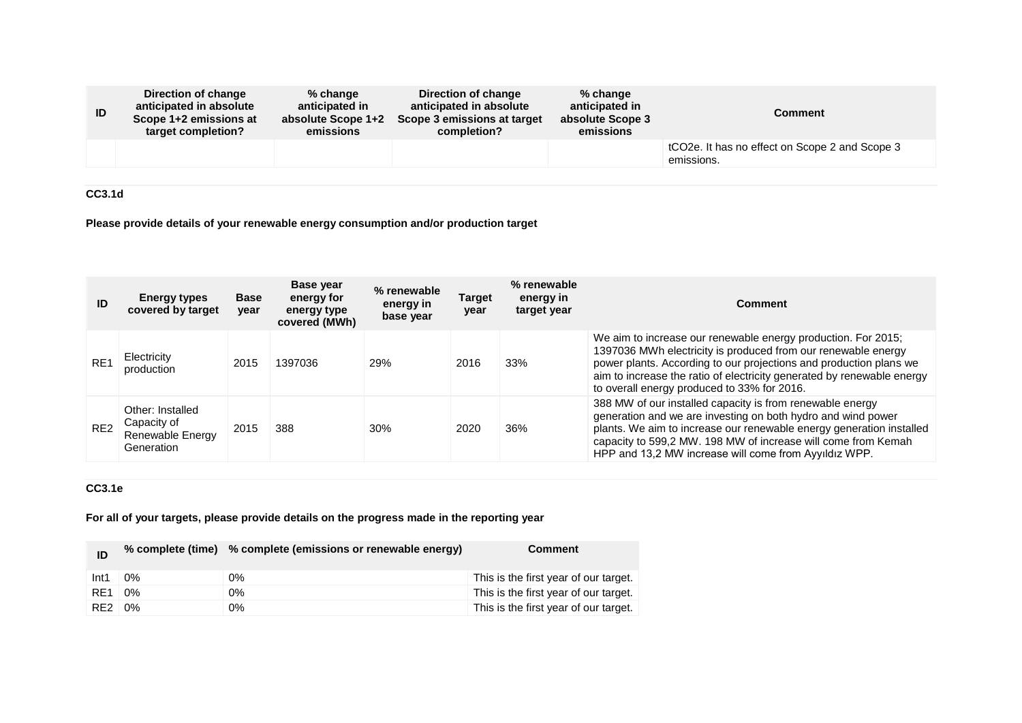| ID | Direction of change<br>anticipated in absolute<br>Scope 1+2 emissions at<br>target completion? | $%$ change<br>anticipated in<br>absolute Scope 1+2<br>emissions | Direction of change<br>anticipated in absolute<br>Scope 3 emissions at target<br>completion? | $%$ change<br>anticipated in<br>absolute Scope 3<br>emissions | <b>Comment</b>                                                            |
|----|------------------------------------------------------------------------------------------------|-----------------------------------------------------------------|----------------------------------------------------------------------------------------------|---------------------------------------------------------------|---------------------------------------------------------------------------|
|    |                                                                                                |                                                                 |                                                                                              |                                                               | tCO <sub>2</sub> e. It has no effect on Scope 2 and Scope 3<br>emissions. |

**CC3.1d**

**Please provide details of your renewable energy consumption and/or production target**

| ID              | <b>Energy types</b><br>covered by target                          | <b>Base</b><br>year | Base year<br>energy for<br>energy type<br>covered (MWh) | % renewable<br>energy in<br>base year | <b>Target</b><br>year | % renewable<br>energy in<br>target year | Comment                                                                                                                                                                                                                                                                                                                       |
|-----------------|-------------------------------------------------------------------|---------------------|---------------------------------------------------------|---------------------------------------|-----------------------|-----------------------------------------|-------------------------------------------------------------------------------------------------------------------------------------------------------------------------------------------------------------------------------------------------------------------------------------------------------------------------------|
| RE <sub>1</sub> | Electricity<br>production                                         | 2015                | 1397036                                                 | 29%                                   | 2016                  | 33%                                     | We aim to increase our renewable energy production. For 2015;<br>1397036 MWh electricity is produced from our renewable energy<br>power plants. According to our projections and production plans we<br>aim to increase the ratio of electricity generated by renewable energy<br>to overall energy produced to 33% for 2016. |
| RE <sub>2</sub> | Other: Installed<br>Capacity of<br>Renewable Energy<br>Generation | 2015                | 388                                                     | 30%                                   | 2020                  | 36%                                     | 388 MW of our installed capacity is from renewable energy<br>generation and we are investing on both hydro and wind power<br>plants. We aim to increase our renewable energy generation installed<br>capacity to 599,2 MW. 198 MW of increase will come from Kemah<br>HPP and 13,2 MW increase will come from Ayyıldız WPP.   |

## **CC3.1e**

**For all of your targets, please provide details on the progress made in the reporting year**

|                  |       | % complete (time) % complete (emissions or renewable energy) | <b>Comment</b>                        |
|------------------|-------|--------------------------------------------------------------|---------------------------------------|
| Int <sub>1</sub> | $0\%$ | 0%                                                           | This is the first year of our target. |
| RE1              | $0\%$ | 0%                                                           | This is the first year of our target. |
| RE <sub>2</sub>  | 0%    | 0%                                                           | This is the first year of our target. |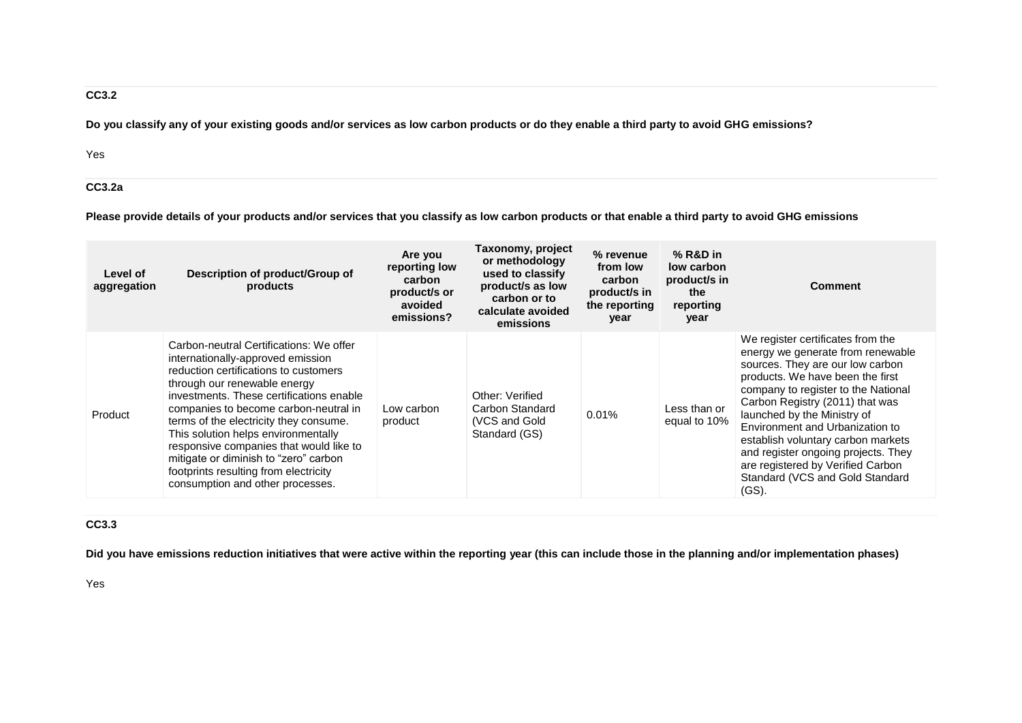## **CC3.2**

**Do you classify any of your existing goods and/or services as low carbon products or do they enable a third party to avoid GHG emissions?**

Yes

### **CC3.2a**

**Please provide details of your products and/or services that you classify as low carbon products or that enable a third party to avoid GHG emissions**

| Level of<br>aggregation | Description of product/Group of<br>products                                                                                                                                                                                                                                                                                                                                                                                                                                                  | Are you<br>reporting low<br>carbon<br>product/s or<br>avoided<br>emissions? | Taxonomy, project<br>or methodology<br>used to classify<br>product/s as low<br>carbon or to<br>calculate avoided<br>emissions | % revenue<br>from low<br>carbon<br>product/s in<br>the reporting<br>year | $%$ R&D in<br>low carbon<br>product/s in<br>the<br>reporting<br>year | <b>Comment</b>                                                                                                                                                                                                                                                                                                                                                                                                                                              |
|-------------------------|----------------------------------------------------------------------------------------------------------------------------------------------------------------------------------------------------------------------------------------------------------------------------------------------------------------------------------------------------------------------------------------------------------------------------------------------------------------------------------------------|-----------------------------------------------------------------------------|-------------------------------------------------------------------------------------------------------------------------------|--------------------------------------------------------------------------|----------------------------------------------------------------------|-------------------------------------------------------------------------------------------------------------------------------------------------------------------------------------------------------------------------------------------------------------------------------------------------------------------------------------------------------------------------------------------------------------------------------------------------------------|
| Product                 | Carbon-neutral Certifications: We offer<br>internationally-approved emission<br>reduction certifications to customers<br>through our renewable energy<br>investments. These certifications enable<br>companies to become carbon-neutral in<br>terms of the electricity they consume.<br>This solution helps environmentally<br>responsive companies that would like to<br>mitigate or diminish to "zero" carbon<br>footprints resulting from electricity<br>consumption and other processes. | Low carbon<br>product                                                       | Other: Verified<br>Carbon Standard<br>(VCS and Gold<br>Standard (GS)                                                          | 0.01%                                                                    | Less than or<br>equal to 10%                                         | We register certificates from the<br>energy we generate from renewable<br>sources. They are our low carbon<br>products. We have been the first<br>company to register to the National<br>Carbon Registry (2011) that was<br>launched by the Ministry of<br>Environment and Urbanization to<br>establish voluntary carbon markets<br>and register ongoing projects. They<br>are registered by Verified Carbon<br>Standard (VCS and Gold Standard<br>$(GS)$ . |

## **CC3.3**

**Did you have emissions reduction initiatives that were active within the reporting year (this can include those in the planning and/or implementation phases)**

Yes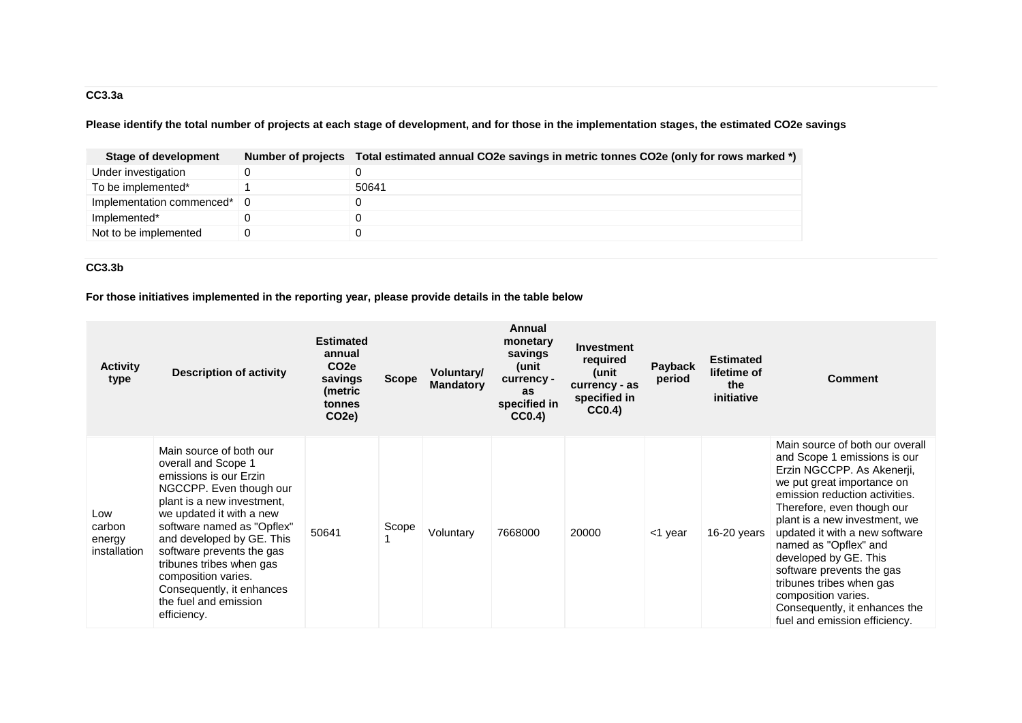# **CC3.3a**

**Please identify the total number of projects at each stage of development, and for those in the implementation stages, the estimated CO2e savings**

| Stage of development          | Number of projects Total estimated annual CO2e savings in metric tonnes CO2e (only for rows marked *) |
|-------------------------------|-------------------------------------------------------------------------------------------------------|
| Under investigation           |                                                                                                       |
| To be implemented*            | 50641                                                                                                 |
| Implementation commenced*   0 |                                                                                                       |
| Implemented*                  |                                                                                                       |
| Not to be implemented         |                                                                                                       |

### **CC3.3b**

**For those initiatives implemented in the reporting year, please provide details in the table below**

| <b>Activity</b><br>type                 | <b>Description of activity</b>                                                                                                                                                                                                                                                                                                                                                | <b>Estimated</b><br>annual<br>CO <sub>2</sub> e<br>savings<br>(metric<br>tonnes<br>CO <sub>2</sub> e) | <b>Scope</b> | <b>Voluntary/</b><br><b>Mandatory</b> | Annual<br>monetary<br>savings<br>(unit<br>currency -<br>as<br>specified in<br>CC0.4) | <b>Investment</b><br>required<br>(unit<br>currency - as<br>specified in<br>CC0.4) | Payback<br>period | <b>Estimated</b><br>lifetime of<br>the<br>initiative | <b>Comment</b>                                                                                                                                                                                                                                                                                                                                                                                                                                                     |
|-----------------------------------------|-------------------------------------------------------------------------------------------------------------------------------------------------------------------------------------------------------------------------------------------------------------------------------------------------------------------------------------------------------------------------------|-------------------------------------------------------------------------------------------------------|--------------|---------------------------------------|--------------------------------------------------------------------------------------|-----------------------------------------------------------------------------------|-------------------|------------------------------------------------------|--------------------------------------------------------------------------------------------------------------------------------------------------------------------------------------------------------------------------------------------------------------------------------------------------------------------------------------------------------------------------------------------------------------------------------------------------------------------|
| Low<br>carbon<br>energy<br>installation | Main source of both our<br>overall and Scope 1<br>emissions is our Erzin<br>NGCCPP. Even though our<br>plant is a new investment,<br>we updated it with a new<br>software named as "Opflex"<br>and developed by GE. This<br>software prevents the gas<br>tribunes tribes when gas<br>composition varies.<br>Consequently, it enhances<br>the fuel and emission<br>efficiency. | 50641                                                                                                 | Scope        | Voluntary                             | 7668000                                                                              | 20000                                                                             | <1 year           | 16-20 years                                          | Main source of both our overall<br>and Scope 1 emissions is our<br>Erzin NGCCPP. As Akenerii,<br>we put great importance on<br>emission reduction activities.<br>Therefore, even though our<br>plant is a new investment, we<br>updated it with a new software<br>named as "Opflex" and<br>developed by GE. This<br>software prevents the gas<br>tribunes tribes when gas<br>composition varies.<br>Consequently, it enhances the<br>fuel and emission efficiency. |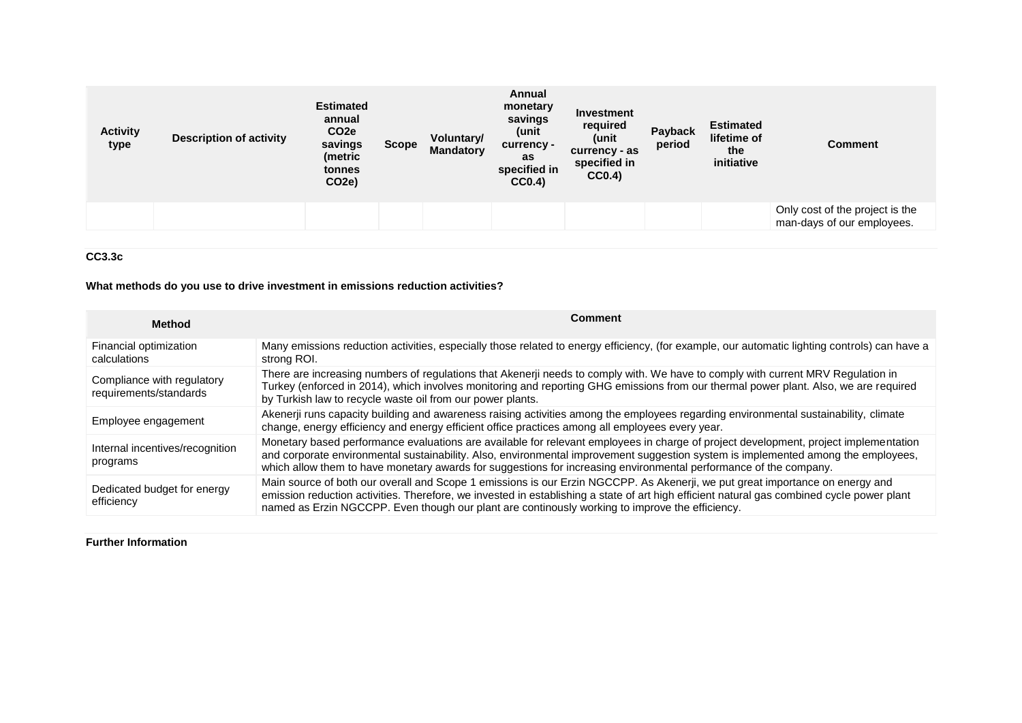| <b>Activity</b><br>type | <b>Description of activity</b> | <b>Estimated</b><br>annual<br>CO <sub>2</sub> e<br>savings<br>(metric<br>tonnes<br>CO <sub>2</sub> e) | <b>Scope</b> | Voluntary/<br><b>Mandatory</b> | Annual<br>monetary<br>savings<br>(unit<br>currency -<br>as<br>specified in<br>CC0.4) | Investment<br>required<br>(unit<br>currency - as<br>specified in<br>CC0.4) | Payback<br>period | <b>Estimated</b><br>lifetime of<br>the<br>initiative | Comment                                                       |
|-------------------------|--------------------------------|-------------------------------------------------------------------------------------------------------|--------------|--------------------------------|--------------------------------------------------------------------------------------|----------------------------------------------------------------------------|-------------------|------------------------------------------------------|---------------------------------------------------------------|
|                         |                                |                                                                                                       |              |                                |                                                                                      |                                                                            |                   |                                                      | Only cost of the project is the<br>man-days of our employees. |

### **CC3.3c**

### **What methods do you use to drive investment in emissions reduction activities?**

| <b>Method</b>                                        | <b>Comment</b>                                                                                                                                                                                                                                                                                                                                                                                 |
|------------------------------------------------------|------------------------------------------------------------------------------------------------------------------------------------------------------------------------------------------------------------------------------------------------------------------------------------------------------------------------------------------------------------------------------------------------|
| Financial optimization<br>calculations               | Many emissions reduction activities, especially those related to energy efficiency, (for example, our automatic lighting controls) can have a<br>strong ROI.                                                                                                                                                                                                                                   |
| Compliance with regulatory<br>requirements/standards | There are increasing numbers of regulations that Akenerji needs to comply with. We have to comply with current MRV Regulation in<br>Turkey (enforced in 2014), which involves monitoring and reporting GHG emissions from our thermal power plant. Also, we are required<br>by Turkish law to recycle waste oil from our power plants.                                                         |
| Employee engagement                                  | Akenerji runs capacity building and awareness raising activities among the employees regarding environmental sustainability, climate<br>change, energy efficiency and energy efficient office practices among all employees every year.                                                                                                                                                        |
| Internal incentives/recognition<br>programs          | Monetary based performance evaluations are available for relevant employees in charge of project development, project implementation<br>and corporate environmental sustainability. Also, environmental improvement suggestion system is implemented among the employees,<br>which allow them to have monetary awards for suggestions for increasing environmental performance of the company. |
| Dedicated budget for energy<br>efficiency            | Main source of both our overall and Scope 1 emissions is our Erzin NGCCPP. As Akenerii, we put great importance on energy and<br>emission reduction activities. Therefore, we invested in establishing a state of art high efficient natural gas combined cycle power plant<br>named as Erzin NGCCPP. Even though our plant are continously working to improve the efficiency.                 |

### **Further Information**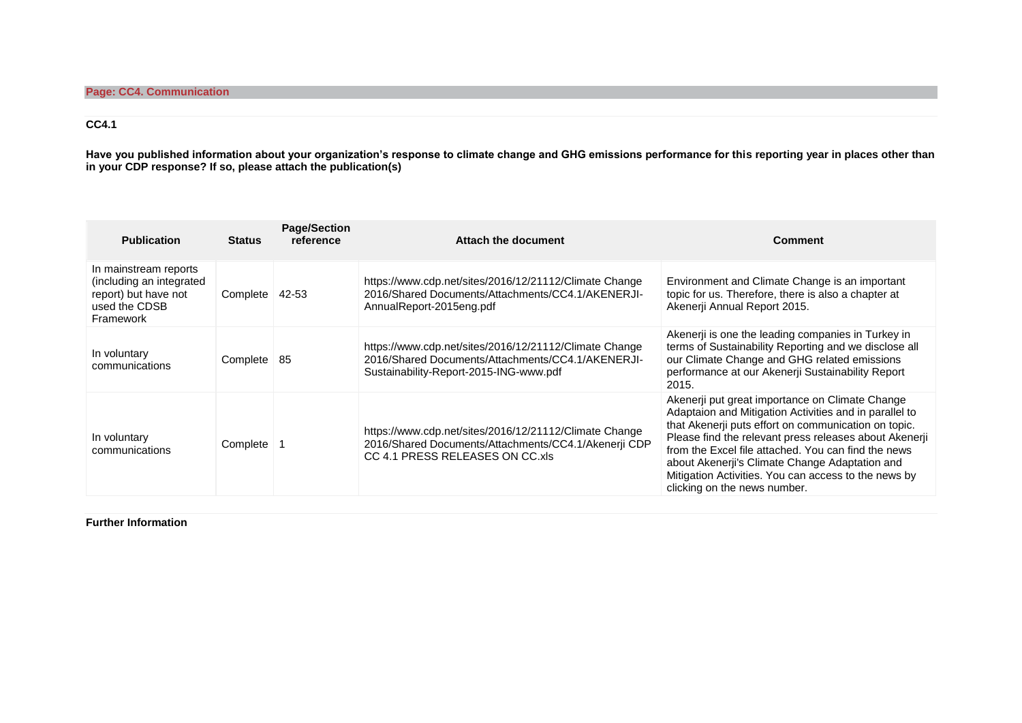## **CC4.1**

**Have you published information about your organization's response to climate change and GHG emissions performance for this reporting year in places other than in your CDP response? If so, please attach the publication(s)**

| <b>Publication</b>                                                                                      | <b>Status</b> | <b>Page/Section</b><br>reference | Attach the document                                                                                                                                   | <b>Comment</b>                                                                                                                                                                                                                                                                                                                                                                                                               |
|---------------------------------------------------------------------------------------------------------|---------------|----------------------------------|-------------------------------------------------------------------------------------------------------------------------------------------------------|------------------------------------------------------------------------------------------------------------------------------------------------------------------------------------------------------------------------------------------------------------------------------------------------------------------------------------------------------------------------------------------------------------------------------|
| In mainstream reports<br>(including an integrated<br>report) but have not<br>used the CDSB<br>Framework | Complete      | 42-53                            | https://www.cdp.net/sites/2016/12/21112/Climate Change<br>2016/Shared Documents/Attachments/CC4.1/AKENERJI-<br>AnnualReport-2015eng.pdf               | Environment and Climate Change is an important<br>topic for us. Therefore, there is also a chapter at<br>Akenerji Annual Report 2015.                                                                                                                                                                                                                                                                                        |
| In voluntary<br>communications                                                                          | Complete      | -85                              | https://www.cdp.net/sites/2016/12/21112/Climate Change<br>2016/Shared Documents/Attachments/CC4.1/AKENERJI-<br>Sustainability-Report-2015-ING-www.pdf | Akenerji is one the leading companies in Turkey in<br>terms of Sustainability Reporting and we disclose all<br>our Climate Change and GHG related emissions<br>performance at our Akenerji Sustainability Report<br>2015.                                                                                                                                                                                                    |
| In voluntary<br>communications                                                                          | Complete      |                                  | https://www.cdp.net/sites/2016/12/21112/Climate Change<br>2016/Shared Documents/Attachments/CC4.1/Akenerji CDP<br>CC 4.1 PRESS RELEASES ON CC.xls     | Akenerji put great importance on Climate Change<br>Adaptaion and Mitigation Activities and in parallel to<br>that Akenerji puts effort on communication on topic.<br>Please find the relevant press releases about Akenerji<br>from the Excel file attached. You can find the news<br>about Akenerji's Climate Change Adaptation and<br>Mitigation Activities. You can access to the news by<br>clicking on the news number. |

**Further Information**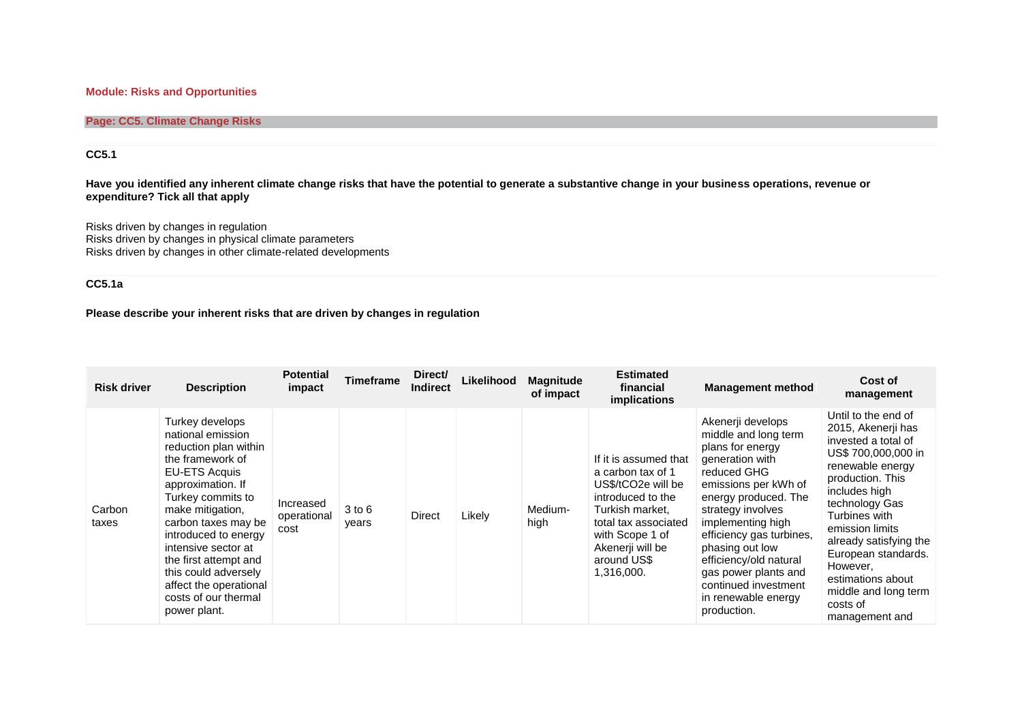### **Module: Risks and Opportunities**

### **Page: CC5. Climate Change Risks**

### **CC5.1**

**Have you identified any inherent climate change risks that have the potential to generate a substantive change in your business operations, revenue or expenditure? Tick all that apply**

Risks driven by changes in regulation Risks driven by changes in physical climate parameters Risks driven by changes in other climate-related developments

### **CC5.1a**

**Please describe your inherent risks that are driven by changes in regulation**

| <b>Risk driver</b> | <b>Description</b>                                                                                                                                                                                                                                                                                                                                               | <b>Potential</b><br>impact       | Timeframe       | Direct/<br><b>Indirect</b> | Likelihood | <b>Magnitude</b><br>of impact | <b>Estimated</b><br>financial<br><i>implications</i>                                                                                                                                                 | <b>Management method</b>                                                                                                                                                                                                                                                                                                                                 | Cost of<br>management                                                                                                                                                                                                                                                                                                                          |
|--------------------|------------------------------------------------------------------------------------------------------------------------------------------------------------------------------------------------------------------------------------------------------------------------------------------------------------------------------------------------------------------|----------------------------------|-----------------|----------------------------|------------|-------------------------------|------------------------------------------------------------------------------------------------------------------------------------------------------------------------------------------------------|----------------------------------------------------------------------------------------------------------------------------------------------------------------------------------------------------------------------------------------------------------------------------------------------------------------------------------------------------------|------------------------------------------------------------------------------------------------------------------------------------------------------------------------------------------------------------------------------------------------------------------------------------------------------------------------------------------------|
| Carbon<br>taxes    | Turkey develops<br>national emission<br>reduction plan within<br>the framework of<br><b>EU-ETS Acquis</b><br>approximation. If<br>Turkey commits to<br>make mitigation,<br>carbon taxes may be<br>introduced to energy<br>intensive sector at<br>the first attempt and<br>this could adversely<br>affect the operational<br>costs of our thermal<br>power plant. | Increased<br>operational<br>cost | 3 to 6<br>years | Direct                     | Likely     | Medium-<br>high               | If it is assumed that<br>a carbon tax of 1<br>US\$/tCO2e will be<br>introduced to the<br>Turkish market.<br>total tax associated<br>with Scope 1 of<br>Akenerji will be<br>around US\$<br>1,316,000. | Akenerji develops<br>middle and long term<br>plans for energy<br>generation with<br>reduced GHG<br>emissions per kWh of<br>energy produced. The<br>strategy involves<br>implementing high<br>efficiency gas turbines,<br>phasing out low<br>efficiency/old natural<br>gas power plants and<br>continued investment<br>in renewable energy<br>production. | Until to the end of<br>2015, Akenerji has<br>invested a total of<br>US\$ 700,000,000 in<br>renewable energy<br>production. This<br>includes high<br>technology Gas<br>Turbines with<br>emission limits<br>already satisfying the<br>European standards.<br>However.<br>estimations about<br>middle and long term<br>costs of<br>management and |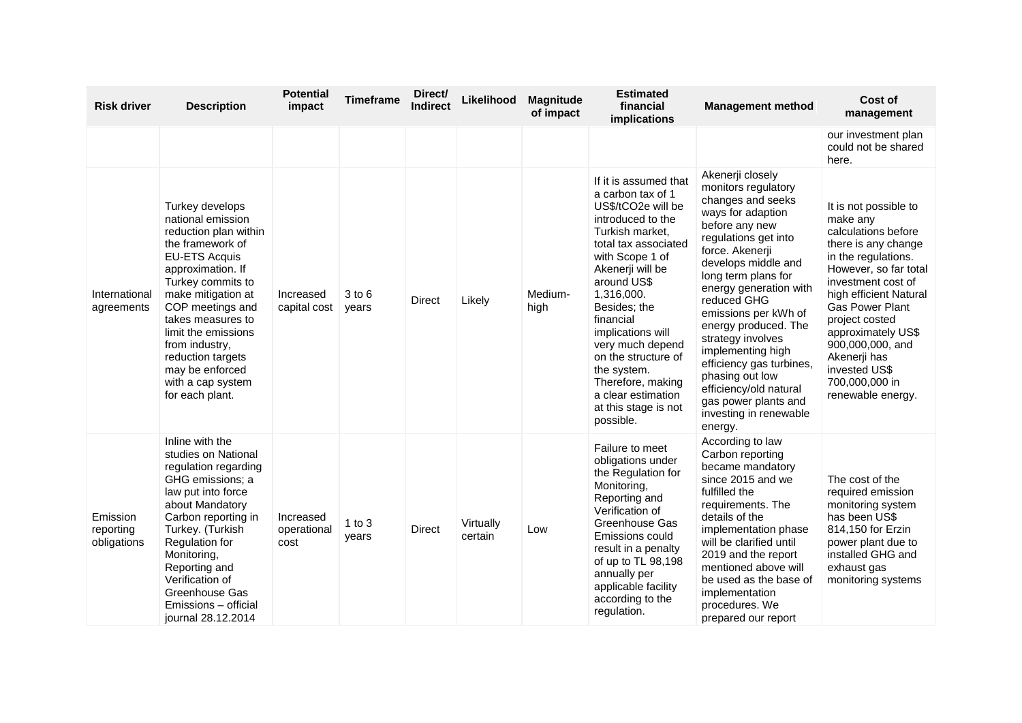| <b>Risk driver</b>                   | <b>Description</b>                                                                                                                                                                                                                                                                                                                          | <b>Potential</b><br>impact       | <b>Timeframe</b>    | Direct/<br><b>Indirect</b> | Likelihood           | <b>Magnitude</b><br>of impact | <b>Estimated</b><br>financial<br>implications                                                                                                                                                                                                                                                                                                                                                    | <b>Management method</b>                                                                                                                                                                                                                                                                                                                                                                                                                                              | Cost of<br>management                                                                                                                                                                                                                                                                                                                  |
|--------------------------------------|---------------------------------------------------------------------------------------------------------------------------------------------------------------------------------------------------------------------------------------------------------------------------------------------------------------------------------------------|----------------------------------|---------------------|----------------------------|----------------------|-------------------------------|--------------------------------------------------------------------------------------------------------------------------------------------------------------------------------------------------------------------------------------------------------------------------------------------------------------------------------------------------------------------------------------------------|-----------------------------------------------------------------------------------------------------------------------------------------------------------------------------------------------------------------------------------------------------------------------------------------------------------------------------------------------------------------------------------------------------------------------------------------------------------------------|----------------------------------------------------------------------------------------------------------------------------------------------------------------------------------------------------------------------------------------------------------------------------------------------------------------------------------------|
|                                      |                                                                                                                                                                                                                                                                                                                                             |                                  |                     |                            |                      |                               |                                                                                                                                                                                                                                                                                                                                                                                                  |                                                                                                                                                                                                                                                                                                                                                                                                                                                                       | our investment plan<br>could not be shared<br>here.                                                                                                                                                                                                                                                                                    |
| International<br>agreements          | Turkey develops<br>national emission<br>reduction plan within<br>the framework of<br><b>EU-ETS Acquis</b><br>approximation. If<br>Turkey commits to<br>make mitigation at<br>COP meetings and<br>takes measures to<br>limit the emissions<br>from industry,<br>reduction targets<br>may be enforced<br>with a cap system<br>for each plant. | Increased<br>capital cost        | $3$ to $6$<br>years | <b>Direct</b>              | Likely               | Medium-<br>high               | If it is assumed that<br>a carbon tax of 1<br>US\$/tCO2e will be<br>introduced to the<br>Turkish market,<br>total tax associated<br>with Scope 1 of<br>Akenerji will be<br>around US\$<br>1,316,000.<br>Besides; the<br>financial<br>implications will<br>very much depend<br>on the structure of<br>the system.<br>Therefore, making<br>a clear estimation<br>at this stage is not<br>possible. | Akenerji closely<br>monitors regulatory<br>changes and seeks<br>ways for adaption<br>before any new<br>regulations get into<br>force. Akenerji<br>develops middle and<br>long term plans for<br>energy generation with<br>reduced GHG<br>emissions per kWh of<br>energy produced. The<br>strategy involves<br>implementing high<br>efficiency gas turbines,<br>phasing out low<br>efficiency/old natural<br>gas power plants and<br>investing in renewable<br>energy. | It is not possible to<br>make any<br>calculations before<br>there is any change<br>in the regulations.<br>However, so far total<br>investment cost of<br>high efficient Natural<br>Gas Power Plant<br>project costed<br>approximately US\$<br>900,000,000, and<br>Akenerji has<br>invested US\$<br>700,000,000 in<br>renewable energy. |
| Emission<br>reporting<br>obligations | Inline with the<br>studies on National<br>regulation regarding<br>GHG emissions; a<br>law put into force<br>about Mandatory<br>Carbon reporting in<br>Turkey. (Turkish<br>Regulation for<br>Monitoring,<br>Reporting and<br>Verification of<br>Greenhouse Gas<br>Emissions - official<br>journal 28.12.2014                                 | Increased<br>operational<br>cost | $1$ to $3$<br>years | Direct                     | Virtually<br>certain | Low                           | Failure to meet<br>obligations under<br>the Regulation for<br>Monitoring,<br>Reporting and<br>Verification of<br>Greenhouse Gas<br>Emissions could<br>result in a penalty<br>of up to TL 98,198<br>annually per<br>applicable facility<br>according to the<br>regulation.                                                                                                                        | According to law<br>Carbon reporting<br>became mandatory<br>since 2015 and we<br>fulfilled the<br>requirements. The<br>details of the<br>implementation phase<br>will be clarified until<br>2019 and the report<br>mentioned above will<br>be used as the base of<br>implementation<br>procedures. We<br>prepared our report                                                                                                                                          | The cost of the<br>required emission<br>monitoring system<br>has been US\$<br>814,150 for Erzin<br>power plant due to<br>installed GHG and<br>exhaust gas<br>monitoring systems                                                                                                                                                        |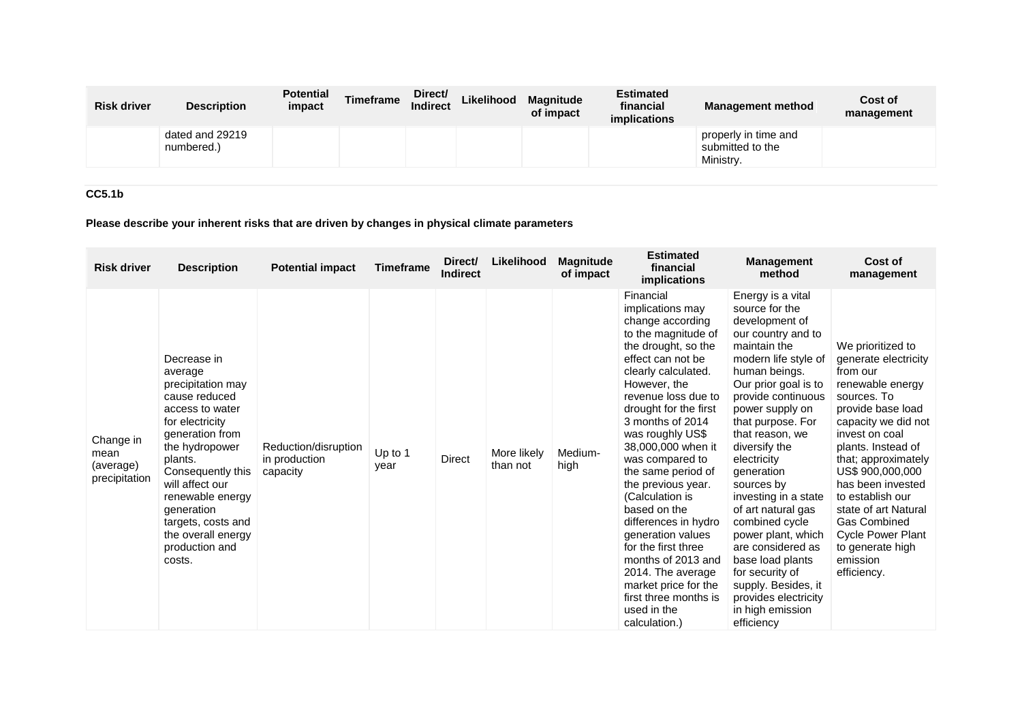| <b>Risk driver</b> | <b>Description</b>            | <b>Potential</b><br>impact | <b>Timeframe</b> | Direct/<br><b>Indirect</b> | Likelihood | <b>Magnitude</b><br>of impact | <b>Estimated</b><br>financial<br><i>implications</i> | <b>Management method</b>                              | Cost of<br>management |
|--------------------|-------------------------------|----------------------------|------------------|----------------------------|------------|-------------------------------|------------------------------------------------------|-------------------------------------------------------|-----------------------|
|                    | dated and 29219<br>numbered.) |                            |                  |                            |            |                               |                                                      | properly in time and<br>submitted to the<br>Ministry. |                       |

## **CC5.1b**

# **Please describe your inherent risks that are driven by changes in physical climate parameters**

| <b>Risk driver</b>                              | <b>Description</b>                                                                                                                                                                                                                                                                                   | <b>Potential impact</b>                           | <b>Timeframe</b> | Direct/<br><b>Indirect</b> | Likelihood              | <b>Magnitude</b><br>of impact | <b>Estimated</b><br>financial<br><i>implications</i>                                                                                                                                                                                                                                                                                                                                                                                                                                                                                                                        | <b>Management</b><br>method                                                                                                                                                                                                                                                                                                                                                                                                                                                                                                                  | Cost of<br>management                                                                                                                                                                                                                                                                                                                                                                      |
|-------------------------------------------------|------------------------------------------------------------------------------------------------------------------------------------------------------------------------------------------------------------------------------------------------------------------------------------------------------|---------------------------------------------------|------------------|----------------------------|-------------------------|-------------------------------|-----------------------------------------------------------------------------------------------------------------------------------------------------------------------------------------------------------------------------------------------------------------------------------------------------------------------------------------------------------------------------------------------------------------------------------------------------------------------------------------------------------------------------------------------------------------------------|----------------------------------------------------------------------------------------------------------------------------------------------------------------------------------------------------------------------------------------------------------------------------------------------------------------------------------------------------------------------------------------------------------------------------------------------------------------------------------------------------------------------------------------------|--------------------------------------------------------------------------------------------------------------------------------------------------------------------------------------------------------------------------------------------------------------------------------------------------------------------------------------------------------------------------------------------|
| Change in<br>mean<br>(average)<br>precipitation | Decrease in<br>average<br>precipitation may<br>cause reduced<br>access to water<br>for electricity<br>generation from<br>the hydropower<br>plants.<br>Consequently this<br>will affect our<br>renewable energy<br>generation<br>targets, costs and<br>the overall energy<br>production and<br>costs. | Reduction/disruption<br>in production<br>capacity | Up to 1<br>year  | Direct                     | More likely<br>than not | Medium-<br>high               | Financial<br>implications may<br>change according<br>to the magnitude of<br>the drought, so the<br>effect can not be<br>clearly calculated.<br>However, the<br>revenue loss due to<br>drought for the first<br>3 months of 2014<br>was roughly US\$<br>38,000,000 when it<br>was compared to<br>the same period of<br>the previous year.<br>(Calculation is<br>based on the<br>differences in hydro<br>generation values<br>for the first three<br>months of 2013 and<br>2014. The average<br>market price for the<br>first three months is<br>used in the<br>calculation.) | Energy is a vital<br>source for the<br>development of<br>our country and to<br>maintain the<br>modern life style of<br>human beings.<br>Our prior goal is to<br>provide continuous<br>power supply on<br>that purpose. For<br>that reason, we<br>diversify the<br>electricity<br>generation<br>sources by<br>investing in a state<br>of art natural gas<br>combined cycle<br>power plant, which<br>are considered as<br>base load plants<br>for security of<br>supply. Besides, it<br>provides electricity<br>in high emission<br>efficiency | We prioritized to<br>generate electricity<br>from our<br>renewable energy<br>sources. To<br>provide base load<br>capacity we did not<br>invest on coal<br>plants. Instead of<br>that; approximately<br>US\$ 900,000,000<br>has been invested<br>to establish our<br>state of art Natural<br><b>Gas Combined</b><br><b>Cycle Power Plant</b><br>to generate high<br>emission<br>efficiency. |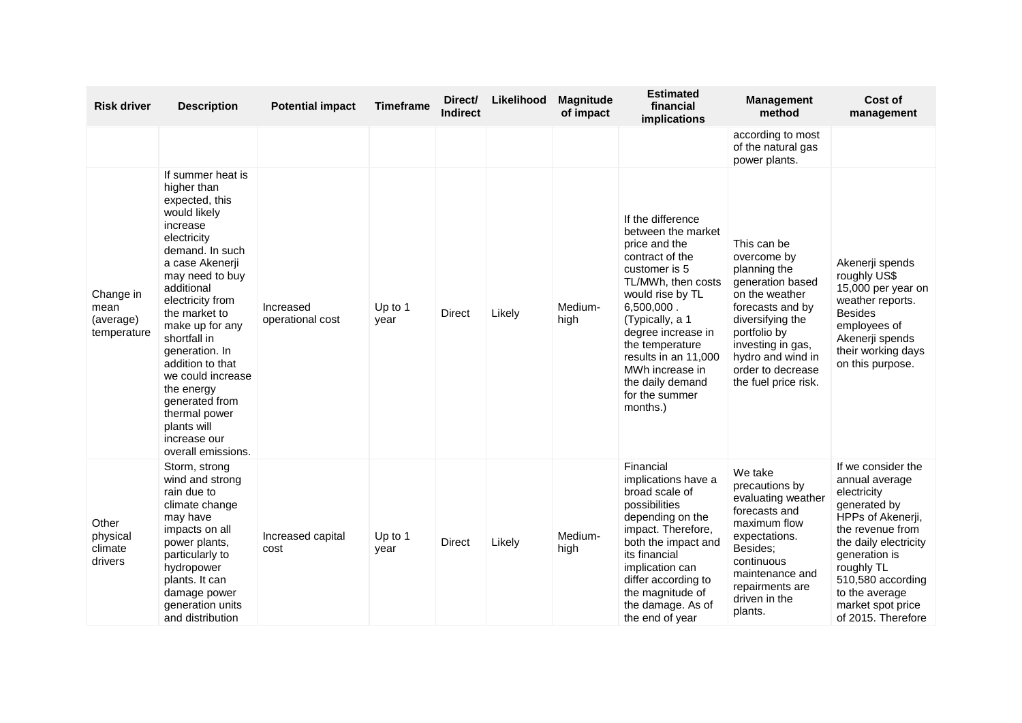| <b>Risk driver</b>                            | <b>Description</b>                                                                                                                                                                                                                                                                                                                                                                                            | <b>Potential impact</b>       | <b>Timeframe</b> | Direct/<br><b>Indirect</b> | Likelihood | <b>Magnitude</b><br>of impact | <b>Estimated</b><br>financial<br>implications                                                                                                                                                                                                                                                                 | <b>Management</b><br>method                                                                                                                                                                                                     | Cost of<br>management                                                                                                                                                                                                                                  |
|-----------------------------------------------|---------------------------------------------------------------------------------------------------------------------------------------------------------------------------------------------------------------------------------------------------------------------------------------------------------------------------------------------------------------------------------------------------------------|-------------------------------|------------------|----------------------------|------------|-------------------------------|---------------------------------------------------------------------------------------------------------------------------------------------------------------------------------------------------------------------------------------------------------------------------------------------------------------|---------------------------------------------------------------------------------------------------------------------------------------------------------------------------------------------------------------------------------|--------------------------------------------------------------------------------------------------------------------------------------------------------------------------------------------------------------------------------------------------------|
|                                               |                                                                                                                                                                                                                                                                                                                                                                                                               |                               |                  |                            |            |                               |                                                                                                                                                                                                                                                                                                               | according to most<br>of the natural gas<br>power plants.                                                                                                                                                                        |                                                                                                                                                                                                                                                        |
| Change in<br>mean<br>(average)<br>temperature | If summer heat is<br>higher than<br>expected, this<br>would likely<br>increase<br>electricity<br>demand. In such<br>a case Akenerji<br>may need to buy<br>additional<br>electricity from<br>the market to<br>make up for any<br>shortfall in<br>generation. In<br>addition to that<br>we could increase<br>the energy<br>generated from<br>thermal power<br>plants will<br>increase our<br>overall emissions. | Increased<br>operational cost | Up to 1<br>year  | Direct                     | Likely     | Medium-<br>high               | If the difference<br>between the market<br>price and the<br>contract of the<br>customer is 5<br>TL/MWh, then costs<br>would rise by TL<br>6,500,000.<br>(Typically, a 1<br>degree increase in<br>the temperature<br>results in an 11,000<br>MWh increase in<br>the daily demand<br>for the summer<br>months.) | This can be<br>overcome by<br>planning the<br>generation based<br>on the weather<br>forecasts and by<br>diversifying the<br>portfolio by<br>investing in gas,<br>hydro and wind in<br>order to decrease<br>the fuel price risk. | Akenerji spends<br>roughly US\$<br>15,000 per year on<br>weather reports.<br><b>Besides</b><br>employees of<br>Akenerji spends<br>their working days<br>on this purpose.                                                                               |
| Other<br>physical<br>climate<br>drivers       | Storm, strong<br>wind and strong<br>rain due to<br>climate change<br>may have<br>impacts on all<br>power plants,<br>particularly to<br>hydropower<br>plants. It can<br>damage power<br>generation units<br>and distribution                                                                                                                                                                                   | Increased capital<br>cost     | Up to 1<br>year  | <b>Direct</b>              | Likely     | Medium-<br>high               | Financial<br>implications have a<br>broad scale of<br>possibilities<br>depending on the<br>impact. Therefore,<br>both the impact and<br>its financial<br>implication can<br>differ according to<br>the magnitude of<br>the damage. As of<br>the end of year                                                   | We take<br>precautions by<br>evaluating weather<br>forecasts and<br>maximum flow<br>expectations.<br>Besides;<br>continuous<br>maintenance and<br>repairments are<br>driven in the<br>plants.                                   | If we consider the<br>annual average<br>electricity<br>generated by<br>HPPs of Akenerji,<br>the revenue from<br>the daily electricity<br>generation is<br>roughly TL<br>510,580 according<br>to the average<br>market spot price<br>of 2015. Therefore |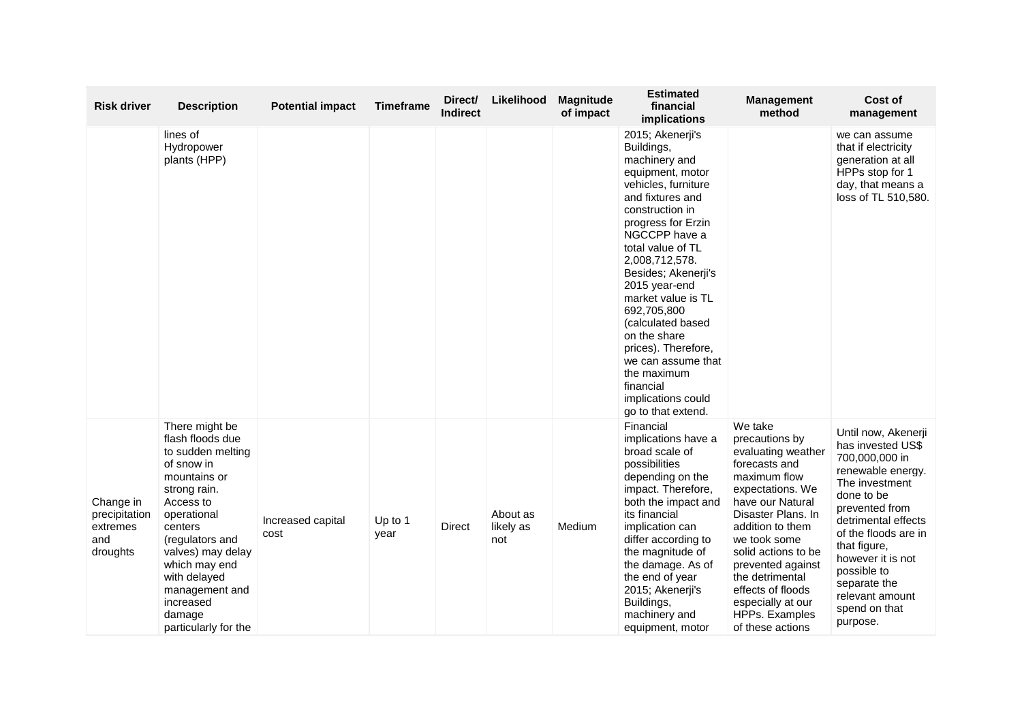|                                          | <b>Risk driver</b> | <b>Description</b>                                                                                                                                                                                                                                                                     | <b>Potential impact</b>   | <b>Timeframe</b> | Direct/<br><b>Indirect</b> | Likelihood                   | <b>Magnitude</b><br>of impact | <b>Estimated</b><br>financial<br>implications                                                                                                                                                                                                                                                                                                                                                                                                          | <b>Management</b><br>method                                                                                                                                                                                                                                                                                                       | Cost of<br>management                                                                                                                                                                                                                                                                                |
|------------------------------------------|--------------------|----------------------------------------------------------------------------------------------------------------------------------------------------------------------------------------------------------------------------------------------------------------------------------------|---------------------------|------------------|----------------------------|------------------------------|-------------------------------|--------------------------------------------------------------------------------------------------------------------------------------------------------------------------------------------------------------------------------------------------------------------------------------------------------------------------------------------------------------------------------------------------------------------------------------------------------|-----------------------------------------------------------------------------------------------------------------------------------------------------------------------------------------------------------------------------------------------------------------------------------------------------------------------------------|------------------------------------------------------------------------------------------------------------------------------------------------------------------------------------------------------------------------------------------------------------------------------------------------------|
|                                          |                    | lines of<br>Hydropower<br>plants (HPP)                                                                                                                                                                                                                                                 |                           |                  |                            |                              |                               | 2015; Akenerji's<br>Buildings,<br>machinery and<br>equipment, motor<br>vehicles, furniture<br>and fixtures and<br>construction in<br>progress for Erzin<br>NGCCPP have a<br>total value of TL<br>2,008,712,578.<br>Besides; Akenerji's<br>2015 year-end<br>market value is TL<br>692,705,800<br>(calculated based<br>on the share<br>prices). Therefore,<br>we can assume that<br>the maximum<br>financial<br>implications could<br>go to that extend. |                                                                                                                                                                                                                                                                                                                                   | we can assume<br>that if electricity<br>generation at all<br>HPPs stop for 1<br>day, that means a<br>loss of TL 510,580.                                                                                                                                                                             |
| Change in<br>extremes<br>and<br>droughts | precipitation      | There might be<br>flash floods due<br>to sudden melting<br>of snow in<br>mountains or<br>strong rain.<br>Access to<br>operational<br>centers<br>(regulators and<br>valves) may delay<br>which may end<br>with delayed<br>management and<br>increased<br>damage<br>particularly for the | Increased capital<br>cost | Up to 1<br>year  | <b>Direct</b>              | About as<br>likely as<br>not | Medium                        | Financial<br>implications have a<br>broad scale of<br>possibilities<br>depending on the<br>impact. Therefore,<br>both the impact and<br>its financial<br>implication can<br>differ according to<br>the magnitude of<br>the damage. As of<br>the end of year<br>2015; Akenerji's<br>Buildings,<br>machinery and<br>equipment, motor                                                                                                                     | We take<br>precautions by<br>evaluating weather<br>forecasts and<br>maximum flow<br>expectations. We<br>have our Natural<br>Disaster Plans, In<br>addition to them<br>we took some<br>solid actions to be<br>prevented against<br>the detrimental<br>effects of floods<br>especially at our<br>HPPs. Examples<br>of these actions | Until now, Akenerji<br>has invested US\$<br>700,000,000 in<br>renewable energy.<br>The investment<br>done to be<br>prevented from<br>detrimental effects<br>of the floods are in<br>that figure,<br>however it is not<br>possible to<br>separate the<br>relevant amount<br>spend on that<br>purpose. |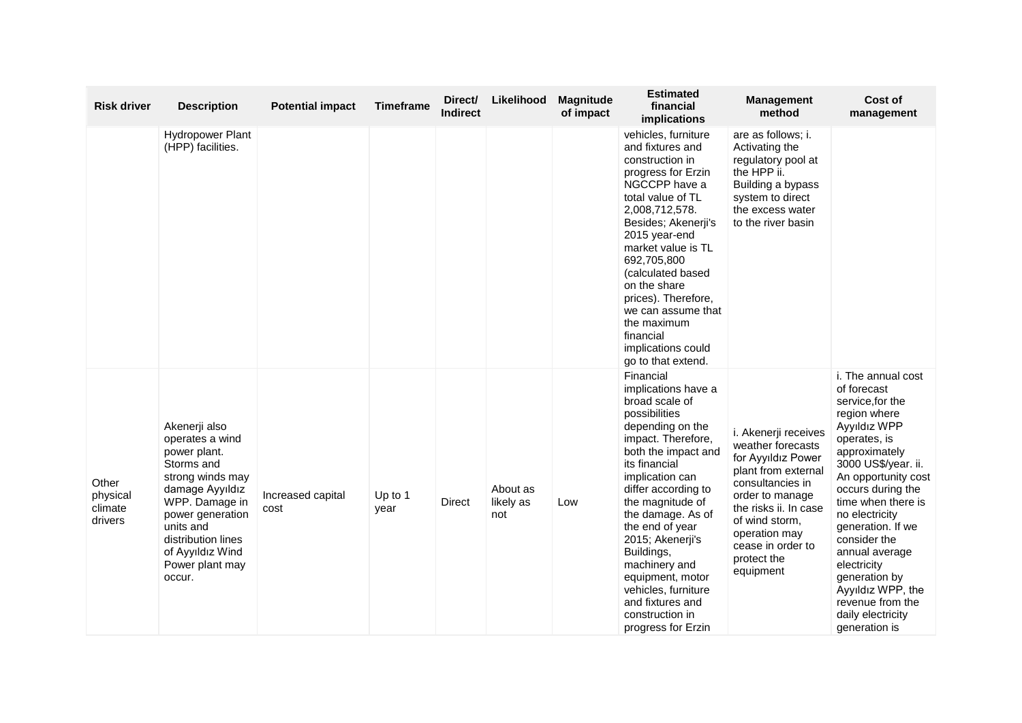| <b>Risk driver</b>                      | <b>Description</b>                                                                                                                                                                                                              | <b>Potential impact</b>   | <b>Timeframe</b> | Direct/<br><b>Indirect</b> | Likelihood                   | <b>Magnitude</b><br>of impact | <b>Estimated</b><br>financial<br><b>implications</b>                                                                                                                                                                                                                                                                                                                                                                   | <b>Management</b><br>method                                                                                                                                                                                                                | Cost of<br>management                                                                                                                                                                                                                                                                                                                                                                                   |
|-----------------------------------------|---------------------------------------------------------------------------------------------------------------------------------------------------------------------------------------------------------------------------------|---------------------------|------------------|----------------------------|------------------------------|-------------------------------|------------------------------------------------------------------------------------------------------------------------------------------------------------------------------------------------------------------------------------------------------------------------------------------------------------------------------------------------------------------------------------------------------------------------|--------------------------------------------------------------------------------------------------------------------------------------------------------------------------------------------------------------------------------------------|---------------------------------------------------------------------------------------------------------------------------------------------------------------------------------------------------------------------------------------------------------------------------------------------------------------------------------------------------------------------------------------------------------|
|                                         | <b>Hydropower Plant</b><br>(HPP) facilities.                                                                                                                                                                                    |                           |                  |                            |                              |                               | vehicles, furniture<br>and fixtures and<br>construction in<br>progress for Erzin<br>NGCCPP have a<br>total value of TL<br>2,008,712,578.<br>Besides; Akenerji's<br>2015 year-end<br>market value is TL<br>692,705,800<br>(calculated based<br>on the share<br>prices). Therefore,<br>we can assume that<br>the maximum<br>financial<br>implications could<br>go to that extend.                                        | are as follows; i.<br>Activating the<br>regulatory pool at<br>the HPP ii.<br>Building a bypass<br>system to direct<br>the excess water<br>to the river basin                                                                               |                                                                                                                                                                                                                                                                                                                                                                                                         |
| Other<br>physical<br>climate<br>drivers | Akenerji also<br>operates a wind<br>power plant.<br>Storms and<br>strong winds may<br>damage Ayyıldız<br>WPP. Damage in<br>power generation<br>units and<br>distribution lines<br>of Ayyıldız Wind<br>Power plant may<br>occur. | Increased capital<br>cost | Up to 1<br>year  | <b>Direct</b>              | About as<br>likely as<br>not | Low                           | Financial<br>implications have a<br>broad scale of<br>possibilities<br>depending on the<br>impact. Therefore,<br>both the impact and<br>its financial<br>implication can<br>differ according to<br>the magnitude of<br>the damage. As of<br>the end of year<br>2015; Akenerji's<br>Buildings,<br>machinery and<br>equipment, motor<br>vehicles, furniture<br>and fixtures and<br>construction in<br>progress for Erzin | i. Akenerji receives<br>weather forecasts<br>for Ayyıldız Power<br>plant from external<br>consultancies in<br>order to manage<br>the risks ii. In case<br>of wind storm.<br>operation may<br>cease in order to<br>protect the<br>equipment | i. The annual cost<br>of forecast<br>service, for the<br>region where<br>Ayyıldız WPP<br>operates, is<br>approximately<br>3000 US\$/year. ii.<br>An opportunity cost<br>occurs during the<br>time when there is<br>no electricity<br>generation. If we<br>consider the<br>annual average<br>electricity<br>generation by<br>Ayyıldız WPP, the<br>revenue from the<br>daily electricity<br>generation is |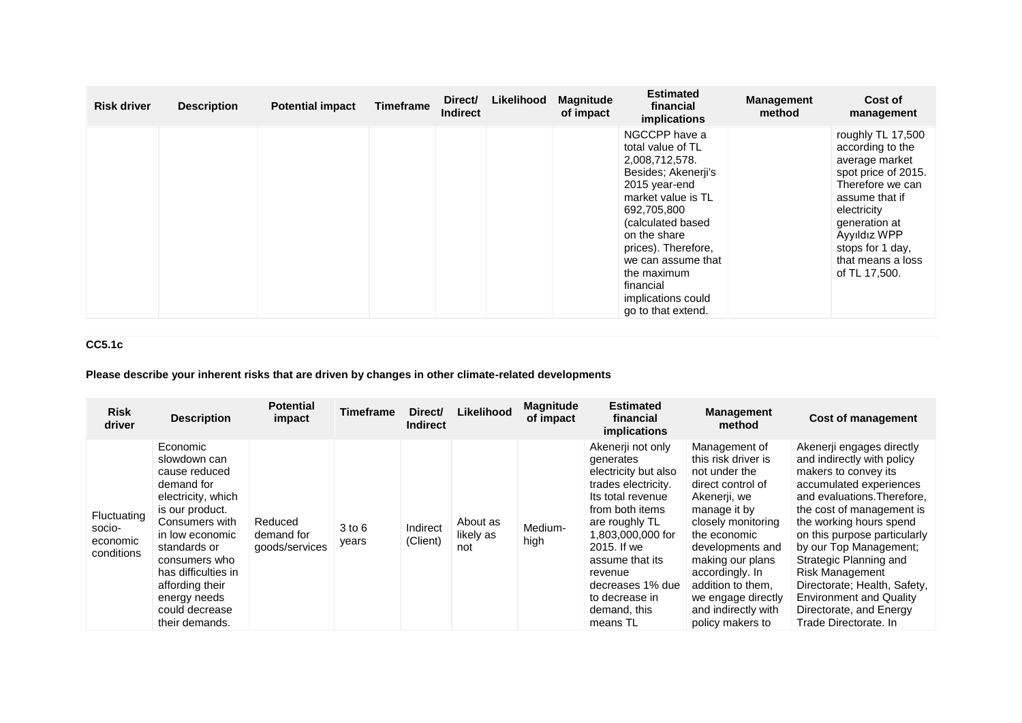| <b>Risk driver</b> | <b>Description</b> | <b>Potential impact</b> | <b>Timeframe</b> | Direct/<br><b>Indirect</b> | Likelihood | <b>Magnitude</b><br>of impact | <b>Estimated</b><br>financial<br>implications                                                                                                                                                                                                                                                | <b>Management</b><br>method | Cost of<br>management                                                                                                                                                                                                          |
|--------------------|--------------------|-------------------------|------------------|----------------------------|------------|-------------------------------|----------------------------------------------------------------------------------------------------------------------------------------------------------------------------------------------------------------------------------------------------------------------------------------------|-----------------------------|--------------------------------------------------------------------------------------------------------------------------------------------------------------------------------------------------------------------------------|
|                    |                    |                         |                  |                            |            |                               | NGCCPP have a<br>total value of TL<br>2,008,712,578.<br>Besides; Akenerji's<br>2015 year-end<br>market value is TL<br>692,705,800<br>(calculated based)<br>on the share<br>prices). Therefore,<br>we can assume that<br>the maximum<br>financial<br>implications could<br>go to that extend. |                             | roughly TL 17,500<br>according to the<br>average market<br>spot price of 2015.<br>Therefore we can<br>assume that if<br>electricity<br>generation at<br>Ayyıldız WPP<br>stops for 1 day,<br>that means a loss<br>of TL 17,500. |

# **CC5.1c**

# **Please describe your inherent risks that are driven by changes in other climate-related developments**

| <b>Risk</b><br>driver                           | <b>Description</b>                                                                                                                                                                                                                                                   | <b>Potential</b><br>impact              | <b>Timeframe</b>    | Direct/<br><b>Indirect</b> | Likelihood                   | <b>Magnitude</b><br>of impact | <b>Estimated</b><br>financial<br>implications                                                                                                                                                                                                                               | <b>Management</b><br>method                                                                                                                                                                                                                                                                       | <b>Cost of management</b>                                                                                                                                                                                                                                                                                                                                                                                                             |
|-------------------------------------------------|----------------------------------------------------------------------------------------------------------------------------------------------------------------------------------------------------------------------------------------------------------------------|-----------------------------------------|---------------------|----------------------------|------------------------------|-------------------------------|-----------------------------------------------------------------------------------------------------------------------------------------------------------------------------------------------------------------------------------------------------------------------------|---------------------------------------------------------------------------------------------------------------------------------------------------------------------------------------------------------------------------------------------------------------------------------------------------|---------------------------------------------------------------------------------------------------------------------------------------------------------------------------------------------------------------------------------------------------------------------------------------------------------------------------------------------------------------------------------------------------------------------------------------|
| Fluctuating<br>socio-<br>economic<br>conditions | Economic<br>slowdown can<br>cause reduced<br>demand for<br>electricity, which<br>is our product.<br>Consumers with<br>in low economic<br>standards or<br>consumers who<br>has difficulties in<br>affording their<br>energy needs<br>could decrease<br>their demands. | Reduced<br>demand for<br>goods/services | $3$ to $6$<br>years | Indirect<br>(Client)       | About as<br>likely as<br>not | Medium-<br>high               | Akenerji not only<br>generates<br>electricity but also<br>trades electricity.<br>Its total revenue<br>from both items<br>are roughly TL<br>1,803,000,000 for<br>2015. If we<br>assume that its<br>revenue<br>decreases 1% due<br>to decrease in<br>demand, this<br>means TL | Management of<br>this risk driver is<br>not under the<br>direct control of<br>Akenerji, we<br>manage it by<br>closely monitoring<br>the economic<br>developments and<br>making our plans<br>accordingly. In<br>addition to them.<br>we engage directly<br>and indirectly with<br>policy makers to | Akenerii engages directly<br>and indirectly with policy<br>makers to convey its<br>accumulated experiences<br>and evaluations. Therefore,<br>the cost of management is<br>the working hours spend<br>on this purpose particularly<br>by our Top Management;<br>Strategic Planning and<br><b>Risk Management</b><br>Directorate; Health, Safety,<br><b>Environment and Quality</b><br>Directorate, and Energy<br>Trade Directorate. In |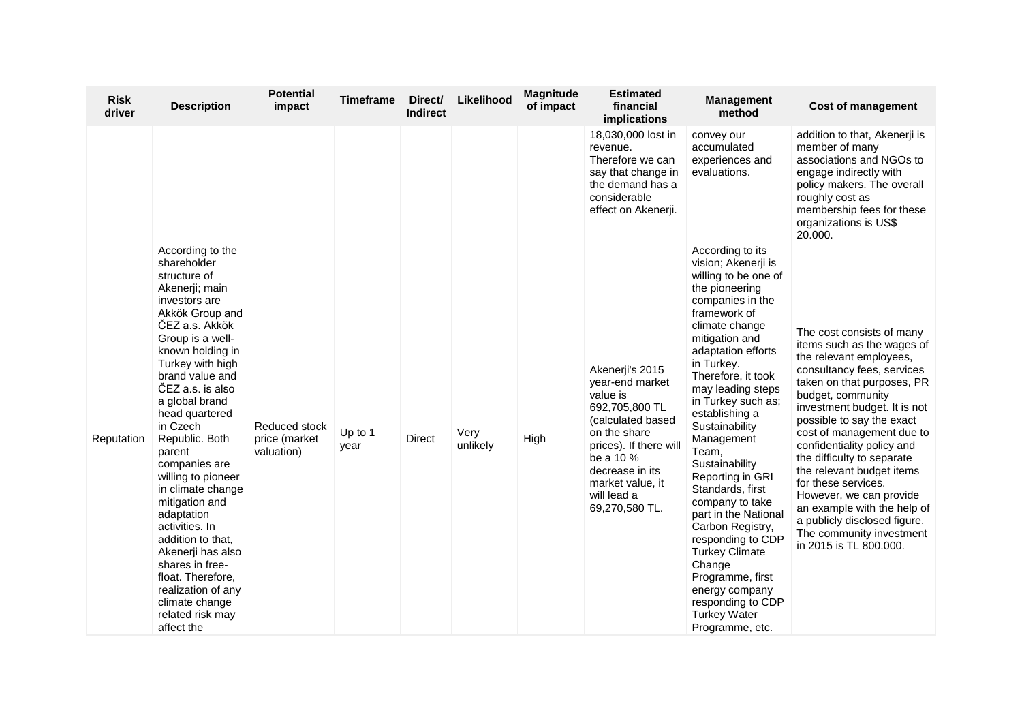| <b>Risk</b><br>driver | <b>Description</b>                                                                                                                                                                                                                                                                                                                                                                                                                                                                                                                                                               | <b>Potential</b><br>impact                   | Timeframe       | Direct/<br><b>Indirect</b> | Likelihood       | <b>Magnitude</b><br>of impact | <b>Estimated</b><br>financial<br>implications                                                                                                                                                                        | <b>Management</b><br>method                                                                                                                                                                                                                                                                                                                                                                                                                                                                                                                                                                                     | <b>Cost of management</b>                                                                                                                                                                                                                                                                                                                                                                                                                                                                                                     |
|-----------------------|----------------------------------------------------------------------------------------------------------------------------------------------------------------------------------------------------------------------------------------------------------------------------------------------------------------------------------------------------------------------------------------------------------------------------------------------------------------------------------------------------------------------------------------------------------------------------------|----------------------------------------------|-----------------|----------------------------|------------------|-------------------------------|----------------------------------------------------------------------------------------------------------------------------------------------------------------------------------------------------------------------|-----------------------------------------------------------------------------------------------------------------------------------------------------------------------------------------------------------------------------------------------------------------------------------------------------------------------------------------------------------------------------------------------------------------------------------------------------------------------------------------------------------------------------------------------------------------------------------------------------------------|-------------------------------------------------------------------------------------------------------------------------------------------------------------------------------------------------------------------------------------------------------------------------------------------------------------------------------------------------------------------------------------------------------------------------------------------------------------------------------------------------------------------------------|
|                       |                                                                                                                                                                                                                                                                                                                                                                                                                                                                                                                                                                                  |                                              |                 |                            |                  |                               | 18,030,000 lost in<br>revenue.<br>Therefore we can<br>say that change in<br>the demand has a<br>considerable<br>effect on Akenerji.                                                                                  | convey our<br>accumulated<br>experiences and<br>evaluations.                                                                                                                                                                                                                                                                                                                                                                                                                                                                                                                                                    | addition to that, Akenerji is<br>member of many<br>associations and NGOs to<br>engage indirectly with<br>policy makers. The overall<br>roughly cost as<br>membership fees for these<br>organizations is US\$<br>20.000.                                                                                                                                                                                                                                                                                                       |
| Reputation            | According to the<br>shareholder<br>structure of<br>Akenerji; main<br>investors are<br>Akkök Group and<br>ČEZ a.s. Akkök<br>Group is a well-<br>known holding in<br>Turkey with high<br>brand value and<br>ČEZ a.s. is also<br>a global brand<br>head quartered<br>in Czech<br>Republic. Both<br>parent<br>companies are<br>willing to pioneer<br>in climate change<br>mitigation and<br>adaptation<br>activities. In<br>addition to that,<br>Akenerji has also<br>shares in free-<br>float. Therefore,<br>realization of any<br>climate change<br>related risk may<br>affect the | Reduced stock<br>price (market<br>valuation) | Up to 1<br>year | <b>Direct</b>              | Very<br>unlikely | High                          | Akenerji's 2015<br>year-end market<br>value is<br>692,705,800 TL<br>(calculated based<br>on the share<br>prices). If there will<br>be a 10 %<br>decrease in its<br>market value, it<br>will lead a<br>69,270,580 TL. | According to its<br>vision; Akenerji is<br>willing to be one of<br>the pioneering<br>companies in the<br>framework of<br>climate change<br>mitigation and<br>adaptation efforts<br>in Turkey.<br>Therefore, it took<br>may leading steps<br>in Turkey such as;<br>establishing a<br>Sustainability<br>Management<br>Team,<br>Sustainability<br>Reporting in GRI<br>Standards, first<br>company to take<br>part in the National<br>Carbon Registry,<br>responding to CDP<br><b>Turkey Climate</b><br>Change<br>Programme, first<br>energy company<br>responding to CDP<br><b>Turkey Water</b><br>Programme, etc. | The cost consists of many<br>items such as the wages of<br>the relevant employees,<br>consultancy fees, services<br>taken on that purposes, PR<br>budget, community<br>investment budget. It is not<br>possible to say the exact<br>cost of management due to<br>confidentiality policy and<br>the difficulty to separate<br>the relevant budget items<br>for these services.<br>However, we can provide<br>an example with the help of<br>a publicly disclosed figure.<br>The community investment<br>in 2015 is TL 800.000. |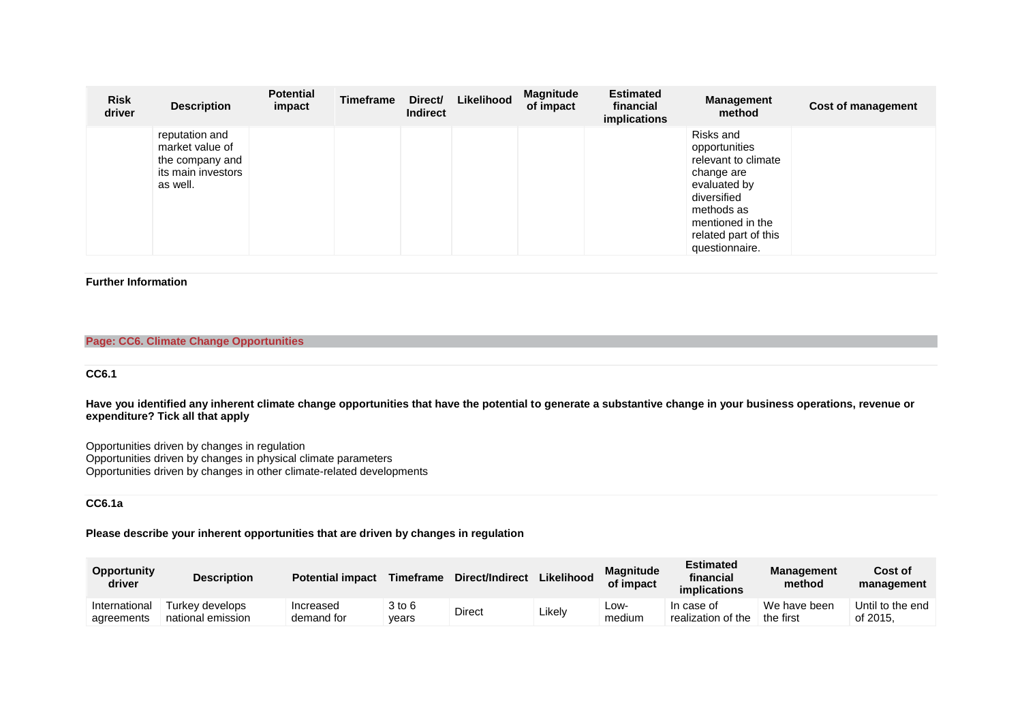| <b>Risk</b><br>driver | <b>Description</b>                                                                     | <b>Potential</b><br>impact | Timeframe | Direct/<br><b>Indirect</b> | Likelihood | <b>Magnitude</b><br>of impact | <b>Estimated</b><br>financial<br>implications | <b>Management</b><br>method                                                                                                                                                | <b>Cost of management</b> |
|-----------------------|----------------------------------------------------------------------------------------|----------------------------|-----------|----------------------------|------------|-------------------------------|-----------------------------------------------|----------------------------------------------------------------------------------------------------------------------------------------------------------------------------|---------------------------|
|                       | reputation and<br>market value of<br>the company and<br>its main investors<br>as well. |                            |           |                            |            |                               |                                               | Risks and<br>opportunities<br>relevant to climate<br>change are<br>evaluated by<br>diversified<br>methods as<br>mentioned in the<br>related part of this<br>questionnaire. |                           |

### **Further Information**

### **Page: CC6. Climate Change Opportunities**

## **CC6.1**

**Have you identified any inherent climate change opportunities that have the potential to generate a substantive change in your business operations, revenue or expenditure? Tick all that apply**

Opportunities driven by changes in regulation Opportunities driven by changes in physical climate parameters Opportunities driven by changes in other climate-related developments

### **CC6.1a**

**Please describe your inherent opportunities that are driven by changes in regulation**

| <b>Opportunity</b><br>driver | <b>Description</b>                   | <b>Potential impact</b> | <b>Timeframe</b> | Direct/Indirect | Likelihood | <b>Magnitude</b><br>of impact | <b>Estimated</b><br>financial<br><i>implications</i> | <b>Management</b><br>method | Cost of<br>management        |
|------------------------------|--------------------------------------|-------------------------|------------------|-----------------|------------|-------------------------------|------------------------------------------------------|-----------------------------|------------------------------|
| International<br>agreements  | Turkev develops<br>national emission | Increased<br>demand for | 3 to 6<br>vears  | Direct          | ∟ikelv     | LOW-<br>medium                | In case of<br>realization of the                     | We have been<br>the first   | Until to the end<br>of 2015. |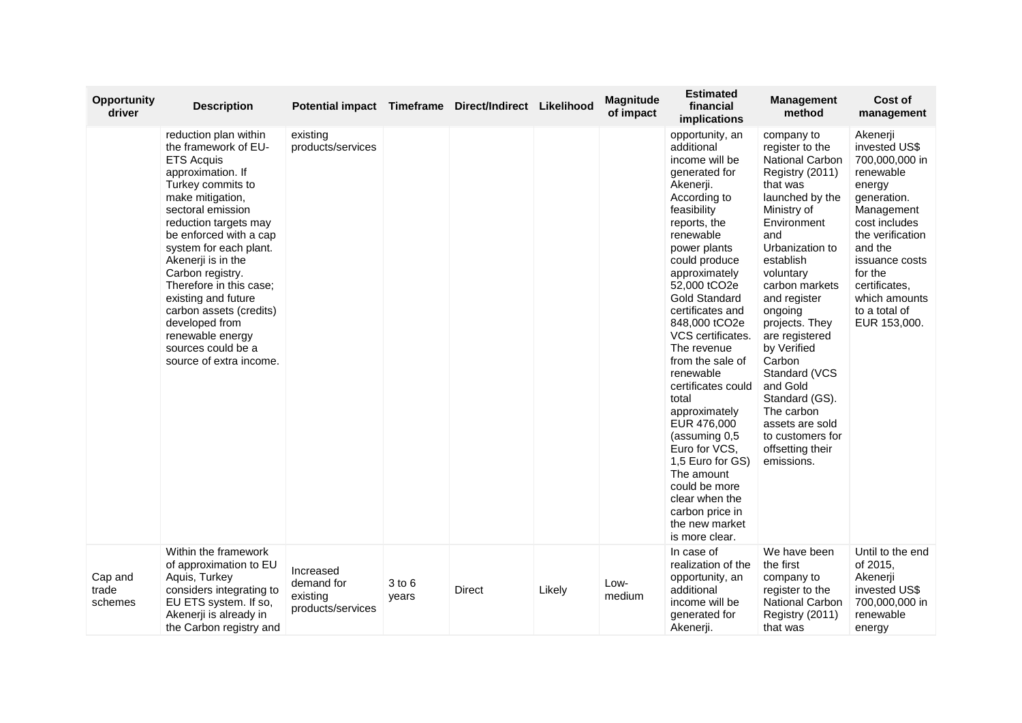| <b>Opportunity</b><br>driver | <b>Description</b>                                                                                                                                                                                                                                                                                                                                                                                                                               | Potential impact Timeframe Direct/Indirect Likelihood    |                     |        |        | <b>Magnitude</b><br>of impact | <b>Estimated</b><br>financial<br><b>implications</b>                                                                                                                                                                                                                                                                                                                                                                                                                                                                                                                        | <b>Management</b><br>method                                                                                                                                                                                                                                                                                                                                                                                                                 | Cost of<br>management                                                                                                                                                                                                                           |
|------------------------------|--------------------------------------------------------------------------------------------------------------------------------------------------------------------------------------------------------------------------------------------------------------------------------------------------------------------------------------------------------------------------------------------------------------------------------------------------|----------------------------------------------------------|---------------------|--------|--------|-------------------------------|-----------------------------------------------------------------------------------------------------------------------------------------------------------------------------------------------------------------------------------------------------------------------------------------------------------------------------------------------------------------------------------------------------------------------------------------------------------------------------------------------------------------------------------------------------------------------------|---------------------------------------------------------------------------------------------------------------------------------------------------------------------------------------------------------------------------------------------------------------------------------------------------------------------------------------------------------------------------------------------------------------------------------------------|-------------------------------------------------------------------------------------------------------------------------------------------------------------------------------------------------------------------------------------------------|
|                              | reduction plan within<br>the framework of EU-<br><b>ETS Acquis</b><br>approximation. If<br>Turkey commits to<br>make mitigation,<br>sectoral emission<br>reduction targets may<br>be enforced with a cap<br>system for each plant.<br>Akenerji is in the<br>Carbon registry.<br>Therefore in this case;<br>existing and future<br>carbon assets (credits)<br>developed from<br>renewable energy<br>sources could be a<br>source of extra income. | existing<br>products/services                            |                     |        |        |                               | opportunity, an<br>additional<br>income will be<br>generated for<br>Akenerji.<br>According to<br>feasibility<br>reports, the<br>renewable<br>power plants<br>could produce<br>approximately<br>52,000 tCO2e<br><b>Gold Standard</b><br>certificates and<br>848,000 tCO2e<br>VCS certificates.<br>The revenue<br>from the sale of<br>renewable<br>certificates could<br>total<br>approximately<br>EUR 476,000<br>(assuming 0,5)<br>Euro for VCS.<br>1,5 Euro for GS)<br>The amount<br>could be more<br>clear when the<br>carbon price in<br>the new market<br>is more clear. | company to<br>register to the<br><b>National Carbon</b><br>Registry (2011)<br>that was<br>launched by the<br>Ministry of<br>Environment<br>and<br>Urbanization to<br>establish<br>voluntary<br>carbon markets<br>and register<br>ongoing<br>projects. They<br>are registered<br>by Verified<br>Carbon<br>Standard (VCS<br>and Gold<br>Standard (GS).<br>The carbon<br>assets are sold<br>to customers for<br>offsetting their<br>emissions. | Akenerji<br>invested US\$<br>700,000,000 in<br>renewable<br>energy<br>generation.<br>Management<br>cost includes<br>the verification<br>and the<br>issuance costs<br>for the<br>certificates,<br>which amounts<br>to a total of<br>EUR 153,000. |
| Cap and<br>trade<br>schemes  | Within the framework<br>of approximation to EU<br>Aquis, Turkey<br>considers integrating to<br>EU ETS system. If so,<br>Akenerji is already in<br>the Carbon registry and                                                                                                                                                                                                                                                                        | Increased<br>demand for<br>existing<br>products/services | $3$ to $6$<br>years | Direct | Likely | Low-<br>medium                | In case of<br>realization of the<br>opportunity, an<br>additional<br>income will be<br>generated for<br>Akenerji.                                                                                                                                                                                                                                                                                                                                                                                                                                                           | We have been<br>the first<br>company to<br>register to the<br><b>National Carbon</b><br>Registry (2011)<br>that was                                                                                                                                                                                                                                                                                                                         | Until to the end<br>of 2015,<br>Akenerji<br>invested US\$<br>700,000,000 in<br>renewable<br>energy                                                                                                                                              |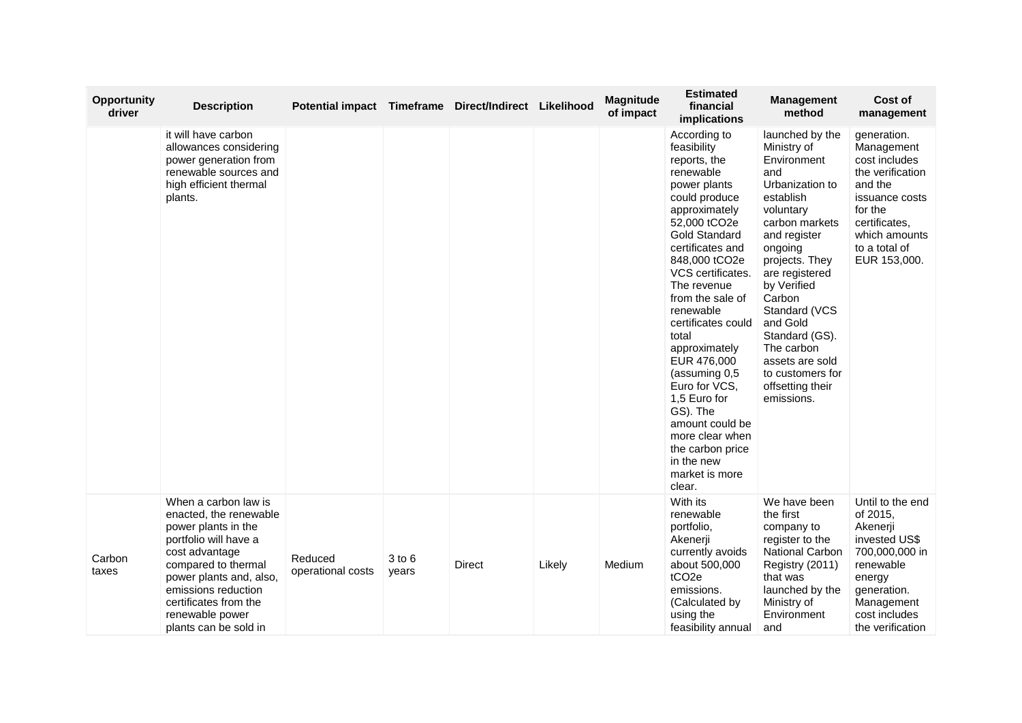| <b>Opportunity</b><br>driver | <b>Description</b>                                                                                                                                                                                                                                             | Potential impact Timeframe Direct/Indirect Likelihood |                 |        |        | <b>Magnitude</b><br>of impact | <b>Estimated</b><br>financial<br>implications                                                                                                                                                                                                                                                                                                                                                                                                                                                  | <b>Management</b><br>method                                                                                                                                                                                                                                                                                                                       | Cost of<br>management                                                                                                                                                     |
|------------------------------|----------------------------------------------------------------------------------------------------------------------------------------------------------------------------------------------------------------------------------------------------------------|-------------------------------------------------------|-----------------|--------|--------|-------------------------------|------------------------------------------------------------------------------------------------------------------------------------------------------------------------------------------------------------------------------------------------------------------------------------------------------------------------------------------------------------------------------------------------------------------------------------------------------------------------------------------------|---------------------------------------------------------------------------------------------------------------------------------------------------------------------------------------------------------------------------------------------------------------------------------------------------------------------------------------------------|---------------------------------------------------------------------------------------------------------------------------------------------------------------------------|
|                              | it will have carbon<br>allowances considering<br>power generation from<br>renewable sources and<br>high efficient thermal<br>plants.                                                                                                                           |                                                       |                 |        |        |                               | According to<br>feasibility<br>reports, the<br>renewable<br>power plants<br>could produce<br>approximately<br>52,000 tCO2e<br><b>Gold Standard</b><br>certificates and<br>848,000 tCO2e<br>VCS certificates.<br>The revenue<br>from the sale of<br>renewable<br>certificates could<br>total<br>approximately<br>EUR 476,000<br>(assuming 0,5)<br>Euro for VCS.<br>1,5 Euro for<br>GS). The<br>amount could be<br>more clear when<br>the carbon price<br>in the new<br>market is more<br>clear. | launched by the<br>Ministry of<br>Environment<br>and<br>Urbanization to<br>establish<br>voluntary<br>carbon markets<br>and register<br>ongoing<br>projects. They<br>are registered<br>by Verified<br>Carbon<br>Standard (VCS<br>and Gold<br>Standard (GS).<br>The carbon<br>assets are sold<br>to customers for<br>offsetting their<br>emissions. | generation.<br>Management<br>cost includes<br>the verification<br>and the<br>issuance costs<br>for the<br>certificates,<br>which amounts<br>to a total of<br>EUR 153,000. |
| Carbon<br>taxes              | When a carbon law is<br>enacted, the renewable<br>power plants in the<br>portfolio will have a<br>cost advantage<br>compared to thermal<br>power plants and, also,<br>emissions reduction<br>certificates from the<br>renewable power<br>plants can be sold in | Reduced<br>operational costs                          | 3 to 6<br>years | Direct | Likely | Medium                        | With its<br>renewable<br>portfolio,<br>Akenerji<br>currently avoids<br>about 500,000<br>tCO <sub>2e</sub><br>emissions.<br>(Calculated by<br>using the<br>feasibility annual                                                                                                                                                                                                                                                                                                                   | We have been<br>the first<br>company to<br>register to the<br><b>National Carbon</b><br>Registry (2011)<br>that was<br>launched by the<br>Ministry of<br>Environment<br>and                                                                                                                                                                       | Until to the end<br>of 2015,<br>Akenerji<br>invested US\$<br>700,000,000 in<br>renewable<br>energy<br>generation.<br>Management<br>cost includes<br>the verification      |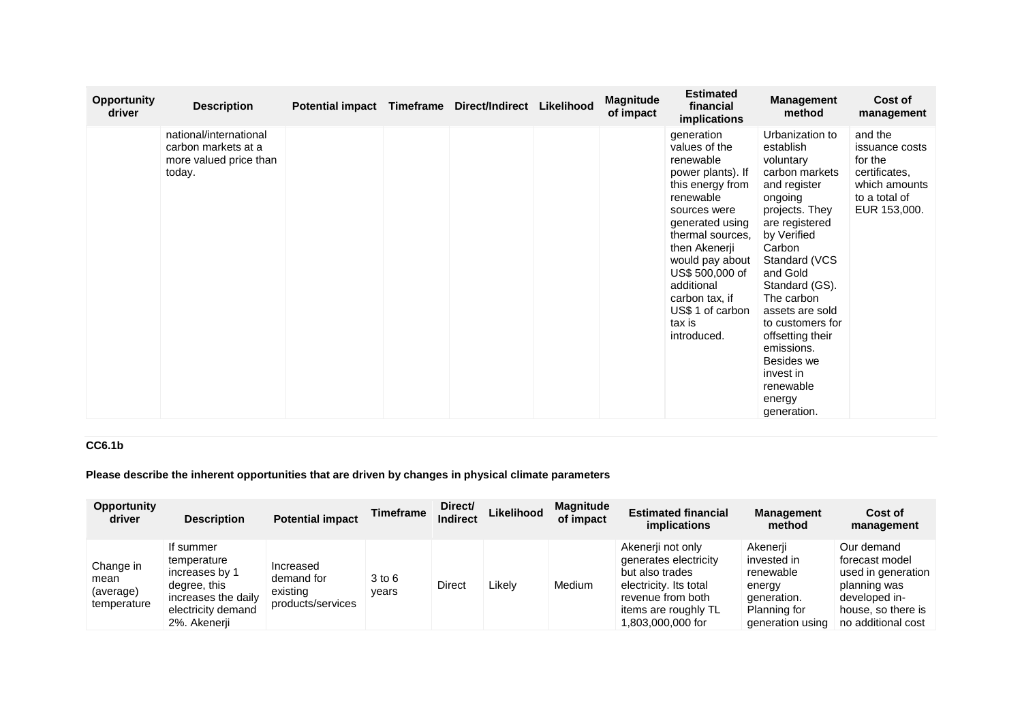| <b>Opportunity</b><br>driver | <b>Description</b>                                                                | <b>Potential impact</b> | Timeframe | <b>Direct/Indirect</b> | Likelihood | <b>Magnitude</b><br>of impact | <b>Estimated</b><br>financial<br>implications                                                                                                                                                                                                                                             | <b>Management</b><br>method                                                                                                                                                                                                                                                                                                                                | Cost of<br>management                                                                                   |
|------------------------------|-----------------------------------------------------------------------------------|-------------------------|-----------|------------------------|------------|-------------------------------|-------------------------------------------------------------------------------------------------------------------------------------------------------------------------------------------------------------------------------------------------------------------------------------------|------------------------------------------------------------------------------------------------------------------------------------------------------------------------------------------------------------------------------------------------------------------------------------------------------------------------------------------------------------|---------------------------------------------------------------------------------------------------------|
|                              | national/international<br>carbon markets at a<br>more valued price than<br>today. |                         |           |                        |            |                               | generation<br>values of the<br>renewable<br>power plants). If<br>this energy from<br>renewable<br>sources were<br>generated using<br>thermal sources,<br>then Akenerji<br>would pay about<br>US\$ 500,000 of<br>additional<br>carbon tax, if<br>US\$ 1 of carbon<br>tax is<br>introduced. | Urbanization to<br>establish<br>voluntary<br>carbon markets<br>and register<br>ongoing<br>projects. They<br>are registered<br>by Verified<br>Carbon<br>Standard (VCS<br>and Gold<br>Standard (GS).<br>The carbon<br>assets are sold<br>to customers for<br>offsetting their<br>emissions.<br>Besides we<br>invest in<br>renewable<br>energy<br>generation. | and the<br>issuance costs<br>for the<br>certificates,<br>which amounts<br>to a total of<br>EUR 153,000. |

## **CC6.1b**

**Please describe the inherent opportunities that are driven by changes in physical climate parameters**

| <b>Opportunity</b><br>driver                  | <b>Description</b>                                                                                                      | <b>Potential impact</b>                                  | <b>Timeframe</b> | Direct/<br><b>Indirect</b> | Likelihood | <b>Magnitude</b><br>of impact | <b>Estimated financial</b><br>implications                                                                                                                | <b>Management</b><br>method                                                                       | Cost of<br>management                                                                                                           |
|-----------------------------------------------|-------------------------------------------------------------------------------------------------------------------------|----------------------------------------------------------|------------------|----------------------------|------------|-------------------------------|-----------------------------------------------------------------------------------------------------------------------------------------------------------|---------------------------------------------------------------------------------------------------|---------------------------------------------------------------------------------------------------------------------------------|
| Change in<br>mean<br>(average)<br>temperature | If summer<br>temperature<br>increases by 1<br>degree, this<br>increases the daily<br>electricity demand<br>2%. Akenerji | Increased<br>demand for<br>existing<br>products/services | 3 to 6<br>vears  | <b>Direct</b>              | ∟ikelv     | Medium                        | Akenerji not only<br>generates electricity<br>but also trades<br>electricity. Its total<br>revenue from both<br>items are roughly TL<br>1,803,000,000 for | Akenerii<br>invested in<br>renewable<br>energy<br>generation.<br>Planning for<br>generation using | Our demand<br>forecast model<br>used in generation<br>planning was<br>developed in-<br>house, so there is<br>no additional cost |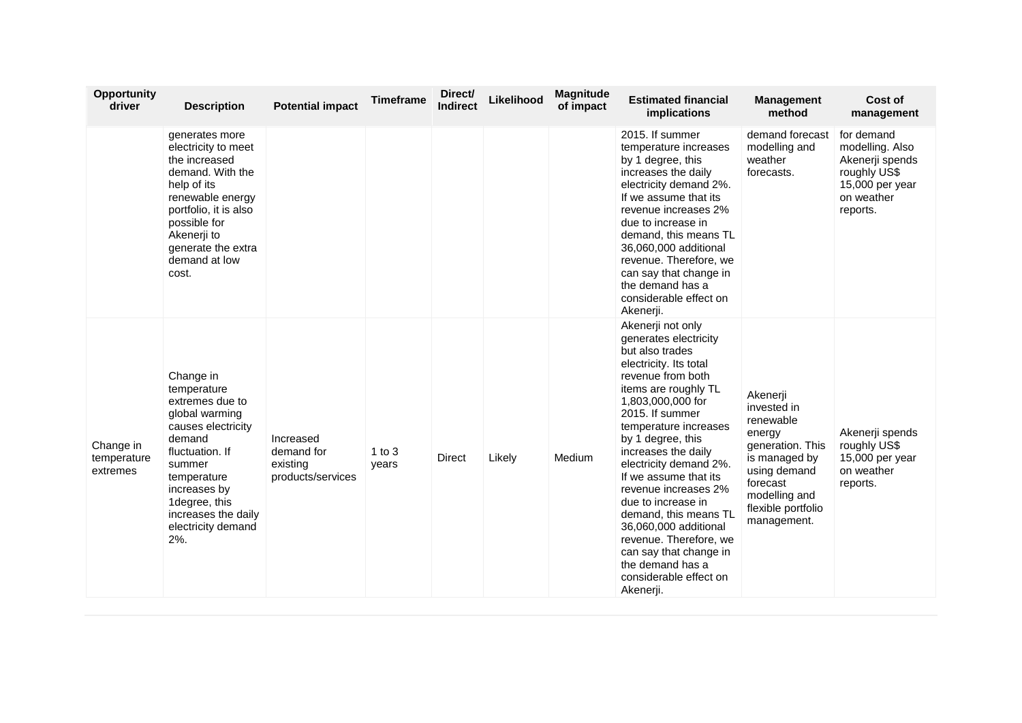| <b>Opportunity</b><br>driver         | <b>Description</b>                                                                                                                                                                                                              | <b>Potential impact</b>                                  | <b>Timeframe</b>  | Direct/<br><b>Indirect</b> | Likelihood | <b>Magnitude</b><br>of impact | <b>Estimated financial</b><br>implications                                                                                                                                                                                                                                                                                                                                                                                                                                                                          | <b>Management</b><br>method                                                                                                                                           | Cost of<br>management                                                                                         |
|--------------------------------------|---------------------------------------------------------------------------------------------------------------------------------------------------------------------------------------------------------------------------------|----------------------------------------------------------|-------------------|----------------------------|------------|-------------------------------|---------------------------------------------------------------------------------------------------------------------------------------------------------------------------------------------------------------------------------------------------------------------------------------------------------------------------------------------------------------------------------------------------------------------------------------------------------------------------------------------------------------------|-----------------------------------------------------------------------------------------------------------------------------------------------------------------------|---------------------------------------------------------------------------------------------------------------|
|                                      | generates more<br>electricity to meet<br>the increased<br>demand. With the<br>help of its<br>renewable energy<br>portfolio, it is also<br>possible for<br>Akenerji to<br>generate the extra<br>demand at low<br>cost.           |                                                          |                   |                            |            |                               | 2015. If summer<br>temperature increases<br>by 1 degree, this<br>increases the daily<br>electricity demand 2%.<br>If we assume that its<br>revenue increases 2%<br>due to increase in<br>demand, this means TL<br>36,060,000 additional<br>revenue. Therefore, we<br>can say that change in<br>the demand has a<br>considerable effect on<br>Akenerji.                                                                                                                                                              | demand forecast<br>modelling and<br>weather<br>forecasts.                                                                                                             | for demand<br>modelling. Also<br>Akenerji spends<br>roughly US\$<br>15,000 per year<br>on weather<br>reports. |
| Change in<br>temperature<br>extremes | Change in<br>temperature<br>extremes due to<br>global warming<br>causes electricity<br>demand<br>fluctuation. If<br>summer<br>temperature<br>increases by<br>1 degree, this<br>increases the daily<br>electricity demand<br>2%. | Increased<br>demand for<br>existing<br>products/services | 1 to $3$<br>years | Direct                     | Likely     | Medium                        | Akenerji not only<br>generates electricity<br>but also trades<br>electricity. Its total<br>revenue from both<br>items are roughly TL<br>1,803,000,000 for<br>2015. If summer<br>temperature increases<br>by 1 degree, this<br>increases the daily<br>electricity demand 2%.<br>If we assume that its<br>revenue increases 2%<br>due to increase in<br>demand, this means TL<br>36,060,000 additional<br>revenue. Therefore, we<br>can say that change in<br>the demand has a<br>considerable effect on<br>Akenerji. | Akenerji<br>invested in<br>renewable<br>energy<br>generation. This<br>is managed by<br>using demand<br>forecast<br>modelling and<br>flexible portfolio<br>management. | Akenerji spends<br>roughly US\$<br>15,000 per year<br>on weather<br>reports.                                  |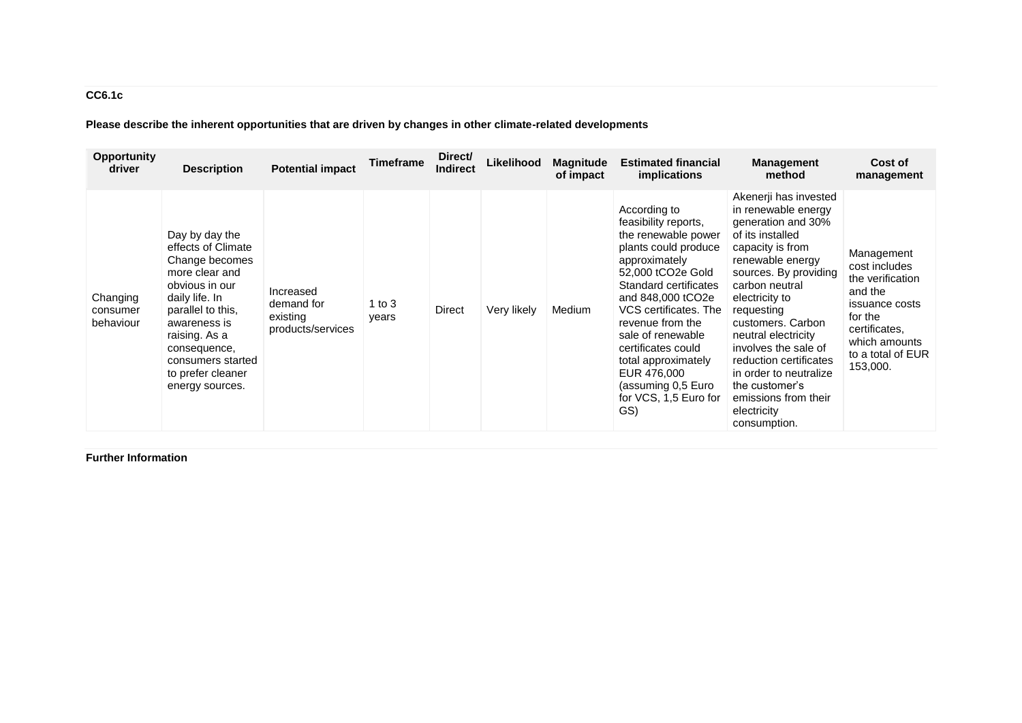# **CC6.1c**

**Please describe the inherent opportunities that are driven by changes in other climate-related developments**

| <b>Opportunity</b><br>driver      | <b>Description</b>                                                                                                                                                                                                                              | <b>Potential impact</b>                                  | <b>Timeframe</b>  | Direct/<br><b>Indirect</b> | Likelihood  | <b>Magnitude</b><br>of impact | <b>Estimated financial</b><br><i>implications</i>                                                                                                                                                                                                                                                                                                           | <b>Management</b><br>method                                                                                                                                                                                                                                                                                                                                                                                | Cost of<br>management                                                                                                                                      |
|-----------------------------------|-------------------------------------------------------------------------------------------------------------------------------------------------------------------------------------------------------------------------------------------------|----------------------------------------------------------|-------------------|----------------------------|-------------|-------------------------------|-------------------------------------------------------------------------------------------------------------------------------------------------------------------------------------------------------------------------------------------------------------------------------------------------------------------------------------------------------------|------------------------------------------------------------------------------------------------------------------------------------------------------------------------------------------------------------------------------------------------------------------------------------------------------------------------------------------------------------------------------------------------------------|------------------------------------------------------------------------------------------------------------------------------------------------------------|
| Changing<br>consumer<br>behaviour | Day by day the<br>effects of Climate<br>Change becomes<br>more clear and<br>obvious in our<br>daily life. In<br>parallel to this,<br>awareness is<br>raising. As a<br>consequence,<br>consumers started<br>to prefer cleaner<br>energy sources. | Increased<br>demand for<br>existing<br>products/services | 1 to $3$<br>years | Direct                     | Very likely | Medium                        | According to<br>feasibility reports,<br>the renewable power<br>plants could produce<br>approximately<br>52,000 tCO2e Gold<br>Standard certificates<br>and 848,000 tCO2e<br>VCS certificates. The<br>revenue from the<br>sale of renewable<br>certificates could<br>total approximately<br>EUR 476,000<br>(assuming 0,5 Euro<br>for VCS, 1,5 Euro for<br>GS) | Akenerji has invested<br>in renewable energy<br>generation and 30%<br>of its installed<br>capacity is from<br>renewable energy<br>sources. By providing<br>carbon neutral<br>electricity to<br>requesting<br>customers. Carbon<br>neutral electricity<br>involves the sale of<br>reduction certificates<br>in order to neutralize<br>the customer's<br>emissions from their<br>electricity<br>consumption. | Management<br>cost includes<br>the verification<br>and the<br>issuance costs<br>for the<br>certificates,<br>which amounts<br>to a total of EUR<br>153,000. |

**Further Information**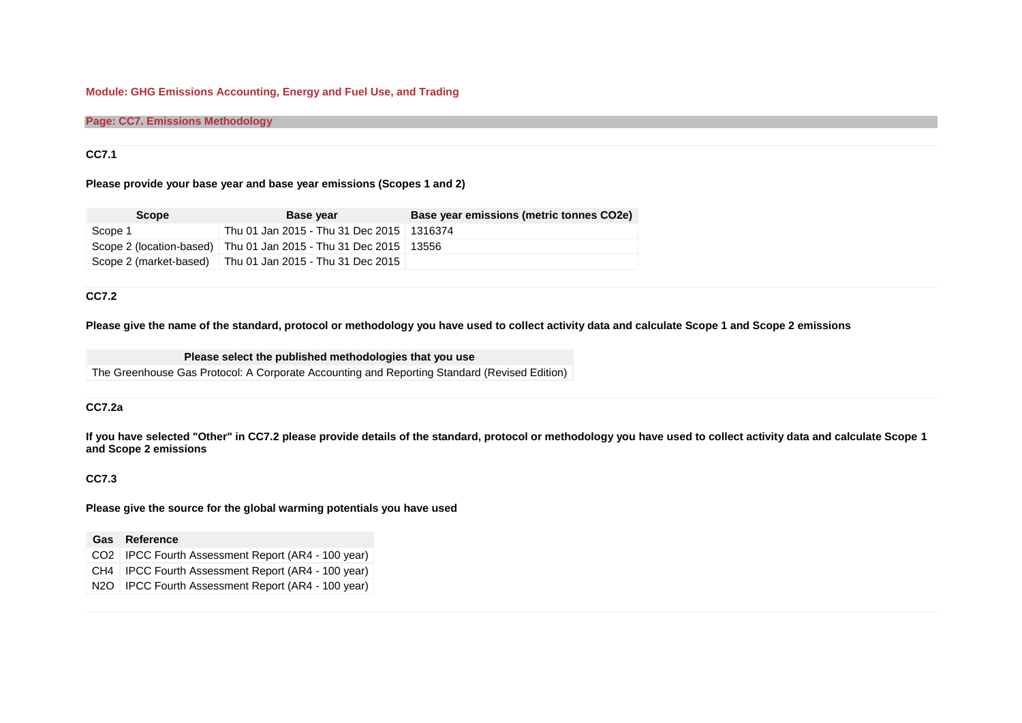### **Module: GHG Emissions Accounting, Energy and Fuel Use, and Trading**

#### **Page: CC7. Emissions Methodology**

#### **CC7.1**

#### **Please provide your base year and base year emissions (Scopes 1 and 2)**

| <b>Scope</b>           | <b>Base year</b>                                             | Base year emissions (metric tonnes CO2e) |
|------------------------|--------------------------------------------------------------|------------------------------------------|
| Scope 1                | Thu 01 Jan 2015 - Thu 31 Dec 2015   1316374                  |                                          |
|                        | Scope 2 (location-based)   Thu 01 Jan 2015 - Thu 31 Dec 2015 | 13556                                    |
| Scope 2 (market-based) | Thu 01 Jan 2015 - Thu 31 Dec 2015                            |                                          |

### **CC7.2**

**Please give the name of the standard, protocol or methodology you have used to collect activity data and calculate Scope 1 and Scope 2 emissions**

**Please select the published methodologies that you use**

The Greenhouse Gas Protocol: A Corporate Accounting and Reporting Standard (Revised Edition)

#### **CC7.2a**

**If you have selected "Other" in CC7.2 please provide details of the standard, protocol or methodology you have used to collect activity data and calculate Scope 1 and Scope 2 emissions**

#### **CC7.3**

**Please give the source for the global warming potentials you have used**

#### **Gas Reference**

- CO2 IPCC Fourth Assessment Report (AR4 100 year)
- CH4 IPCC Fourth Assessment Report (AR4 100 year)
- N2O | IPCC Fourth Assessment Report (AR4 100 year)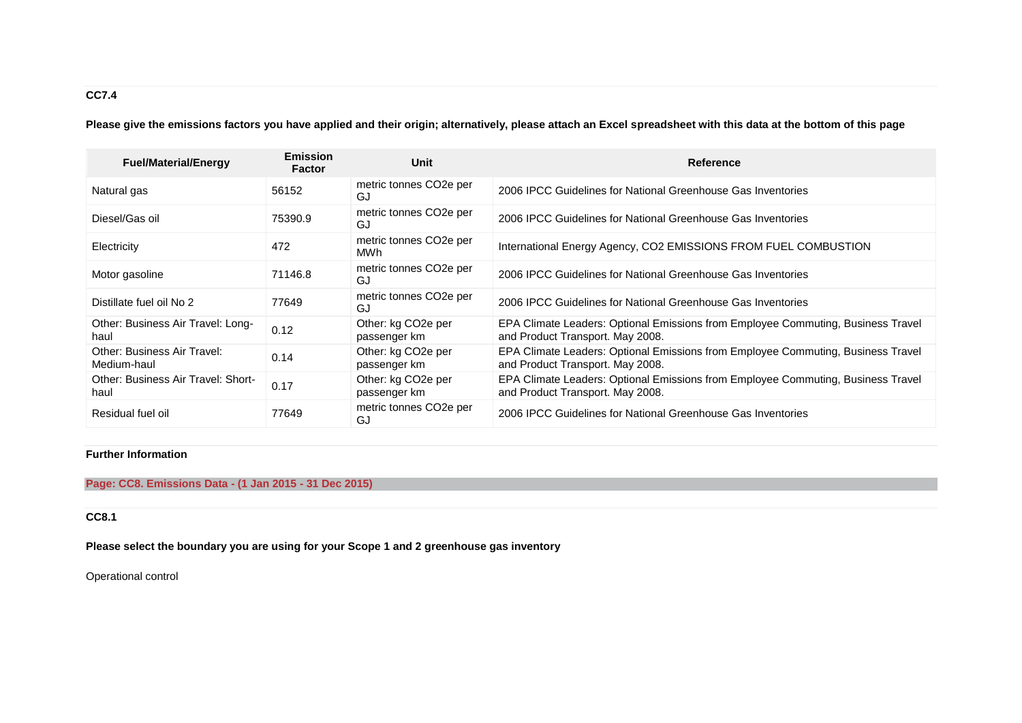# **CC7.4**

**Please give the emissions factors you have applied and their origin; alternatively, please attach an Excel spreadsheet with this data at the bottom of this page**

| <b>Fuel/Material/Energy</b>                | <b>Emission</b><br><b>Factor</b> | Unit                                            | <b>Reference</b>                                                                                                     |
|--------------------------------------------|----------------------------------|-------------------------------------------------|----------------------------------------------------------------------------------------------------------------------|
| Natural gas                                | 56152                            | metric tonnes CO <sub>2</sub> e per<br>GJ       | 2006 IPCC Guidelines for National Greenhouse Gas Inventories                                                         |
| Diesel/Gas oil                             | 75390.9                          | metric tonnes CO <sub>2</sub> e per<br>GJ       | 2006 IPCC Guidelines for National Greenhouse Gas Inventories                                                         |
| Electricity                                | 472                              | metric tonnes CO <sub>2</sub> e per<br>MWh      | International Energy Agency, CO2 EMISSIONS FROM FUEL COMBUSTION                                                      |
| Motor gasoline                             | 71146.8                          | metric tonnes CO <sub>2</sub> e per<br>GJ       | 2006 IPCC Guidelines for National Greenhouse Gas Inventories                                                         |
| Distillate fuel oil No 2                   | 77649                            | metric tonnes CO <sub>2</sub> e per<br>GJ       | 2006 IPCC Guidelines for National Greenhouse Gas Inventories                                                         |
| Other: Business Air Travel: Long-<br>haul  | 0.12                             | Other: kg CO <sub>2</sub> e per<br>passenger km | EPA Climate Leaders: Optional Emissions from Employee Commuting, Business Travel<br>and Product Transport. May 2008. |
| Other: Business Air Travel:<br>Medium-haul | 0.14                             | Other: kg CO <sub>2</sub> e per<br>passenger km | EPA Climate Leaders: Optional Emissions from Employee Commuting, Business Travel<br>and Product Transport. May 2008. |
| Other: Business Air Travel: Short-<br>haul | 0.17                             | Other: kg CO <sub>2</sub> e per<br>passenger km | EPA Climate Leaders: Optional Emissions from Employee Commuting, Business Travel<br>and Product Transport. May 2008. |
| Residual fuel oil                          | 77649                            | metric tonnes CO <sub>2</sub> e per<br>GJ       | 2006 IPCC Guidelines for National Greenhouse Gas Inventories                                                         |

## **Further Information**

### **Page: CC8. Emissions Data - (1 Jan 2015 - 31 Dec 2015)**

## **CC8.1**

**Please select the boundary you are using for your Scope 1 and 2 greenhouse gas inventory**

Operational control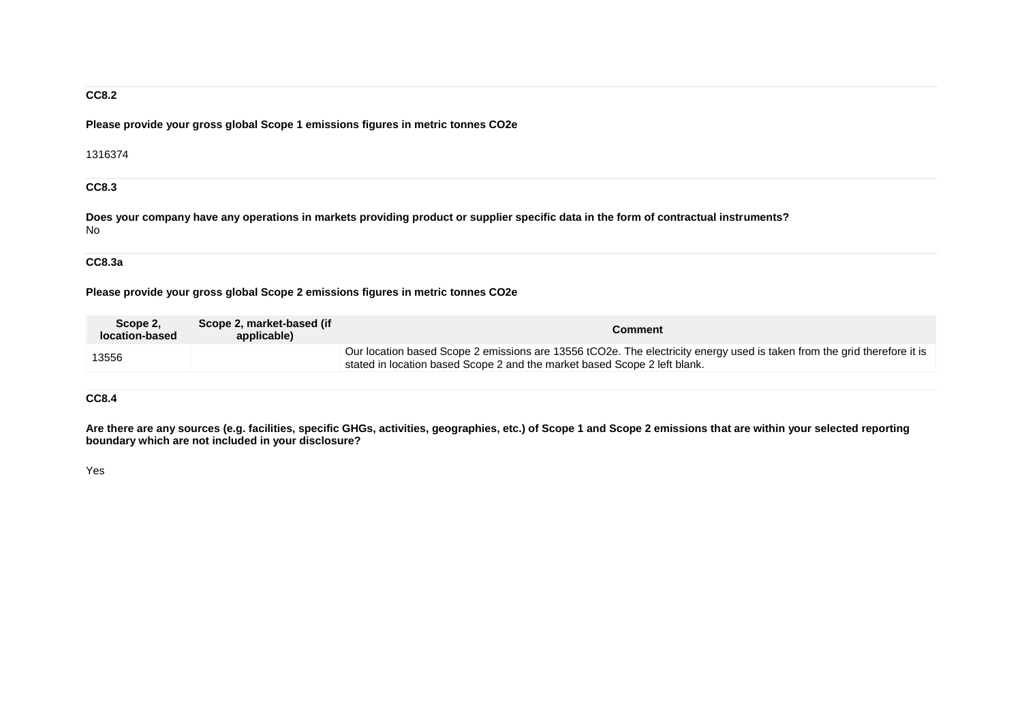### **CC8.2**

**Please provide your gross global Scope 1 emissions figures in metric tonnes CO2e**

1316374

**CC8.3**

**Does your company have any operations in markets providing product or supplier specific data in the form of contractual instruments?** No

### **CC8.3a**

### **Please provide your gross global Scope 2 emissions figures in metric tonnes CO2e**

| Scope 2.<br>location-based | Scope 2, market-based (if<br>applicable) | Comment                                                                                                                                                                                               |
|----------------------------|------------------------------------------|-------------------------------------------------------------------------------------------------------------------------------------------------------------------------------------------------------|
| 13556                      |                                          | Our location based Scope 2 emissions are 13556 tCO2e. The electricity energy used is taken from the grid therefore it is<br>stated in location based Scope 2 and the market based Scope 2 left blank. |

### **CC8.4**

**Are there are any sources (e.g. facilities, specific GHGs, activities, geographies, etc.) of Scope 1 and Scope 2 emissions that are within your selected reporting boundary which are not included in your disclosure?**

Yes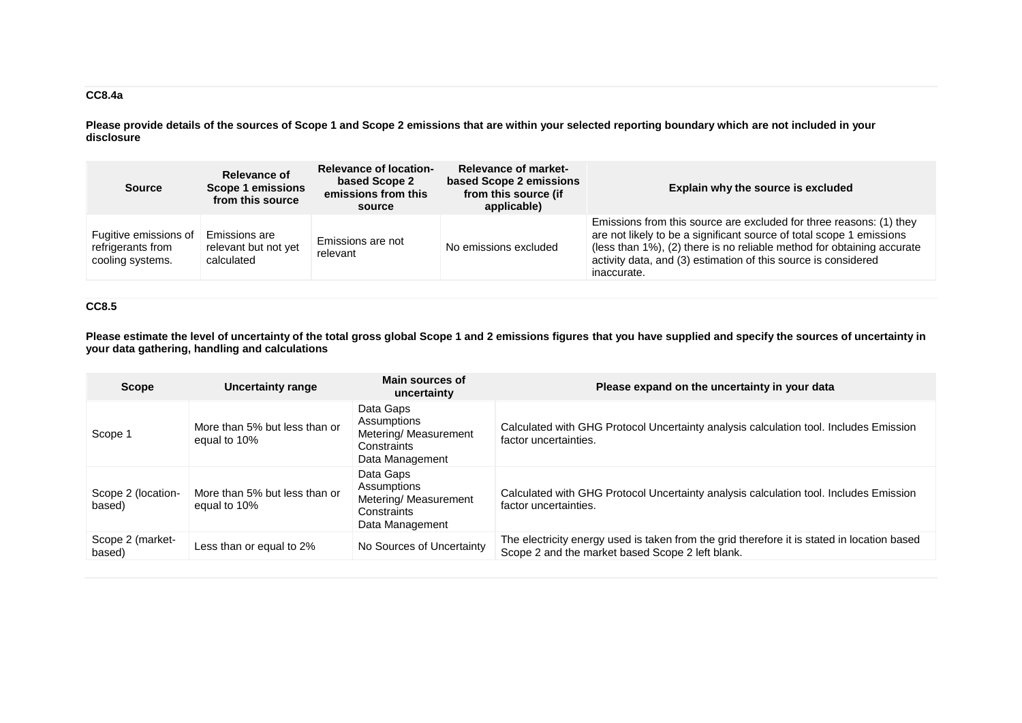## **CC8.4a**

**Please provide details of the sources of Scope 1 and Scope 2 emissions that are within your selected reporting boundary which are not included in your disclosure**

| <b>Source</b>                                                  | <b>Relevance of location-</b><br>Relevance of<br>based Scope 2<br><b>Scope 1 emissions</b><br>emissions from this<br>from this source<br>source |                               | <b>Relevance of market-</b><br>based Scope 2 emissions<br>from this source (if<br>applicable) | Explain why the source is excluded                                                                                                                                                                                                                                                                     |  |
|----------------------------------------------------------------|-------------------------------------------------------------------------------------------------------------------------------------------------|-------------------------------|-----------------------------------------------------------------------------------------------|--------------------------------------------------------------------------------------------------------------------------------------------------------------------------------------------------------------------------------------------------------------------------------------------------------|--|
| Fugitive emissions of<br>refrigerants from<br>cooling systems. | Emissions are<br>relevant but not yet<br>calculated                                                                                             | Emissions are not<br>relevant | No emissions excluded                                                                         | Emissions from this source are excluded for three reasons: (1) they<br>are not likely to be a significant source of total scope 1 emissions<br>(less than 1%), (2) there is no reliable method for obtaining accurate<br>activity data, and (3) estimation of this source is considered<br>inaccurate. |  |

## **CC8.5**

**Please estimate the level of uncertainty of the total gross global Scope 1 and 2 emissions figures that you have supplied and specify the sources of uncertainty in your data gathering, handling and calculations**

| <b>Scope</b>                 | <b>Uncertainty range</b>                      | Main sources of<br>uncertainty                                                      | Please expand on the uncertainty in your data                                                                                                   |
|------------------------------|-----------------------------------------------|-------------------------------------------------------------------------------------|-------------------------------------------------------------------------------------------------------------------------------------------------|
| Scope 1                      | More than 5% but less than or<br>equal to 10% | Data Gaps<br>Assumptions<br>Metering/ Measurement<br>Constraints<br>Data Management | Calculated with GHG Protocol Uncertainty analysis calculation tool. Includes Emission<br>factor uncertainties.                                  |
| Scope 2 (location-<br>based) | More than 5% but less than or<br>equal to 10% | Data Gaps<br>Assumptions<br>Metering/ Measurement<br>Constraints<br>Data Management | Calculated with GHG Protocol Uncertainty analysis calculation tool. Includes Emission<br>factor uncertainties.                                  |
| Scope 2 (market-<br>based)   | Less than or equal to 2%                      | No Sources of Uncertainty                                                           | The electricity energy used is taken from the grid therefore it is stated in location based<br>Scope 2 and the market based Scope 2 left blank. |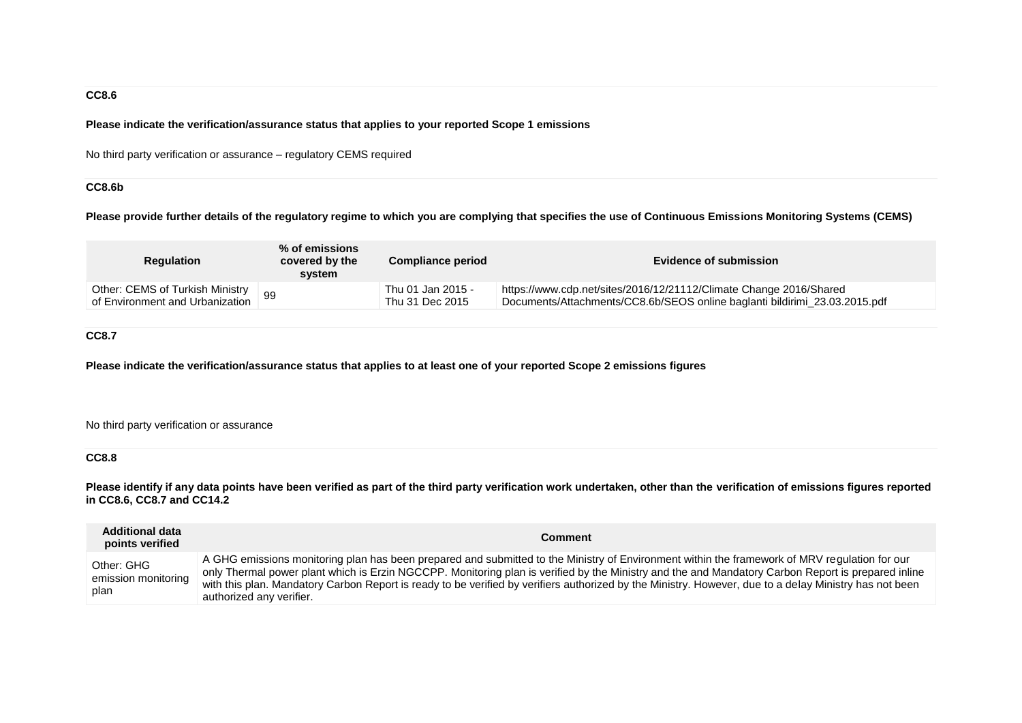### **CC8.6**

#### **Please indicate the verification/assurance status that applies to your reported Scope 1 emissions**

No third party verification or assurance – regulatory CEMS required

### **CC8.6b**

**Please provide further details of the regulatory regime to which you are complying that specifies the use of Continuous Emissions Monitoring Systems (CEMS)**

| <b>Regulation</b>               | $%$ of emissions<br>covered by the<br>system | <b>Compliance period</b> | Evidence of submission                                                     |  |
|---------------------------------|----------------------------------------------|--------------------------|----------------------------------------------------------------------------|--|
| Other: CEMS of Turkish Ministry |                                              | Thu 01 Jan 2015 -        | https://www.cdp.net/sites/2016/12/21112/Climate Change 2016/Shared         |  |
| of Environment and Urbanization |                                              | Thu 31 Dec 2015          | Documents/Attachments/CC8.6b/SEOS online baglanti bildirimi_23.03.2015.pdf |  |

### **CC8.7**

**Please indicate the verification/assurance status that applies to at least one of your reported Scope 2 emissions figures**

No third party verification or assurance

### **CC8.8**

**Please identify if any data points have been verified as part of the third party verification work undertaken, other than the verification of emissions figures reported in CC8.6, CC8.7 and CC14.2**

| <b>Additional data</b><br>points verified | <b>Comment</b>                                                                                                                                                                                                                                                                                                                                                                                                                                                                            |
|-------------------------------------------|-------------------------------------------------------------------------------------------------------------------------------------------------------------------------------------------------------------------------------------------------------------------------------------------------------------------------------------------------------------------------------------------------------------------------------------------------------------------------------------------|
| Other: GHG<br>emission monitoring<br>plan | A GHG emissions monitoring plan has been prepared and submitted to the Ministry of Environment within the framework of MRV regulation for our<br>only Thermal power plant which is Erzin NGCCPP. Monitoring plan is verified by the Ministry and the and Mandatory Carbon Report is prepared inline<br>with this plan. Mandatory Carbon Report is ready to be verified by verifiers authorized by the Ministry. However, due to a delay Ministry has not been<br>authorized any verifier. |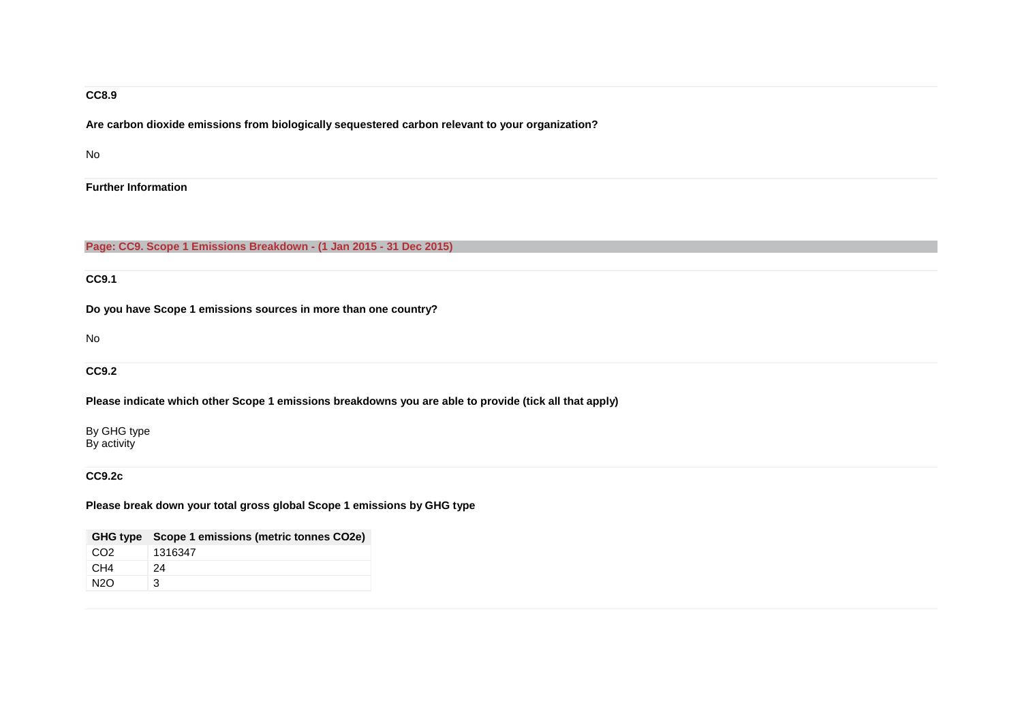### **CC8.9**

**Are carbon dioxide emissions from biologically sequestered carbon relevant to your organization?**

No

**Further Information**

**Page: CC9. Scope 1 Emissions Breakdown - (1 Jan 2015 - 31 Dec 2015)**

**CC9.1**

**Do you have Scope 1 emissions sources in more than one country?**

No

**CC9.2**

**Please indicate which other Scope 1 emissions breakdowns you are able to provide (tick all that apply)**

By GHG type By activity

**CC9.2c**

**Please break down your total gross global Scope 1 emissions by GHG type**

|                 | GHG type Scope 1 emissions (metric tonnes CO2e) |
|-----------------|-------------------------------------------------|
| CO <sub>2</sub> | 1316347                                         |
| CH4             | 24                                              |
| N2O             | 3                                               |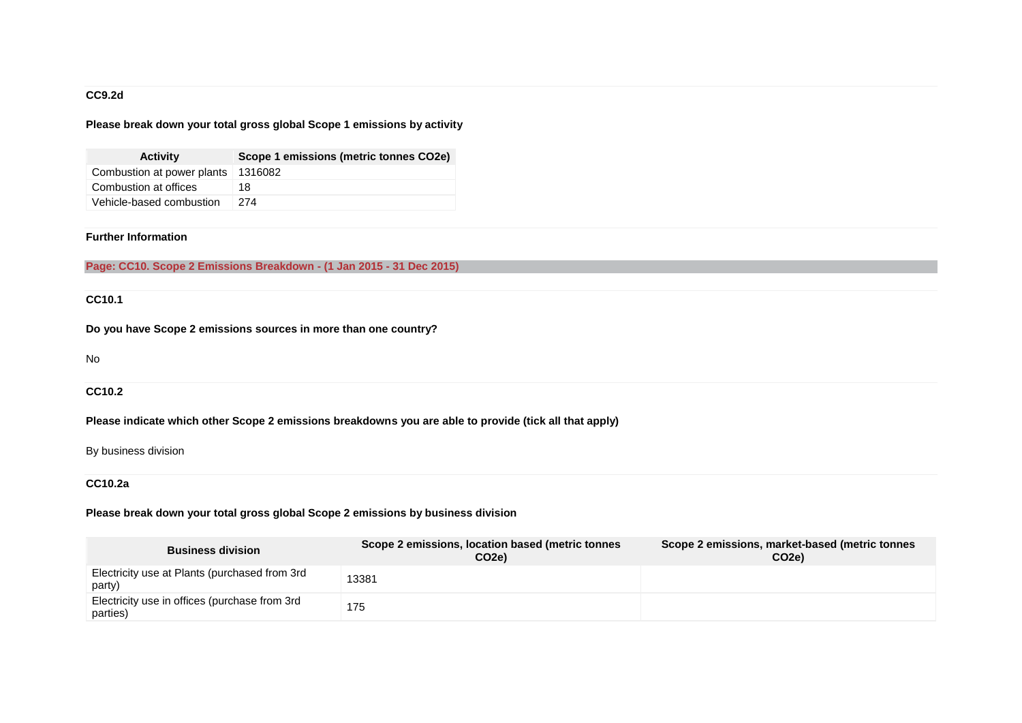### **CC9.2d**

### **Please break down your total gross global Scope 1 emissions by activity**

| <b>Activity</b>            | Scope 1 emissions (metric tonnes CO2e) |
|----------------------------|----------------------------------------|
| Combustion at power plants | 1316082                                |
| Combustion at offices      | 18                                     |
| Vehicle-based combustion   | 274                                    |

### **Further Information**

**Page: CC10. Scope 2 Emissions Breakdown - (1 Jan 2015 - 31 Dec 2015)**

## **CC10.1**

**Do you have Scope 2 emissions sources in more than one country?**

No

### **CC10.2**

**Please indicate which other Scope 2 emissions breakdowns you are able to provide (tick all that apply)**

### By business division

### **CC10.2a**

### **Please break down your total gross global Scope 2 emissions by business division**

| <b>Business division</b>                                  | Scope 2 emissions, location based (metric tonnes<br>CO <sub>2</sub> e) | Scope 2 emissions, market-based (metric tonnes<br>CO <sub>2</sub> e) |
|-----------------------------------------------------------|------------------------------------------------------------------------|----------------------------------------------------------------------|
| Electricity use at Plants (purchased from 3rd<br>party)   | 13381                                                                  |                                                                      |
| Electricity use in offices (purchase from 3rd<br>parties) | 175                                                                    |                                                                      |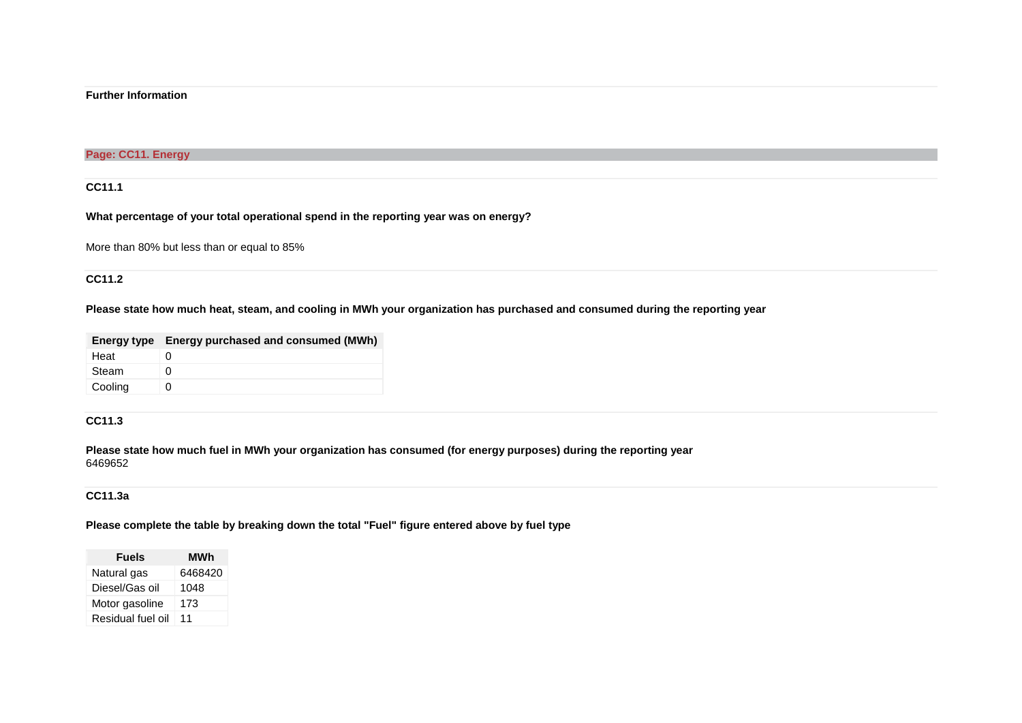### **Further Information**

### **Page: CC11. Energy**

### **CC11.1**

### **What percentage of your total operational spend in the reporting year was on energy?**

More than 80% but less than or equal to 85%

### **CC11.2**

### **Please state how much heat, steam, and cooling in MWh your organization has purchased and consumed during the reporting year**

|         | Energy type Energy purchased and consumed (MWh) |
|---------|-------------------------------------------------|
| Heat    |                                                 |
| Steam   | $\mathbf{U}$                                    |
| Cooling |                                                 |

### **CC11.3**

**Please state how much fuel in MWh your organization has consumed (for energy purposes) during the reporting year** 6469652

### **CC11.3a**

### **Please complete the table by breaking down the total "Fuel" figure entered above by fuel type**

| Fuels             | MWh     |
|-------------------|---------|
| Natural gas       | 6468420 |
| Diesel/Gas oil    | 1048    |
| Motor gasoline    | 173     |
| Residual fuel oil | 11      |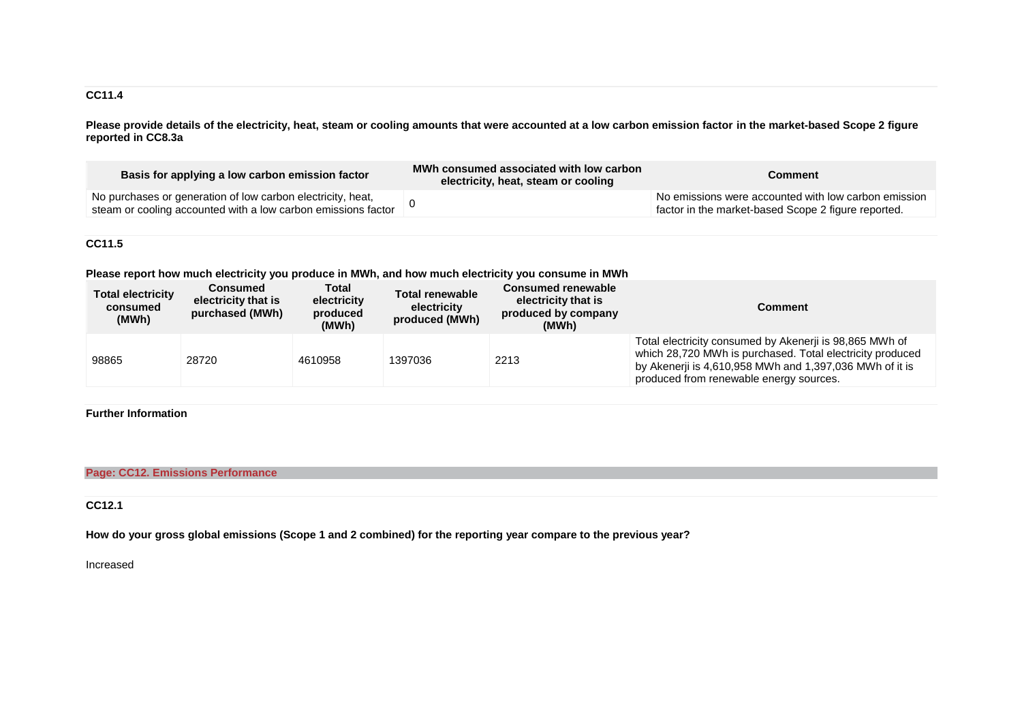### **CC11.4**

**Please provide details of the electricity, heat, steam or cooling amounts that were accounted at a low carbon emission factor in the market-based Scope 2 figure reported in CC8.3a**

| Basis for applying a low carbon emission factor                                                                              | MWh consumed associated with low carbon<br>electricity, heat, steam or cooling | Comment                                                                                                     |
|------------------------------------------------------------------------------------------------------------------------------|--------------------------------------------------------------------------------|-------------------------------------------------------------------------------------------------------------|
| No purchases or generation of low carbon electricity, heat,<br>steam or cooling accounted with a low carbon emissions factor |                                                                                | No emissions were accounted with low carbon emission<br>factor in the market-based Scope 2 figure reported. |

### **CC11.5**

**Please report how much electricity you produce in MWh, and how much electricity you consume in MWh**

| <b>Total electricity</b><br>consumed<br>(MWh) | <b>Consumed</b><br>electricity that is<br>purchased (MWh) | Total<br>electricity<br>produced<br>(MWh) | Total renewable<br>electricity<br>produced (MWh) | <b>Consumed renewable</b><br>electricity that is<br>produced by company<br>(MWh) | Comment                                                                                                                                                                                                                    |
|-----------------------------------------------|-----------------------------------------------------------|-------------------------------------------|--------------------------------------------------|----------------------------------------------------------------------------------|----------------------------------------------------------------------------------------------------------------------------------------------------------------------------------------------------------------------------|
| 98865                                         | 28720                                                     | 4610958                                   | 1397036                                          | 2213                                                                             | Total electricity consumed by Akenerji is 98,865 MWh of<br>which 28,720 MWh is purchased. Total electricity produced<br>by Akenerji is 4,610,958 MWh and 1,397,036 MWh of it is<br>produced from renewable energy sources. |

## **Further Information**

### **Page: CC12. Emissions Performance**

### **CC12.1**

**How do your gross global emissions (Scope 1 and 2 combined) for the reporting year compare to the previous year?**

Increased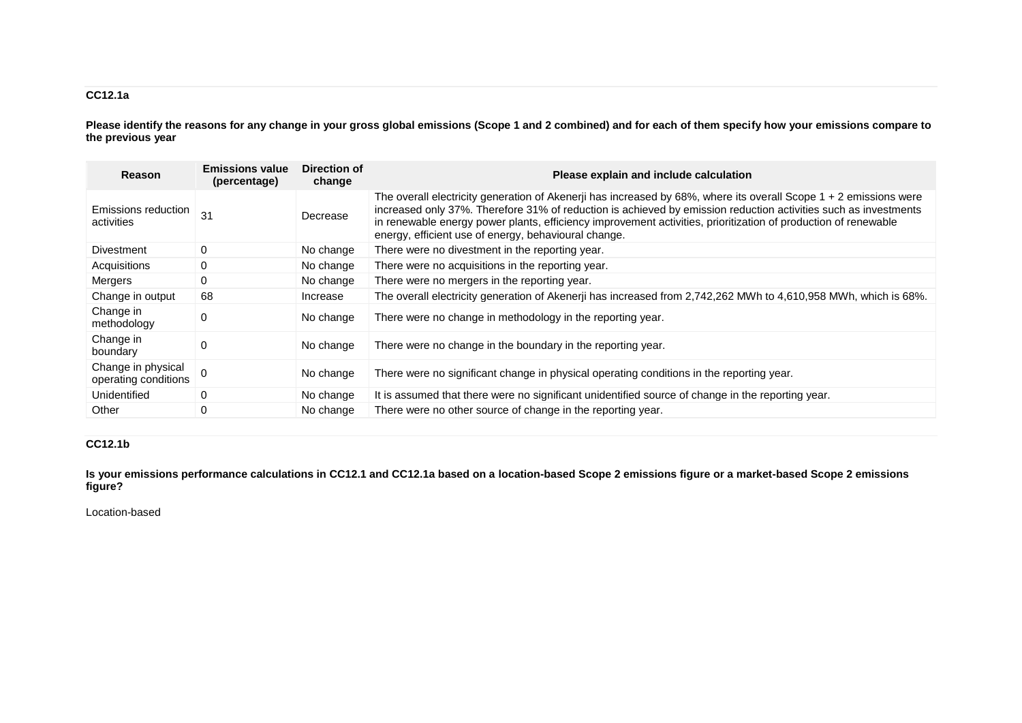## **CC12.1a**

**Please identify the reasons for any change in your gross global emissions (Scope 1 and 2 combined) and for each of them specify how your emissions compare to the previous year**

| Reason                                     | <b>Emissions value</b><br>(percentage) | Direction of<br>change | Please explain and include calculation                                                                                                                                                                                                                                                                                                                                                                         |
|--------------------------------------------|----------------------------------------|------------------------|----------------------------------------------------------------------------------------------------------------------------------------------------------------------------------------------------------------------------------------------------------------------------------------------------------------------------------------------------------------------------------------------------------------|
| Emissions reduction<br>activities          | $\overline{31}$                        | Decrease               | The overall electricity generation of Akenerji has increased by 68%, where its overall Scope 1 + 2 emissions were<br>increased only 37%. Therefore 31% of reduction is achieved by emission reduction activities such as investments<br>in renewable energy power plants, efficiency improvement activities, prioritization of production of renewable<br>energy, efficient use of energy, behavioural change. |
| Divestment                                 | 0                                      | No change              | There were no divestment in the reporting year.                                                                                                                                                                                                                                                                                                                                                                |
| Acquisitions                               | 0                                      | No change              | There were no acquisitions in the reporting year.                                                                                                                                                                                                                                                                                                                                                              |
| Mergers                                    | $\mathbf 0$                            | No change              | There were no mergers in the reporting year.                                                                                                                                                                                                                                                                                                                                                                   |
| Change in output                           | 68                                     | Increase               | The overall electricity generation of Akenerji has increased from 2,742,262 MWh to 4,610,958 MWh, which is 68%.                                                                                                                                                                                                                                                                                                |
| Change in<br>methodology                   | 0                                      | No change              | There were no change in methodology in the reporting year.                                                                                                                                                                                                                                                                                                                                                     |
| Change in<br>boundary                      | $\Omega$                               | No change              | There were no change in the boundary in the reporting year.                                                                                                                                                                                                                                                                                                                                                    |
| Change in physical<br>operating conditions | $\Omega$                               | No change              | There were no significant change in physical operating conditions in the reporting year.                                                                                                                                                                                                                                                                                                                       |
| Unidentified                               | 0                                      | No change              | It is assumed that there were no significant unidentified source of change in the reporting year.                                                                                                                                                                                                                                                                                                              |
| Other                                      | $\mathbf 0$                            | No change              | There were no other source of change in the reporting year.                                                                                                                                                                                                                                                                                                                                                    |

### **CC12.1b**

**Is your emissions performance calculations in CC12.1 and CC12.1a based on a location-based Scope 2 emissions figure or a market-based Scope 2 emissions figure?**

### Location-based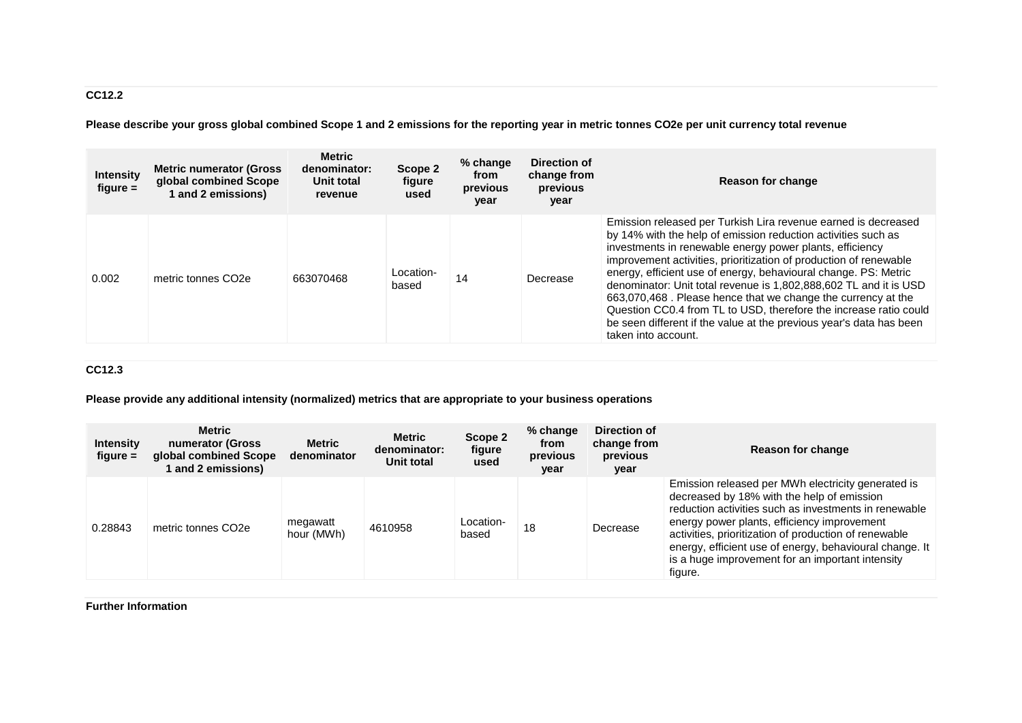# **CC12.2**

**Please describe your gross global combined Scope 1 and 2 emissions for the reporting year in metric tonnes CO2e per unit currency total revenue**

| <b>Intensity</b><br>$figure =$ | <b>Metric numerator (Gross)</b><br>global combined Scope<br>1 and 2 emissions) | <b>Metric</b><br>denominator:<br>Unit total<br>revenue | Scope 2<br>figure<br>used | $%$ change<br>from<br>previous<br>year | Direction of<br>change from<br>previous<br>year | <b>Reason for change</b>                                                                                                                                                                                                                                                                                                                                                                                                                                                                                                                                                                                                                    |
|--------------------------------|--------------------------------------------------------------------------------|--------------------------------------------------------|---------------------------|----------------------------------------|-------------------------------------------------|---------------------------------------------------------------------------------------------------------------------------------------------------------------------------------------------------------------------------------------------------------------------------------------------------------------------------------------------------------------------------------------------------------------------------------------------------------------------------------------------------------------------------------------------------------------------------------------------------------------------------------------------|
| 0.002                          | metric tonnes CO <sub>2e</sub>                                                 | 663070468                                              | Location-<br>based        | 14                                     | Decrease                                        | Emission released per Turkish Lira revenue earned is decreased<br>by 14% with the help of emission reduction activities such as<br>investments in renewable energy power plants, efficiency<br>improvement activities, prioritization of production of renewable<br>energy, efficient use of energy, behavioural change. PS: Metric<br>denominator: Unit total revenue is 1,802,888,602 TL and it is USD<br>663,070,468. Please hence that we change the currency at the<br>Question CC0.4 from TL to USD, therefore the increase ratio could<br>be seen different if the value at the previous year's data has been<br>taken into account. |

## **CC12.3**

**Please provide any additional intensity (normalized) metrics that are appropriate to your business operations**

| <b>Intensity</b><br>figure $=$ | <b>Metric</b><br>numerator (Gross<br>global combined Scope<br>and 2 emissions) | <b>Metric</b><br>denominator | <b>Metric</b><br>denominator:<br>Unit total | Scope 2<br>figure<br>used | % change<br>from<br>previous<br>year | Direction of<br>change from<br>previous<br>year | Reason for change                                                                                                                                                                                                                                                                                                                                                                           |
|--------------------------------|--------------------------------------------------------------------------------|------------------------------|---------------------------------------------|---------------------------|--------------------------------------|-------------------------------------------------|---------------------------------------------------------------------------------------------------------------------------------------------------------------------------------------------------------------------------------------------------------------------------------------------------------------------------------------------------------------------------------------------|
| 0.28843                        | metric tonnes CO <sub>2e</sub>                                                 | megawatt<br>hour (MWh)       | 4610958                                     | Location-<br>based        | 18                                   | Decrease                                        | Emission released per MWh electricity generated is<br>decreased by 18% with the help of emission<br>reduction activities such as investments in renewable<br>energy power plants, efficiency improvement<br>activities, prioritization of production of renewable<br>energy, efficient use of energy, behavioural change. It<br>is a huge improvement for an important intensity<br>figure. |

### **Further Information**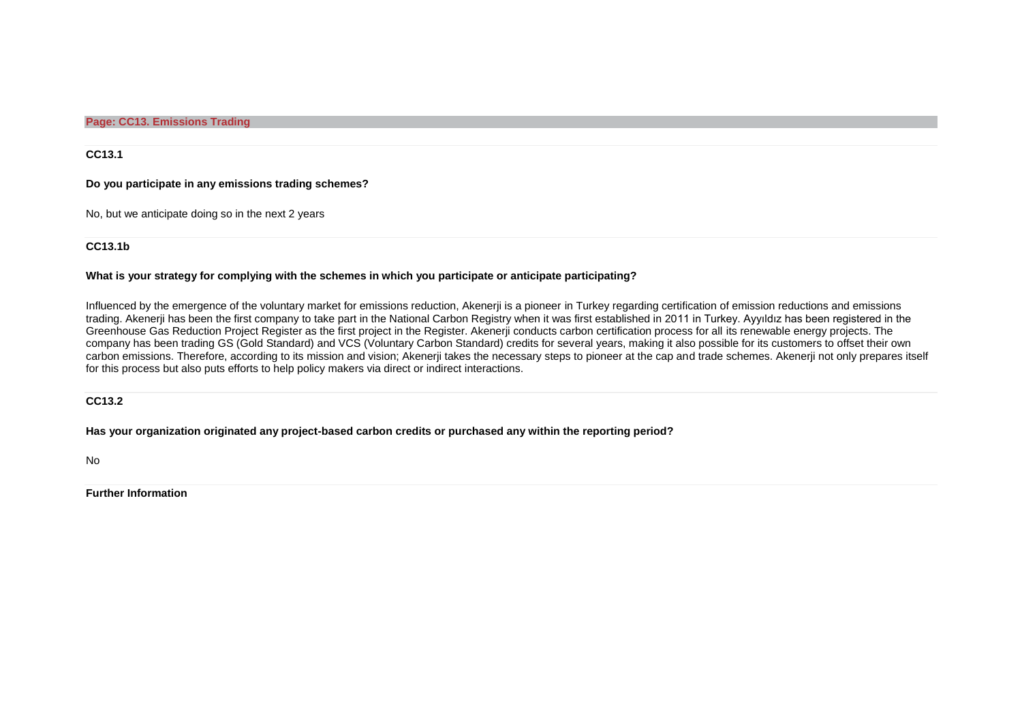**Page: CC13. Emissions Trading**

**CC13.1**

**Do you participate in any emissions trading schemes?**

No, but we anticipate doing so in the next 2 years

### **CC13.1b**

#### **What is your strategy for complying with the schemes in which you participate or anticipate participating?**

Influenced by the emergence of the voluntary market for emissions reduction, Akenerii is a pioneer in Turkey regarding certification of emission reductions and emissions trading. Akenerji has been the first company to take part in the National Carbon Registry when it was first established in 2011 in Turkey. Ayyıldız has been registered in the Greenhouse Gas Reduction Project Register as the first project in the Register. Akenerji conducts carbon certification process for all its renewable energy projects. The company has been trading GS (Gold Standard) and VCS (Voluntary Carbon Standard) credits for several years, making it also possible for its customers to offset their own carbon emissions. Therefore, according to its mission and vision; Akenerji takes the necessary steps to pioneer at the cap and trade schemes. Akenerji not only prepares itself for this process but also puts efforts to help policy makers via direct or indirect interactions.

#### **CC13.2**

#### **Has your organization originated any project-based carbon credits or purchased any within the reporting period?**

No

**Further Information**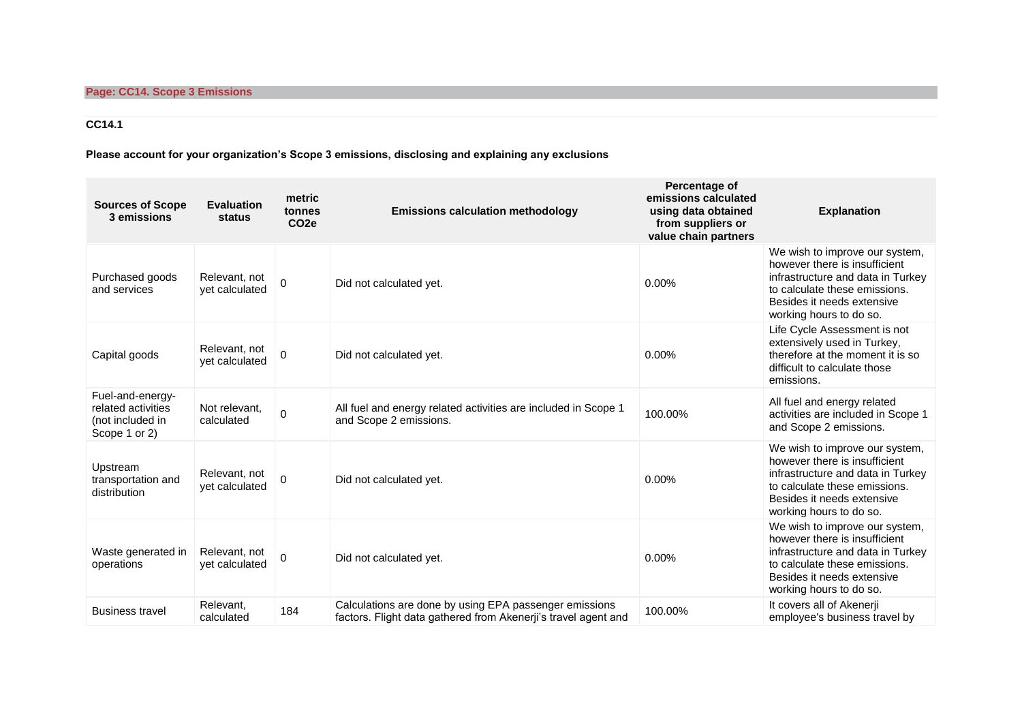# **CC14.1**

**Please account for your organization's Scope 3 emissions, disclosing and explaining any exclusions**

| <b>Sources of Scope</b><br>3 emissions                                      | <b>Evaluation</b><br>status     | metric<br>tonnes<br>CO <sub>2e</sub> | <b>Emissions calculation methodology</b>                                                                                 | Percentage of<br>emissions calculated<br>using data obtained<br>from suppliers or<br>value chain partners | <b>Explanation</b>                                                                                                                                                                             |
|-----------------------------------------------------------------------------|---------------------------------|--------------------------------------|--------------------------------------------------------------------------------------------------------------------------|-----------------------------------------------------------------------------------------------------------|------------------------------------------------------------------------------------------------------------------------------------------------------------------------------------------------|
| Purchased goods<br>and services                                             | Relevant, not<br>vet calculated | $\Omega$                             | Did not calculated yet.                                                                                                  | $0.00\%$                                                                                                  | We wish to improve our system,<br>however there is insufficient<br>infrastructure and data in Turkey<br>to calculate these emissions.<br>Besides it needs extensive<br>working hours to do so. |
| Capital goods                                                               | Relevant, not<br>vet calculated | $\Omega$                             | Did not calculated yet.                                                                                                  | $0.00\%$                                                                                                  | Life Cycle Assessment is not<br>extensively used in Turkey,<br>therefore at the moment it is so<br>difficult to calculate those<br>emissions.                                                  |
| Fuel-and-energy-<br>related activities<br>(not included in<br>Scope 1 or 2) | Not relevant,<br>calculated     | $\mathbf 0$                          | All fuel and energy related activities are included in Scope 1<br>and Scope 2 emissions.                                 | 100.00%                                                                                                   | All fuel and energy related<br>activities are included in Scope 1<br>and Scope 2 emissions.                                                                                                    |
| Upstream<br>transportation and<br>distribution                              | Relevant, not<br>yet calculated | $\Omega$                             | Did not calculated yet.                                                                                                  | $0.00\%$                                                                                                  | We wish to improve our system,<br>however there is insufficient<br>infrastructure and data in Turkey<br>to calculate these emissions.<br>Besides it needs extensive<br>working hours to do so. |
| Waste generated in<br>operations                                            | Relevant, not<br>vet calculated | $\mathbf 0$                          | Did not calculated yet.                                                                                                  | $0.00\%$                                                                                                  | We wish to improve our system,<br>however there is insufficient<br>infrastructure and data in Turkey<br>to calculate these emissions.<br>Besides it needs extensive<br>working hours to do so. |
| <b>Business travel</b>                                                      | Relevant,<br>calculated         | 184                                  | Calculations are done by using EPA passenger emissions<br>factors. Flight data gathered from Akenerji's travel agent and | 100.00%                                                                                                   | It covers all of Akenerji<br>employee's business travel by                                                                                                                                     |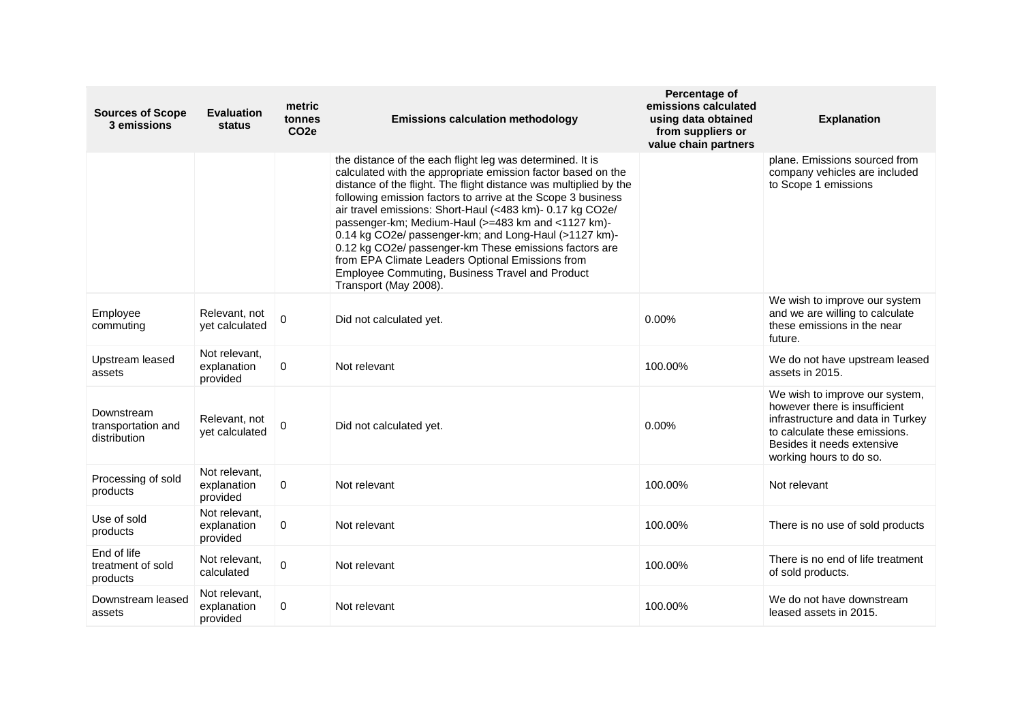| <b>Sources of Scope</b><br>3 emissions           | <b>Evaluation</b><br><b>status</b>       | metric<br>tonnes<br>CO <sub>2e</sub> | <b>Emissions calculation methodology</b>                                                                                                                                                                                                                                                                                                                                                                                                                                                                                                                                                                                             | Percentage of<br>emissions calculated<br>using data obtained<br>from suppliers or<br>value chain partners | <b>Explanation</b>                                                                                                                                                                             |
|--------------------------------------------------|------------------------------------------|--------------------------------------|--------------------------------------------------------------------------------------------------------------------------------------------------------------------------------------------------------------------------------------------------------------------------------------------------------------------------------------------------------------------------------------------------------------------------------------------------------------------------------------------------------------------------------------------------------------------------------------------------------------------------------------|-----------------------------------------------------------------------------------------------------------|------------------------------------------------------------------------------------------------------------------------------------------------------------------------------------------------|
|                                                  |                                          |                                      | the distance of the each flight leg was determined. It is<br>calculated with the appropriate emission factor based on the<br>distance of the flight. The flight distance was multiplied by the<br>following emission factors to arrive at the Scope 3 business<br>air travel emissions: Short-Haul (<483 km)- 0.17 kg CO2e/<br>passenger-km; Medium-Haul (>=483 km and <1127 km)-<br>0.14 kg CO2e/ passenger-km; and Long-Haul (>1127 km)-<br>0.12 kg CO2e/ passenger-km These emissions factors are<br>from EPA Climate Leaders Optional Emissions from<br>Employee Commuting, Business Travel and Product<br>Transport (May 2008). |                                                                                                           | plane. Emissions sourced from<br>company vehicles are included<br>to Scope 1 emissions                                                                                                         |
| Employee<br>commuting                            | Relevant, not<br>yet calculated          | 0                                    | Did not calculated yet.                                                                                                                                                                                                                                                                                                                                                                                                                                                                                                                                                                                                              | 0.00%                                                                                                     | We wish to improve our system<br>and we are willing to calculate<br>these emissions in the near<br>future.                                                                                     |
| Upstream leased<br>assets                        | Not relevant.<br>explanation<br>provided | $\mathbf 0$                          | Not relevant                                                                                                                                                                                                                                                                                                                                                                                                                                                                                                                                                                                                                         | 100.00%                                                                                                   | We do not have upstream leased<br>assets in 2015.                                                                                                                                              |
| Downstream<br>transportation and<br>distribution | Relevant, not<br>yet calculated          | 0                                    | Did not calculated yet.                                                                                                                                                                                                                                                                                                                                                                                                                                                                                                                                                                                                              | 0.00%                                                                                                     | We wish to improve our system,<br>however there is insufficient<br>infrastructure and data in Turkey<br>to calculate these emissions.<br>Besides it needs extensive<br>working hours to do so. |
| Processing of sold<br>products                   | Not relevant,<br>explanation<br>provided | $\mathbf 0$                          | Not relevant                                                                                                                                                                                                                                                                                                                                                                                                                                                                                                                                                                                                                         | 100.00%                                                                                                   | Not relevant                                                                                                                                                                                   |
| Use of sold<br>products                          | Not relevant,<br>explanation<br>provided | 0                                    | Not relevant                                                                                                                                                                                                                                                                                                                                                                                                                                                                                                                                                                                                                         | 100.00%                                                                                                   | There is no use of sold products                                                                                                                                                               |
| End of life<br>treatment of sold<br>products     | Not relevant,<br>calculated              | 0                                    | Not relevant                                                                                                                                                                                                                                                                                                                                                                                                                                                                                                                                                                                                                         | 100.00%                                                                                                   | There is no end of life treatment<br>of sold products.                                                                                                                                         |
| Downstream leased<br>assets                      | Not relevant,<br>explanation<br>provided | 0                                    | Not relevant                                                                                                                                                                                                                                                                                                                                                                                                                                                                                                                                                                                                                         | 100.00%                                                                                                   | We do not have downstream<br>leased assets in 2015.                                                                                                                                            |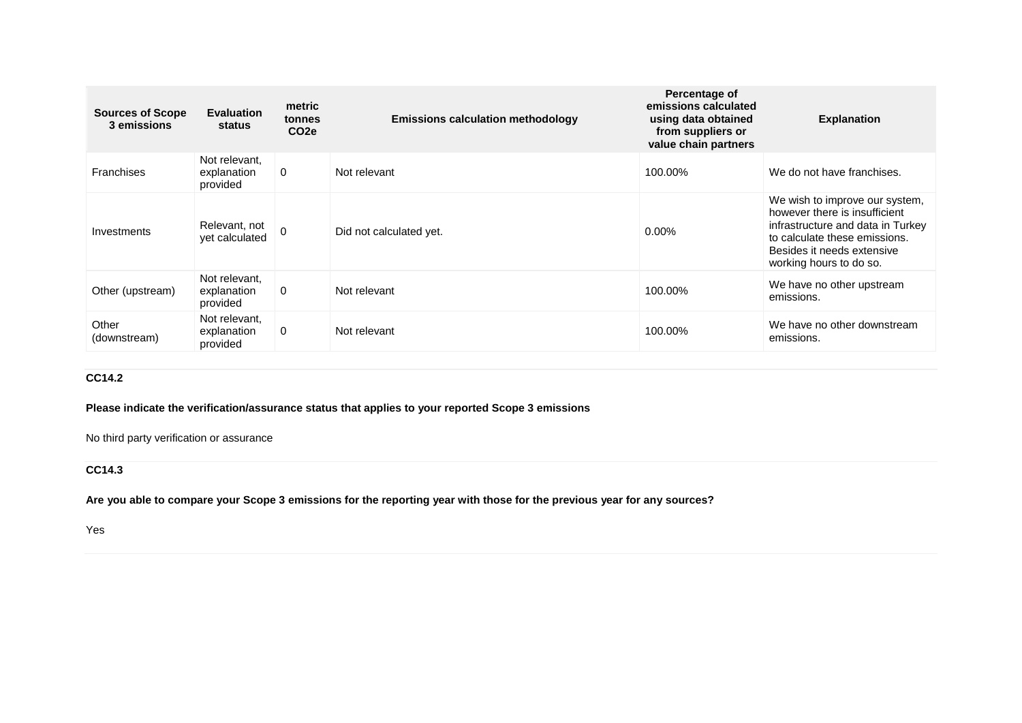| <b>Sources of Scope</b><br>3 emissions | <b>Evaluation</b><br>status              | metric<br>tonnes<br>CO <sub>2e</sub> | <b>Emissions calculation methodology</b> | Percentage of<br>emissions calculated<br>using data obtained<br>from suppliers or<br>value chain partners | <b>Explanation</b>                                                                                                                                                                             |
|----------------------------------------|------------------------------------------|--------------------------------------|------------------------------------------|-----------------------------------------------------------------------------------------------------------|------------------------------------------------------------------------------------------------------------------------------------------------------------------------------------------------|
| <b>Franchises</b>                      | Not relevant,<br>explanation<br>provided | 0                                    | Not relevant                             | 100.00%                                                                                                   | We do not have franchises.                                                                                                                                                                     |
| Investments                            | Relevant, not<br>vet calculated          | $\Omega$                             | Did not calculated yet.                  | $0.00\%$                                                                                                  | We wish to improve our system,<br>however there is insufficient<br>infrastructure and data in Turkey<br>to calculate these emissions.<br>Besides it needs extensive<br>working hours to do so. |
| Other (upstream)                       | Not relevant,<br>explanation<br>provided | $\Omega$                             | Not relevant                             | 100.00%                                                                                                   | We have no other upstream<br>emissions.                                                                                                                                                        |
| Other<br>(downstream)                  | Not relevant.<br>explanation<br>provided | $\Omega$                             | Not relevant                             | 100.00%                                                                                                   | We have no other downstream<br>emissions.                                                                                                                                                      |

# **CC14.2**

**Please indicate the verification/assurance status that applies to your reported Scope 3 emissions**

No third party verification or assurance

# **CC14.3**

**Are you able to compare your Scope 3 emissions for the reporting year with those for the previous year for any sources?**

Yes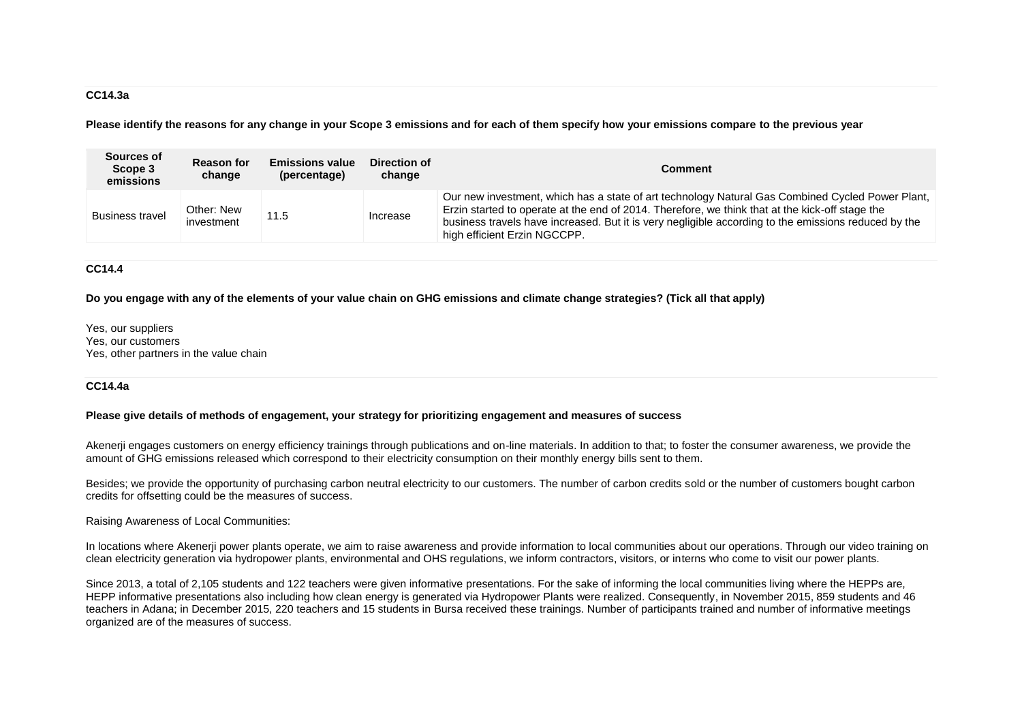#### **CC14.3a**

**Please identify the reasons for any change in your Scope 3 emissions and for each of them specify how your emissions compare to the previous year**

| Sources of<br>Scope 3<br>emissions | <b>Reason for</b><br>change | <b>Emissions value</b><br>(percentage) | Direction of<br>change | <b>Comment</b>                                                                                                                                                                                                                                                                                                                              |
|------------------------------------|-----------------------------|----------------------------------------|------------------------|---------------------------------------------------------------------------------------------------------------------------------------------------------------------------------------------------------------------------------------------------------------------------------------------------------------------------------------------|
| <b>Business travel</b>             | Other: New<br>investment    | 11.5                                   | Increase               | Our new investment, which has a state of art technology Natural Gas Combined Cycled Power Plant,<br>Erzin started to operate at the end of 2014. Therefore, we think that at the kick-off stage the<br>business travels have increased. But it is very negligible according to the emissions reduced by the<br>high efficient Erzin NGCCPP. |

### **CC14.4**

**Do you engage with any of the elements of your value chain on GHG emissions and climate change strategies? (Tick all that apply)**

Yes, our suppliers Yes, our customers Yes, other partners in the value chain

#### **CC14.4a**

**Please give details of methods of engagement, your strategy for prioritizing engagement and measures of success**

Akenerji engages customers on energy efficiency trainings through publications and on-line materials. In addition to that; to foster the consumer awareness, we provide the amount of GHG emissions released which correspond to their electricity consumption on their monthly energy bills sent to them.

Besides; we provide the opportunity of purchasing carbon neutral electricity to our customers. The number of carbon credits sold or the number of customers bought carbon credits for offsetting could be the measures of success.

Raising Awareness of Local Communities:

In locations where Akenerii power plants operate, we aim to raise awareness and provide information to local communities about our operations. Through our video training on clean electricity generation via hydropower plants, environmental and OHS regulations, we inform contractors, visitors, or interns who come to visit our power plants.

Since 2013, a total of 2,105 students and 122 teachers were given informative presentations. For the sake of informing the local communities living where the HEPPs are, HEPP informative presentations also including how clean energy is generated via Hydropower Plants were realized. Consequently, in November 2015, 859 students and 46 teachers in Adana; in December 2015, 220 teachers and 15 students in Bursa received these trainings. Number of participants trained and number of informative meetings organized are of the measures of success.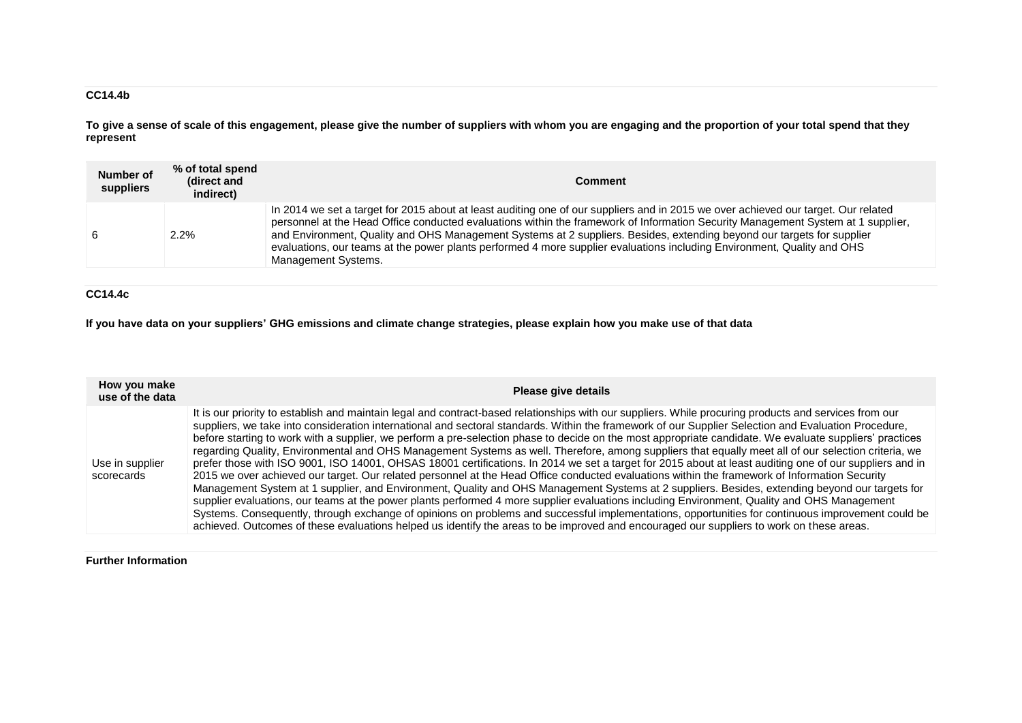## **CC14.4b**

**To give a sense of scale of this engagement, please give the number of suppliers with whom you are engaging and the proportion of your total spend that they represent**

| Number of<br>suppliers | % of total spend<br>(direct and<br>indirect) | <b>Comment</b>                                                                                                                                                                                                                                                                                                                                                                                                                                                                                                                                     |
|------------------------|----------------------------------------------|----------------------------------------------------------------------------------------------------------------------------------------------------------------------------------------------------------------------------------------------------------------------------------------------------------------------------------------------------------------------------------------------------------------------------------------------------------------------------------------------------------------------------------------------------|
| 6                      | $2.2\%$                                      | In 2014 we set a target for 2015 about at least auditing one of our suppliers and in 2015 we over achieved our target. Our related<br>personnel at the Head Office conducted evaluations within the framework of Information Security Management System at 1 supplier,<br>and Environment, Quality and OHS Management Systems at 2 suppliers. Besides, extending beyond our targets for supplier<br>evaluations, our teams at the power plants performed 4 more supplier evaluations including Environment, Quality and OHS<br>Management Systems. |

## **CC14.4c**

**If you have data on your suppliers' GHG emissions and climate change strategies, please explain how you make use of that data**

| How you make<br>use of the data | Please give details                                                                                                                                                                                                                                                                                                                                                                                                                                                                                                                                                                                                                                                                                                                                                                                                                                                                                                                                                                                                                                                                                                                                                                                                                                                                                                                                                                                                                                                                                                                            |
|---------------------------------|------------------------------------------------------------------------------------------------------------------------------------------------------------------------------------------------------------------------------------------------------------------------------------------------------------------------------------------------------------------------------------------------------------------------------------------------------------------------------------------------------------------------------------------------------------------------------------------------------------------------------------------------------------------------------------------------------------------------------------------------------------------------------------------------------------------------------------------------------------------------------------------------------------------------------------------------------------------------------------------------------------------------------------------------------------------------------------------------------------------------------------------------------------------------------------------------------------------------------------------------------------------------------------------------------------------------------------------------------------------------------------------------------------------------------------------------------------------------------------------------------------------------------------------------|
| Use in supplier<br>scorecards   | It is our priority to establish and maintain legal and contract-based relationships with our suppliers. While procuring products and services from our<br>suppliers, we take into consideration international and sectoral standards. Within the framework of our Supplier Selection and Evaluation Procedure,<br>before starting to work with a supplier, we perform a pre-selection phase to decide on the most appropriate candidate. We evaluate suppliers' practices<br>regarding Quality, Environmental and OHS Management Systems as well. Therefore, among suppliers that equally meet all of our selection criteria, we<br>prefer those with ISO 9001, ISO 14001, OHSAS 18001 certifications. In 2014 we set a target for 2015 about at least auditing one of our suppliers and in<br>2015 we over achieved our target. Our related personnel at the Head Office conducted evaluations within the framework of Information Security<br>Management System at 1 supplier, and Environment, Quality and OHS Management Systems at 2 suppliers. Besides, extending beyond our targets for<br>supplier evaluations, our teams at the power plants performed 4 more supplier evaluations including Environment, Quality and OHS Management<br>Systems. Consequently, through exchange of opinions on problems and successful implementations, opportunities for continuous improvement could be<br>achieved. Outcomes of these evaluations helped us identify the areas to be improved and encouraged our suppliers to work on these areas. |

### **Further Information**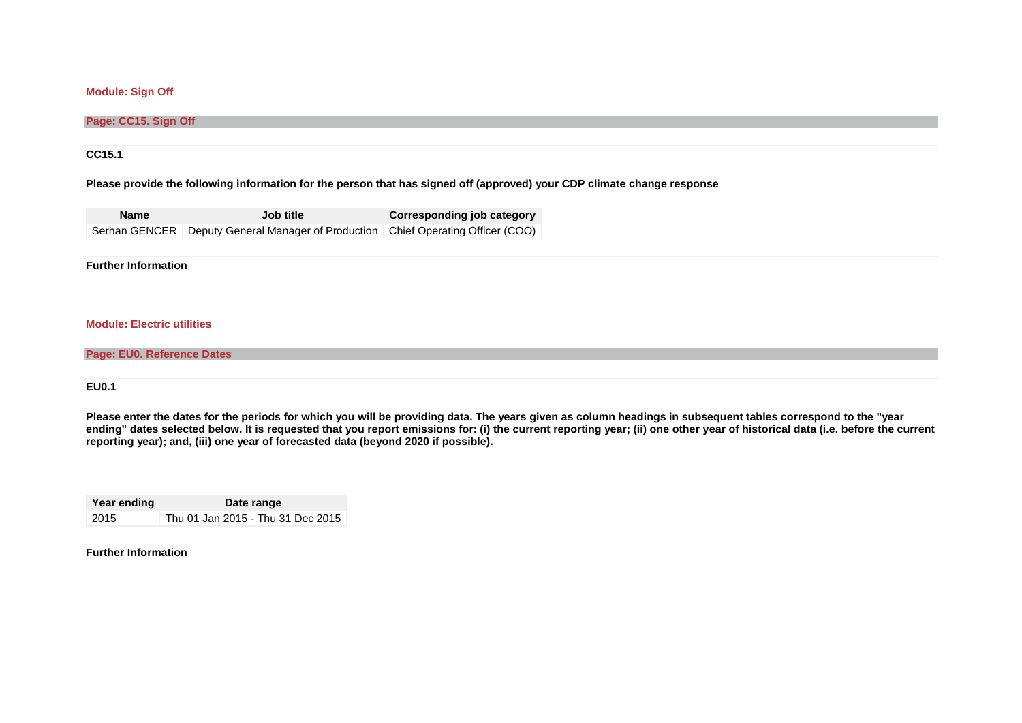### **Module: Sign Off**

#### **Page: CC15. Sign Off**

### **CC15.1**

#### **Please provide the following information for the person that has signed off (approved) your CDP climate change response**

| <b>Name</b> | <b>Job title</b>                                                                 | Corresponding job category |
|-------------|----------------------------------------------------------------------------------|----------------------------|
|             | Serhan GENCER Deputy General Manager of Production Chief Operating Officer (COO) |                            |

#### **Further Information**

#### **Module: Electric utilities**

### **Page: EU0. Reference Dates**

#### **EU0.1**

**Please enter the dates for the periods for which you will be providing data. The years given as column headings in subsequent tables correspond to the "year**  ending" dates selected below. It is requested that you report emissions for: (i) the current reporting year; (ii) one other year of historical data (i.e. before the current **reporting year); and, (iii) one year of forecasted data (beyond 2020 if possible).**

| Year ending | Date range                        |  |  |  |
|-------------|-----------------------------------|--|--|--|
| 2015        | Thu 01 Jan 2015 - Thu 31 Dec 2015 |  |  |  |

#### **Further Information**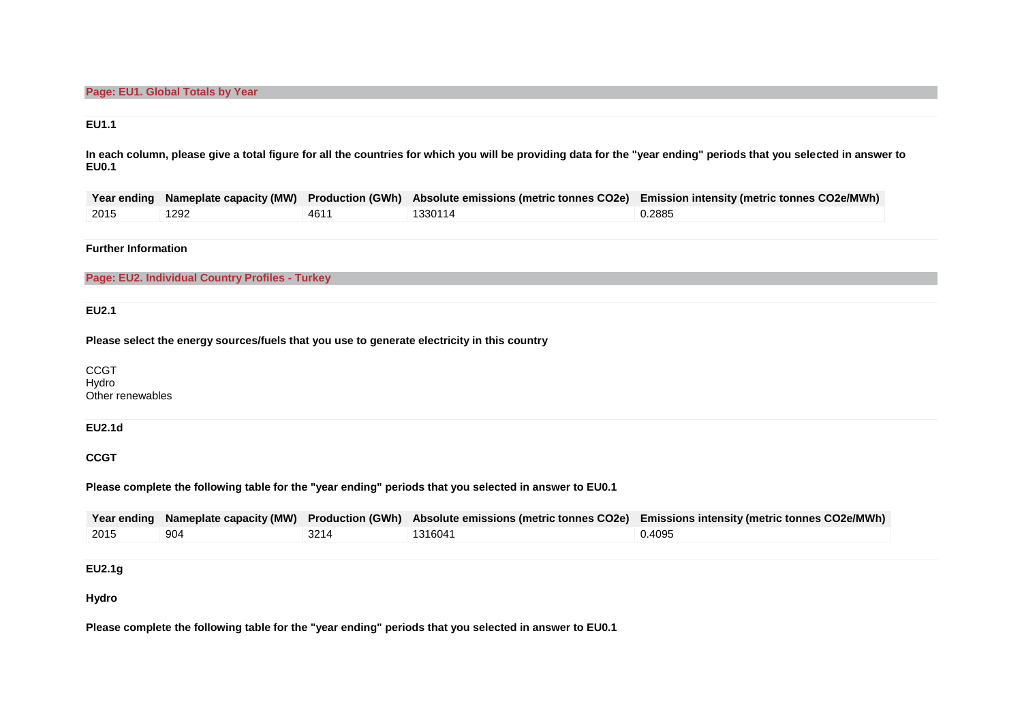### **EU1.1**

**In each column, please give a total figure for all the countries for which you will be providing data for the "year ending" periods that you selected in answer to EU0.1**

|      |      |      |         | Year ending Nameplate capacity (MW) Production (GWh) Absolute emissions (metric tonnes CO2e) Emission intensity (metric tonnes CO2e/MWh) |
|------|------|------|---------|------------------------------------------------------------------------------------------------------------------------------------------|
| 2015 | 1292 | 4611 | 1330114 | 0.2885                                                                                                                                   |

### **Further Information**

**Page: EU2. Individual Country Profiles - Turkey**

**EU2.1**

**Please select the energy sources/fuels that you use to generate electricity in this country**

CCGT Hydro Other renewables

### **EU2.1d**

**CCGT**

**Please complete the following table for the "year ending" periods that you selected in answer to EU0.1**

|      |     |      |         | Year ending Nameplate capacity (MW) Production (GWh) Absolute emissions (metric tonnes CO2e) Emissions intensity (metric tonnes CO2e/MWh) |
|------|-----|------|---------|-------------------------------------------------------------------------------------------------------------------------------------------|
| 2015 | 904 | 3214 | 1316041 | 0.4095                                                                                                                                    |

**EU2.1g**

**Hydro**

**Please complete the following table for the "year ending" periods that you selected in answer to EU0.1**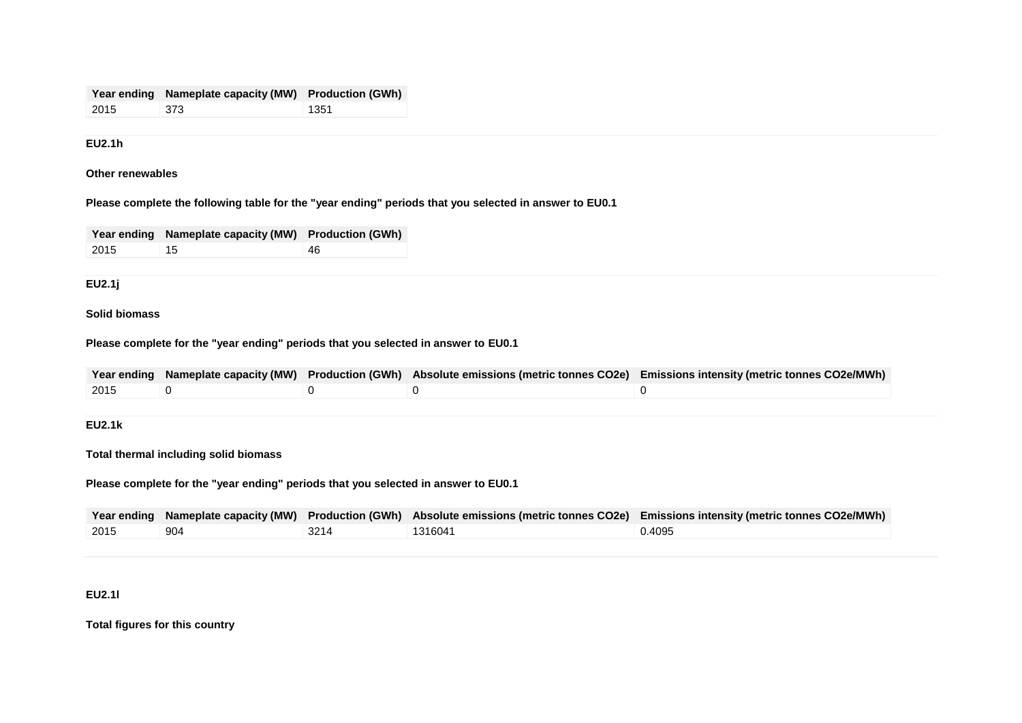|      | Year ending Nameplate capacity (MW) Production (GWh) |      |
|------|------------------------------------------------------|------|
| 2015 | 373                                                  | 1351 |

## **EU2.1h**

**Other renewables**

**Please complete the following table for the "year ending" periods that you selected in answer to EU0.1**

|      | Year ending Nameplate capacity (MW) Production (GWh) |     |
|------|------------------------------------------------------|-----|
| 2015 | 15                                                   | -46 |

### **EU2.1j**

## **Solid biomass**

**Please complete for the "year ending" periods that you selected in answer to EU0.1**

|                   |  | Year ending Nameplate capacity (MW) Production (GWh) Absolute emissions (metric tonnes CO2e) Emissions intensity (metric tonnes CO2e/MWh) |
|-------------------|--|-------------------------------------------------------------------------------------------------------------------------------------------|
| $\frac{12015}{ }$ |  |                                                                                                                                           |

## **EU2.1k**

**Total thermal including solid biomass**

**Please complete for the "year ending" periods that you selected in answer to EU0.1**

|      |     |      |         | Year ending Nameplate capacity (MW) Production (GWh) Absolute emissions (metric tonnes CO2e) Emissions intensity (metric tonnes CO2e/MWh) |
|------|-----|------|---------|-------------------------------------------------------------------------------------------------------------------------------------------|
| 2015 | 904 | 3214 | 1316041 | 0.4095                                                                                                                                    |

### **EU2.1l**

**Total figures for this country**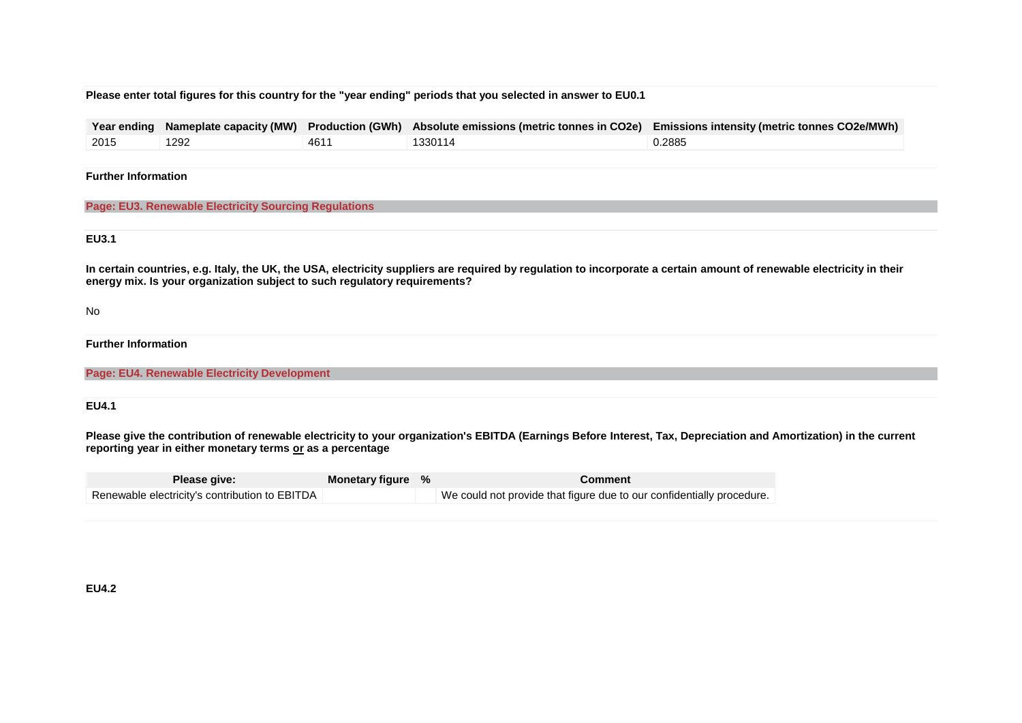### **Please enter total figures for this country for the "year ending" periods that you selected in answer to EU0.1**

| Year ending                | Nameplate capacity (MW)                                                   | <b>Production (GWh)</b> | Absolute emissions (metric tonnes in CO2e) | <b>Emissions intensity (metric tonnes CO2e/MWh)</b>                                                                                                                   |
|----------------------------|---------------------------------------------------------------------------|-------------------------|--------------------------------------------|-----------------------------------------------------------------------------------------------------------------------------------------------------------------------|
| 2015                       | 1292                                                                      | 4611                    | 1330114                                    | 0.2885                                                                                                                                                                |
|                            |                                                                           |                         |                                            |                                                                                                                                                                       |
| <b>Further Information</b> |                                                                           |                         |                                            |                                                                                                                                                                       |
|                            |                                                                           |                         |                                            |                                                                                                                                                                       |
|                            | <b>Page: EU3. Renewable Electricity Sourcing Regulations</b>              |                         |                                            |                                                                                                                                                                       |
|                            |                                                                           |                         |                                            |                                                                                                                                                                       |
|                            |                                                                           |                         |                                            |                                                                                                                                                                       |
|                            |                                                                           |                         |                                            |                                                                                                                                                                       |
| <b>EU3.1</b>               |                                                                           |                         |                                            |                                                                                                                                                                       |
|                            | energy mix. Is your organization subject to such regulatory requirements? |                         |                                            | In certain countries, e.g. Italy, the UK, the USA, electricity suppliers are required by regulation to incorporate a certain amount of renewable electricity in their |
|                            |                                                                           |                         |                                            |                                                                                                                                                                       |
| No                         |                                                                           |                         |                                            |                                                                                                                                                                       |
| <b>Further Information</b> |                                                                           |                         |                                            |                                                                                                                                                                       |
|                            |                                                                           |                         |                                            |                                                                                                                                                                       |
|                            |                                                                           |                         |                                            |                                                                                                                                                                       |
|                            | <b>Page: EU4. Renewable Electricity Development</b>                       |                         |                                            |                                                                                                                                                                       |

### **EU4.1**

Please give the contribution of renewable electricity to your organization's EBITDA (Earnings Before Interest, Tax, Depreciation and Amortization) in the current **reporting year in either monetary terms or as a percentage**

| <b>Please give:</b>                            | Monetary figure % | <b>Comment</b>                                                        |
|------------------------------------------------|-------------------|-----------------------------------------------------------------------|
| Renewable electricity's contribution to EBITDA |                   | We could not provide that figure due to our confidentially procedure. |